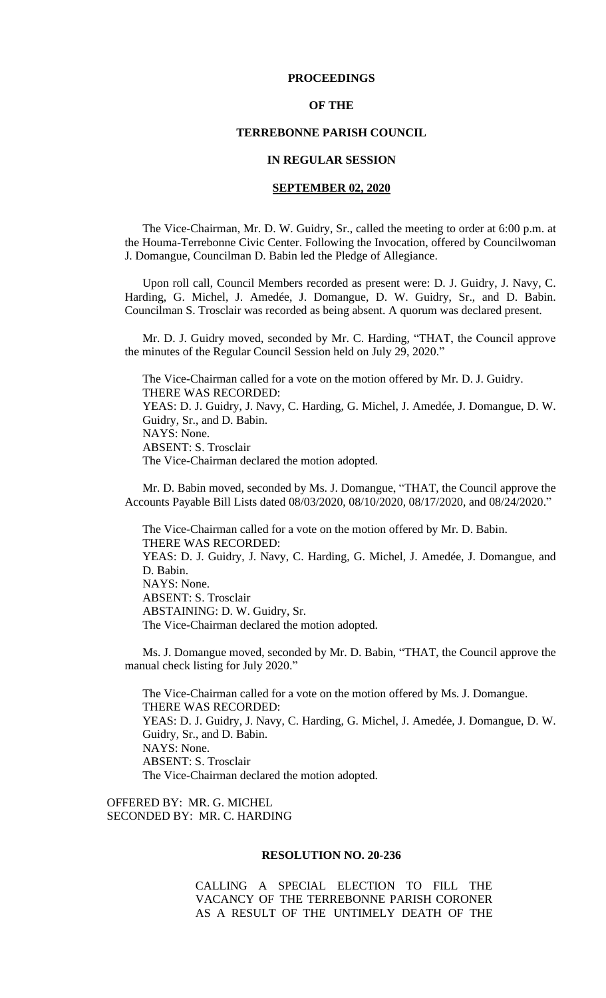### **PROCEEDINGS**

# **OF THE**

# **TERREBONNE PARISH COUNCIL**

### **IN REGULAR SESSION**

# **SEPTEMBER 02, 2020**

The Vice-Chairman, Mr. D. W. Guidry, Sr., called the meeting to order at 6:00 p.m. at the Houma-Terrebonne Civic Center. Following the Invocation, offered by Councilwoman J. Domangue, Councilman D. Babin led the Pledge of Allegiance.

Upon roll call, Council Members recorded as present were: D. J. Guidry, J. Navy, C. Harding, G. Michel, J. Amedée, J. Domangue, D. W. Guidry, Sr., and D. Babin. Councilman S. Trosclair was recorded as being absent. A quorum was declared present.

Mr. D. J. Guidry moved, seconded by Mr. C. Harding, "THAT, the Council approve the minutes of the Regular Council Session held on July 29, 2020."

The Vice-Chairman called for a vote on the motion offered by Mr. D. J. Guidry. THERE WAS RECORDED: YEAS: D. J. Guidry, J. Navy, C. Harding, G. Michel, J. Amedée, J. Domangue, D. W. Guidry, Sr., and D. Babin. NAYS: None. ABSENT: S. Trosclair The Vice-Chairman declared the motion adopted.

Mr. D. Babin moved, seconded by Ms. J. Domangue, "THAT, the Council approve the Accounts Payable Bill Lists dated 08/03/2020, 08/10/2020, 08/17/2020, and 08/24/2020."

The Vice-Chairman called for a vote on the motion offered by Mr. D. Babin. THERE WAS RECORDED: YEAS: D. J. Guidry, J. Navy, C. Harding, G. Michel, J. Amedée, J. Domangue, and D. Babin. NAYS: None. ABSENT: S. Trosclair ABSTAINING: D. W. Guidry, Sr. The Vice-Chairman declared the motion adopted.

Ms. J. Domangue moved, seconded by Mr. D. Babin, "THAT, the Council approve the manual check listing for July 2020."

The Vice-Chairman called for a vote on the motion offered by Ms. J. Domangue. THERE WAS RECORDED: YEAS: D. J. Guidry, J. Navy, C. Harding, G. Michel, J. Amedée, J. Domangue, D. W. Guidry, Sr., and D. Babin. NAYS: None. ABSENT: S. Trosclair The Vice-Chairman declared the motion adopted.

OFFERED BY: MR. G. MICHEL SECONDED BY: MR. C. HARDING

### **RESOLUTION NO. 20-236**

CALLING A SPECIAL ELECTION TO FILL THE VACANCY OF THE TERREBONNE PARISH CORONER AS A RESULT OF THE UNTIMELY DEATH OF THE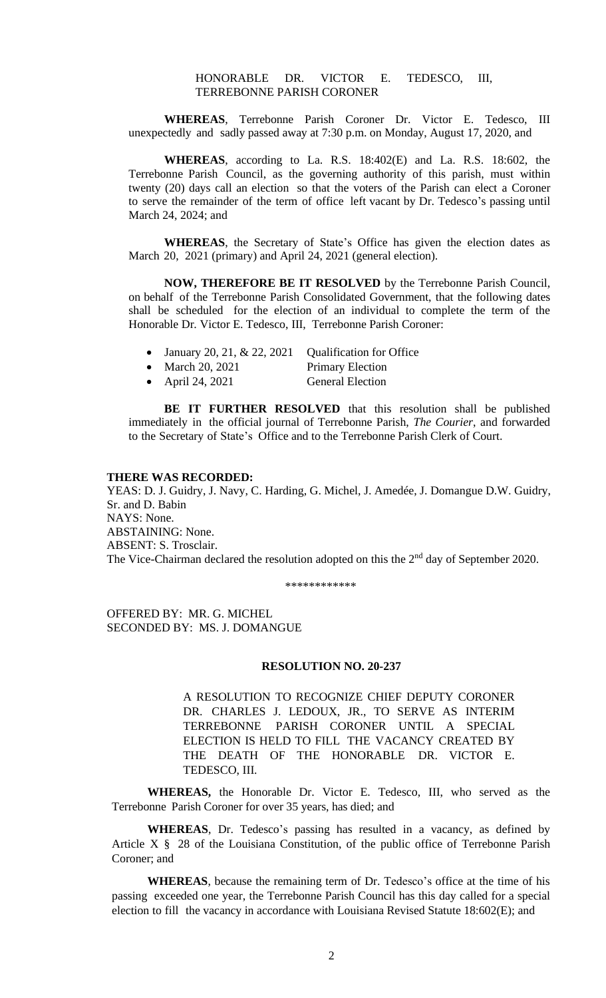# HONORABLE DR. VICTOR E. TEDESCO, III, TERREBONNE PARISH CORONER

**WHEREAS**, Terrebonne Parish Coroner Dr. Victor E. Tedesco, III unexpectedly and sadly passed away at 7:30 p.m. on Monday, August 17, 2020, and

**WHEREAS**, according to La. R.S. 18:402(E) and La. R.S. 18:602, the Terrebonne Parish Council, as the governing authority of this parish, must within twenty (20) days call an election so that the voters of the Parish can elect a Coroner to serve the remainder of the term of office left vacant by Dr. Tedesco's passing until March 24, 2024; and

**WHEREAS**, the Secretary of State's Office has given the election dates as March 20, 2021 (primary) and April 24, 2021 (general election).

**NOW, THEREFORE BE IT RESOLVED** by the Terrebonne Parish Council, on behalf of the Terrebonne Parish Consolidated Government, that the following dates shall be scheduled for the election of an individual to complete the term of the Honorable Dr. Victor E. Tedesco, III, Terrebonne Parish Coroner:

- January 20, 21, & 22, 2021 Qualification for Office
- March 20, 2021 Primary Election
	-
- April 24, 2021 General Election

**BE IT FURTHER RESOLVED** that this resolution shall be published immediately in the official journal of Terrebonne Parish, *The Courier*, and forwarded to the Secretary of State's Office and to the Terrebonne Parish Clerk of Court.

#### **THERE WAS RECORDED:**

YEAS: D. J. Guidry, J. Navy, C. Harding, G. Michel, J. Amedée, J. Domangue D.W. Guidry, Sr. and D. Babin NAYS: None. ABSTAINING: None. ABSENT: S. Trosclair. The Vice-Chairman declared the resolution adopted on this the  $2<sup>nd</sup>$  day of September 2020.

\*\*\*\*\*\*\*\*\*\*\*\*

OFFERED BY: MR. G. MICHEL SECONDED BY: MS. J. DOMANGUE

#### **RESOLUTION NO. 20-237**

A RESOLUTION TO RECOGNIZE CHIEF DEPUTY CORONER DR. CHARLES J. LEDOUX, JR., TO SERVE AS INTERIM TERREBONNE PARISH CORONER UNTIL A SPECIAL ELECTION IS HELD TO FILL THE VACANCY CREATED BY THE DEATH OF THE HONORABLE DR. VICTOR E. TEDESCO, III.

**WHEREAS,** the Honorable Dr. Victor E. Tedesco, III, who served as the Terrebonne Parish Coroner for over 35 years, has died; and

**WHEREAS**, Dr. Tedesco's passing has resulted in a vacancy, as defined by Article X § 28 of the Louisiana Constitution, of the public office of Terrebonne Parish Coroner; and

**WHEREAS**, because the remaining term of Dr. Tedesco's office at the time of his passing exceeded one year, the Terrebonne Parish Council has this day called for a special election to fill the vacancy in accordance with Louisiana Revised Statute 18:602(E); and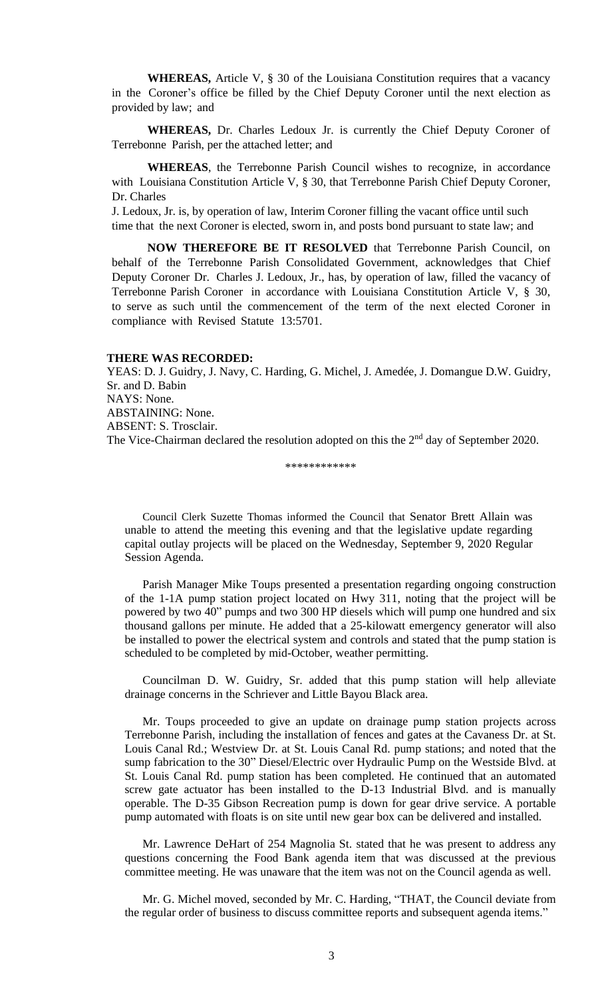**WHEREAS,** Article V, § 30 of the Louisiana Constitution requires that a vacancy in the Coroner's office be filled by the Chief Deputy Coroner until the next election as provided by law; and

**WHEREAS,** Dr. Charles Ledoux Jr. is currently the Chief Deputy Coroner of Terrebonne Parish, per the attached letter; and

**WHEREAS**, the Terrebonne Parish Council wishes to recognize, in accordance with Louisiana Constitution Article V, § 30, that Terrebonne Parish Chief Deputy Coroner, Dr. Charles

J. Ledoux, Jr. is, by operation of law, Interim Coroner filling the vacant office until such time that the next Coroner is elected, sworn in, and posts bond pursuant to state law; and

**NOW THEREFORE BE IT RESOLVED** that Terrebonne Parish Council, on behalf of the Terrebonne Parish Consolidated Government, acknowledges that Chief Deputy Coroner Dr. Charles J. Ledoux, Jr., has, by operation of law, filled the vacancy of Terrebonne Parish Coroner in accordance with Louisiana Constitution Article V, § 30, to serve as such until the commencement of the term of the next elected Coroner in compliance with Revised Statute 13:5701.

# **THERE WAS RECORDED:**

YEAS: D. J. Guidry, J. Navy, C. Harding, G. Michel, J. Amedée, J. Domangue D.W. Guidry, Sr. and D. Babin NAYS: None. ABSTAINING: None. ABSENT: S. Trosclair. The Vice-Chairman declared the resolution adopted on this the  $2<sup>nd</sup>$  day of September 2020.

\*\*\*\*\*\*\*\*\*\*\*\*

Council Clerk Suzette Thomas informed the Council that Senator [Brett Allain](https://terrebonneparish.novusagenda.com/AgendaWeb/CoverSheet.aspx?ItemID=26554&MeetingID=2044) was [unable to attend the meeting this evening and that the](https://terrebonneparish.novusagenda.com/AgendaWeb/CoverSheet.aspx?ItemID=26554&MeetingID=2044) legislative update regarding [capital outlay projects](https://terrebonneparish.novusagenda.com/AgendaWeb/CoverSheet.aspx?ItemID=26554&MeetingID=2044) will be placed on the Wednesday, September 9, 2020 Regular Session Agenda.

Parish Manager Mike Toups presented a presentation regarding ongoing construction of the 1-1A pump station project located on Hwy 311, noting that the project will be powered by two 40" pumps and two 300 HP diesels which will pump one hundred and six thousand gallons per minute. He added that a 25-kilowatt emergency generator will also be installed to power the electrical system and controls and stated that the pump station is scheduled to be completed by mid-October, weather permitting.

Councilman D. W. Guidry, Sr. added that this pump station will help alleviate drainage concerns in the Schriever and Little Bayou Black area.

Mr. Toups proceeded to give an update on drainage pump station projects across Terrebonne Parish, including the installation of fences and gates at the Cavaness Dr. at St. Louis Canal Rd.; Westview Dr. at St. Louis Canal Rd. pump stations; and noted that the sump fabrication to the 30" Diesel/Electric over Hydraulic Pump on the Westside Blvd. at St. Louis Canal Rd. pump station has been completed. He continued that an automated screw gate actuator has been installed to the D-13 Industrial Blvd. and is manually operable. The D-35 Gibson Recreation pump is down for gear drive service. A portable pump automated with floats is on site until new gear box can be delivered and installed.

Mr. Lawrence DeHart of 254 Magnolia St. stated that he was present to address any questions concerning the Food Bank agenda item that was discussed at the previous committee meeting. He was unaware that the item was not on the Council agenda as well.

Mr. G. Michel moved, seconded by Mr. C. Harding, "THAT, the Council deviate from the regular order of business to discuss committee reports and subsequent agenda items."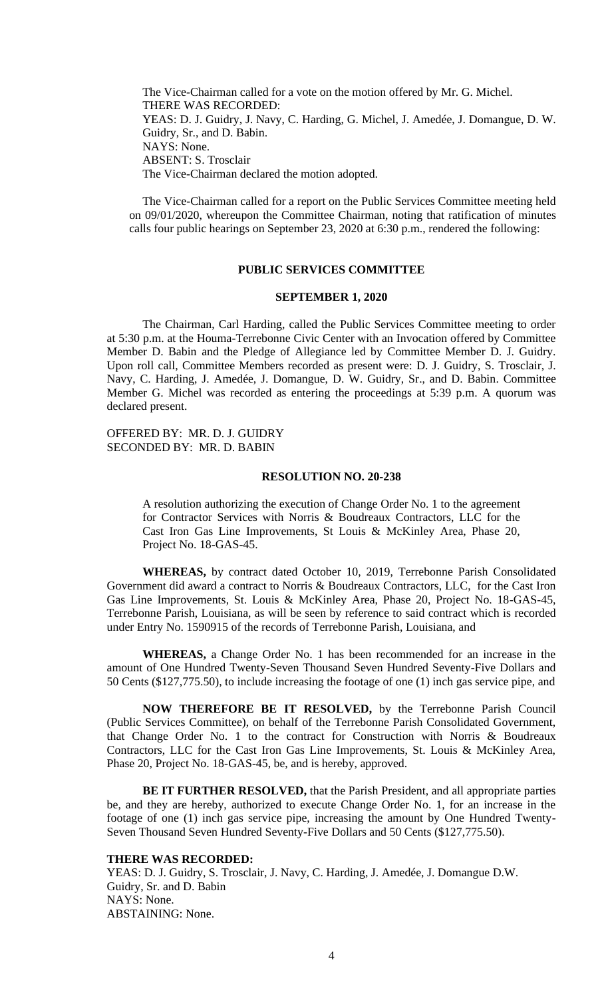The Vice-Chairman called for a vote on the motion offered by Mr. G. Michel. THERE WAS RECORDED: YEAS: D. J. Guidry, J. Navy, C. Harding, G. Michel, J. Amedée, J. Domangue, D. W. Guidry, Sr., and D. Babin. NAYS: None. ABSENT: S. Trosclair The Vice-Chairman declared the motion adopted.

The Vice-Chairman called for a report on the Public Services Committee meeting held on 09/01/2020, whereupon the Committee Chairman, noting that ratification of minutes calls four public hearings on September 23, 2020 at 6:30 p.m., rendered the following:

# **PUBLIC SERVICES COMMITTEE**

#### **SEPTEMBER 1, 2020**

The Chairman, Carl Harding, called the Public Services Committee meeting to order at 5:30 p.m. at the Houma-Terrebonne Civic Center with an Invocation offered by Committee Member D. Babin and the Pledge of Allegiance led by Committee Member D. J. Guidry. Upon roll call, Committee Members recorded as present were: D. J. Guidry, S. Trosclair, J. Navy, C. Harding, J. Amedée, J. Domangue, D. W. Guidry, Sr., and D. Babin. Committee Member G. Michel was recorded as entering the proceedings at 5:39 p.m. A quorum was declared present.

OFFERED BY: MR. D. J. GUIDRY SECONDED BY: MR. D. BABIN

#### **RESOLUTION NO. 20-238**

A resolution authorizing the execution of Change Order No. 1 to the agreement for Contractor Services with Norris & Boudreaux Contractors, LLC for the Cast Iron Gas Line Improvements, St Louis & McKinley Area, Phase 20, Project No. 18-GAS-45.

 **WHEREAS,** by contract dated October 10, 2019, Terrebonne Parish Consolidated Government did award a contract to Norris & Boudreaux Contractors, LLC, for the Cast Iron Gas Line Improvements, St. Louis & McKinley Area, Phase 20, Project No. 18-GAS-45, Terrebonne Parish, Louisiana, as will be seen by reference to said contract which is recorded under Entry No. 1590915 of the records of Terrebonne Parish, Louisiana, and

 **WHEREAS,** a Change Order No. 1 has been recommended for an increase in the amount of One Hundred Twenty-Seven Thousand Seven Hundred Seventy-Five Dollars and 50 Cents (\$127,775.50), to include increasing the footage of one (1) inch gas service pipe, and

 **NOW THEREFORE BE IT RESOLVED,** by the Terrebonne Parish Council (Public Services Committee), on behalf of the Terrebonne Parish Consolidated Government, that Change Order No. 1 to the contract for Construction with Norris & Boudreaux Contractors, LLC for the Cast Iron Gas Line Improvements, St. Louis & McKinley Area, Phase 20, Project No. 18-GAS-45, be, and is hereby, approved.

 **BE IT FURTHER RESOLVED,** that the Parish President, and all appropriate parties be, and they are hereby, authorized to execute Change Order No. 1, for an increase in the footage of one (1) inch gas service pipe, increasing the amount by One Hundred Twenty-Seven Thousand Seven Hundred Seventy-Five Dollars and 50 Cents (\$127,775.50).

### **THERE WAS RECORDED:**

YEAS: D. J. Guidry, S. Trosclair, J. Navy, C. Harding, J. Amedée, J. Domangue D.W. Guidry, Sr. and D. Babin NAYS: None. ABSTAINING: None.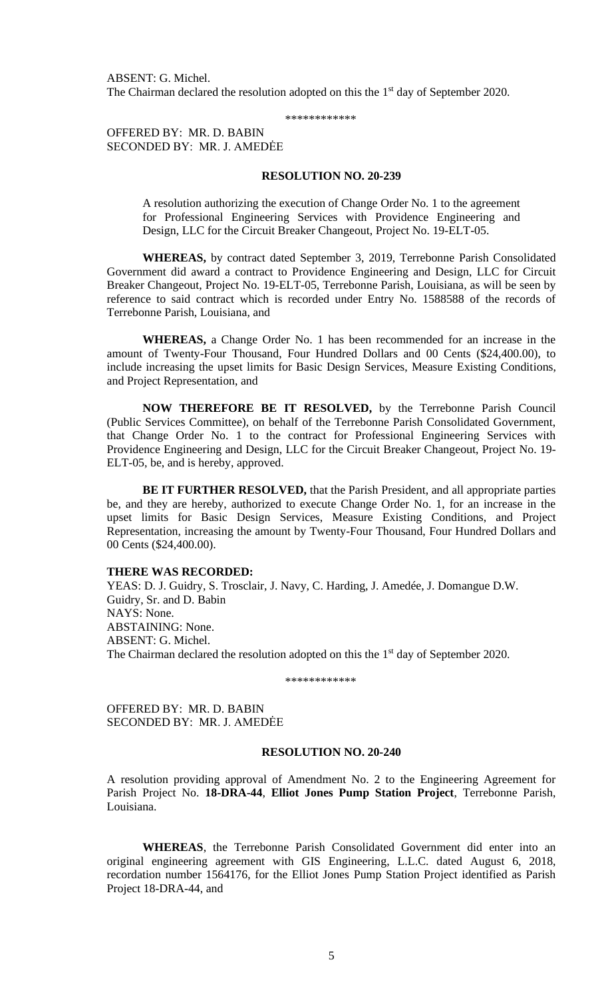ABSENT: G. Michel. The Chairman declared the resolution adopted on this the  $1<sup>st</sup>$  day of September 2020.

\*\*\*\*\*\*\*\*\*\*\*\*

OFFERED BY: MR. D. BABIN SECONDED BY: MR. J. AMEDĖE

### **RESOLUTION NO. 20-239**

A resolution authorizing the execution of Change Order No. 1 to the agreement for Professional Engineering Services with Providence Engineering and Design, LLC for the Circuit Breaker Changeout, Project No. 19-ELT-05.

 **WHEREAS,** by contract dated September 3, 2019, Terrebonne Parish Consolidated Government did award a contract to Providence Engineering and Design, LLC for Circuit Breaker Changeout, Project No. 19-ELT-05, Terrebonne Parish, Louisiana, as will be seen by reference to said contract which is recorded under Entry No. 1588588 of the records of Terrebonne Parish, Louisiana, and

 **WHEREAS,** a Change Order No. 1 has been recommended for an increase in the amount of Twenty-Four Thousand, Four Hundred Dollars and 00 Cents (\$24,400.00), to include increasing the upset limits for Basic Design Services, Measure Existing Conditions, and Project Representation, and

 **NOW THEREFORE BE IT RESOLVED,** by the Terrebonne Parish Council (Public Services Committee), on behalf of the Terrebonne Parish Consolidated Government, that Change Order No. 1 to the contract for Professional Engineering Services with Providence Engineering and Design, LLC for the Circuit Breaker Changeout, Project No. 19- ELT-05, be, and is hereby, approved.

 **BE IT FURTHER RESOLVED,** that the Parish President, and all appropriate parties be, and they are hereby, authorized to execute Change Order No. 1, for an increase in the upset limits for Basic Design Services, Measure Existing Conditions, and Project Representation, increasing the amount by Twenty-Four Thousand, Four Hundred Dollars and 00 Cents (\$24,400.00).

#### **THERE WAS RECORDED:**

YEAS: D. J. Guidry, S. Trosclair, J. Navy, C. Harding, J. Amedée, J. Domangue D.W. Guidry, Sr. and D. Babin NAYS: None. ABSTAINING: None. ABSENT: G. Michel. The Chairman declared the resolution adopted on this the 1<sup>st</sup> day of September 2020.

\*\*\*\*\*\*\*\*\*\*\*\*

OFFERED BY: MR. D. BABIN SECONDED BY: MR. J. AMEDĖE

# **RESOLUTION NO. 20-240**

A resolution providing approval of Amendment No. 2 to the Engineering Agreement for Parish Project No. **18-DRA-44**, **Elliot Jones Pump Station Project**, Terrebonne Parish, Louisiana.

**WHEREAS**, the Terrebonne Parish Consolidated Government did enter into an original engineering agreement with GIS Engineering, L.L.C. dated August 6, 2018, recordation number 1564176, for the Elliot Jones Pump Station Project identified as Parish Project 18-DRA-44, and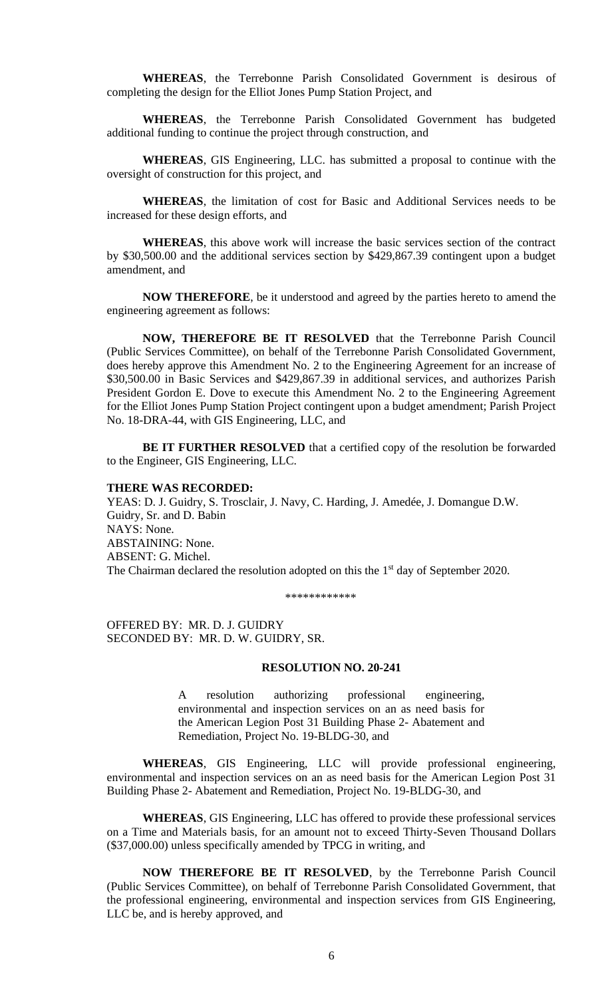**WHEREAS**, the Terrebonne Parish Consolidated Government is desirous of completing the design for the Elliot Jones Pump Station Project, and

**WHEREAS**, the Terrebonne Parish Consolidated Government has budgeted additional funding to continue the project through construction, and

**WHEREAS**, GIS Engineering, LLC. has submitted a proposal to continue with the oversight of construction for this project, and

**WHEREAS**, the limitation of cost for Basic and Additional Services needs to be increased for these design efforts, and

**WHEREAS**, this above work will increase the basic services section of the contract by \$30,500.00 and the additional services section by \$429,867.39 contingent upon a budget amendment, and

**NOW THEREFORE**, be it understood and agreed by the parties hereto to amend the engineering agreement as follows:

**NOW, THEREFORE BE IT RESOLVED** that the Terrebonne Parish Council (Public Services Committee), on behalf of the Terrebonne Parish Consolidated Government, does hereby approve this Amendment No. 2 to the Engineering Agreement for an increase of \$30,500.00 in Basic Services and \$429,867.39 in additional services, and authorizes Parish President Gordon E. Dove to execute this Amendment No. 2 to the Engineering Agreement for the Elliot Jones Pump Station Project contingent upon a budget amendment; Parish Project No. 18-DRA-44, with GIS Engineering, LLC, and

**BE IT FURTHER RESOLVED** that a certified copy of the resolution be forwarded to the Engineer, GIS Engineering, LLC.

#### **THERE WAS RECORDED:**

YEAS: D. J. Guidry, S. Trosclair, J. Navy, C. Harding, J. Amedée, J. Domangue D.W. Guidry, Sr. and D. Babin NAYS: None. ABSTAINING: None. ABSENT: G. Michel. The Chairman declared the resolution adopted on this the 1<sup>st</sup> day of September 2020.

\*\*\*\*\*\*\*\*\*\*\*\*

OFFERED BY: MR. D. J. GUIDRY SECONDED BY: MR. D. W. GUIDRY, SR.

#### **RESOLUTION NO. 20-241**

A resolution authorizing professional engineering, environmental and inspection services on an as need basis for the American Legion Post 31 Building Phase 2- Abatement and Remediation, Project No. 19-BLDG-30, and

**WHEREAS**, GIS Engineering, LLC will provide professional engineering, environmental and inspection services on an as need basis for the American Legion Post 31 Building Phase 2- Abatement and Remediation, Project No. 19-BLDG-30, and

**WHEREAS**, GIS Engineering, LLC has offered to provide these professional services on a Time and Materials basis, for an amount not to exceed Thirty-Seven Thousand Dollars (\$37,000.00) unless specifically amended by TPCG in writing, and

**NOW THEREFORE BE IT RESOLVED**, by the Terrebonne Parish Council (Public Services Committee), on behalf of Terrebonne Parish Consolidated Government, that the professional engineering, environmental and inspection services from GIS Engineering, LLC be, and is hereby approved, and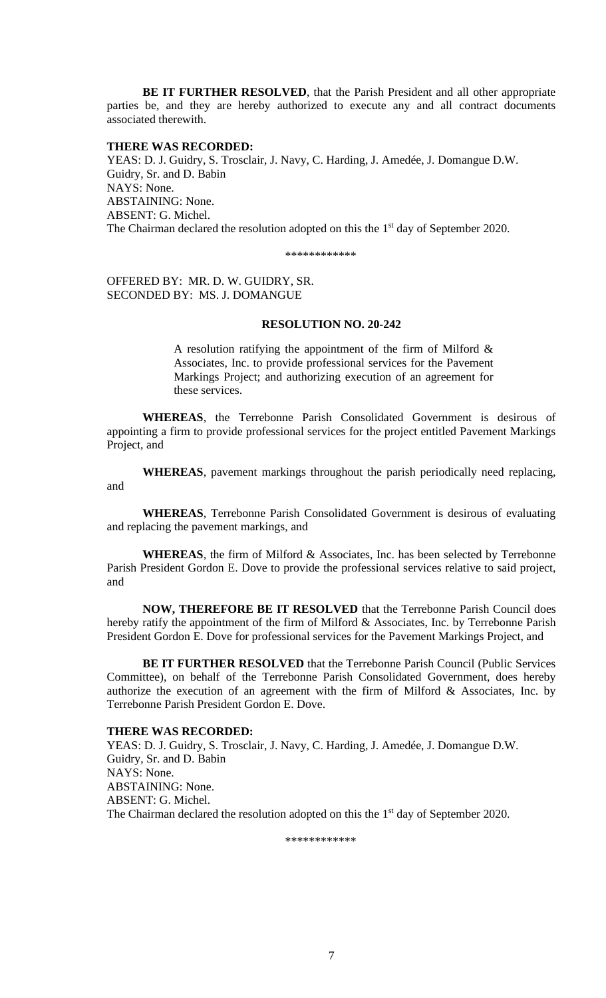**BE IT FURTHER RESOLVED**, that the Parish President and all other appropriate parties be, and they are hereby authorized to execute any and all contract documents associated therewith.

# **THERE WAS RECORDED:**

YEAS: D. J. Guidry, S. Trosclair, J. Navy, C. Harding, J. Amedée, J. Domangue D.W. Guidry, Sr. and D. Babin NAYS: None. ABSTAINING: None. ABSENT: G. Michel. The Chairman declared the resolution adopted on this the  $1<sup>st</sup>$  day of September 2020.

\*\*\*\*\*\*\*\*\*\*\*\*

OFFERED BY: MR. D. W. GUIDRY, SR. SECONDED BY: MS. J. DOMANGUE

# **RESOLUTION NO. 20-242**

A resolution ratifying the appointment of the firm of Milford & Associates, Inc. to provide professional services for the Pavement Markings Project; and authorizing execution of an agreement for these services.

**WHEREAS**, the Terrebonne Parish Consolidated Government is desirous of appointing a firm to provide professional services for the project entitled Pavement Markings Project, and

**WHEREAS**, pavement markings throughout the parish periodically need replacing, and

**WHEREAS**, Terrebonne Parish Consolidated Government is desirous of evaluating and replacing the pavement markings, and

**WHEREAS**, the firm of Milford & Associates, Inc. has been selected by Terrebonne Parish President Gordon E. Dove to provide the professional services relative to said project, and

**NOW, THEREFORE BE IT RESOLVED** that the Terrebonne Parish Council does hereby ratify the appointment of the firm of Milford & Associates, Inc. by Terrebonne Parish President Gordon E. Dove for professional services for the Pavement Markings Project, and

**BE IT FURTHER RESOLVED** that the Terrebonne Parish Council (Public Services Committee), on behalf of the Terrebonne Parish Consolidated Government, does hereby authorize the execution of an agreement with the firm of Milford & Associates, Inc. by Terrebonne Parish President Gordon E. Dove.

### **THERE WAS RECORDED:**

YEAS: D. J. Guidry, S. Trosclair, J. Navy, C. Harding, J. Amedée, J. Domangue D.W. Guidry, Sr. and D. Babin NAYS: None. ABSTAINING: None. ABSENT: G. Michel. The Chairman declared the resolution adopted on this the  $1<sup>st</sup>$  day of September 2020.

\*\*\*\*\*\*\*\*\*\*\*\*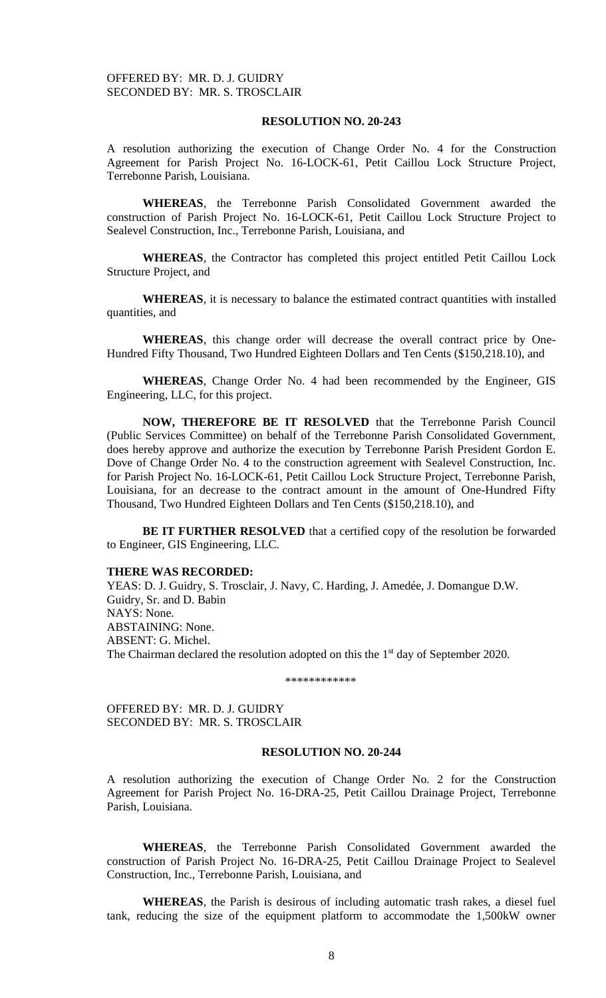# **RESOLUTION NO. 20-243**

A resolution authorizing the execution of Change Order No. 4 for the Construction Agreement for Parish Project No. 16-LOCK-61, Petit Caillou Lock Structure Project, Terrebonne Parish, Louisiana.

**WHEREAS**, the Terrebonne Parish Consolidated Government awarded the construction of Parish Project No. 16-LOCK-61, Petit Caillou Lock Structure Project to Sealevel Construction, Inc., Terrebonne Parish, Louisiana, and

**WHEREAS**, the Contractor has completed this project entitled Petit Caillou Lock Structure Project, and

**WHEREAS**, it is necessary to balance the estimated contract quantities with installed quantities, and

**WHEREAS**, this change order will decrease the overall contract price by One-Hundred Fifty Thousand, Two Hundred Eighteen Dollars and Ten Cents (\$150,218.10), and

**WHEREAS**, Change Order No. 4 had been recommended by the Engineer, GIS Engineering, LLC, for this project.

**NOW, THEREFORE BE IT RESOLVED** that the Terrebonne Parish Council (Public Services Committee) on behalf of the Terrebonne Parish Consolidated Government, does hereby approve and authorize the execution by Terrebonne Parish President Gordon E. Dove of Change Order No. 4 to the construction agreement with Sealevel Construction, Inc. for Parish Project No. 16-LOCK-61, Petit Caillou Lock Structure Project, Terrebonne Parish, Louisiana, for an decrease to the contract amount in the amount of One-Hundred Fifty Thousand, Two Hundred Eighteen Dollars and Ten Cents (\$150,218.10), and

**BE IT FURTHER RESOLVED** that a certified copy of the resolution be forwarded to Engineer, GIS Engineering, LLC.

#### **THERE WAS RECORDED:**

YEAS: D. J. Guidry, S. Trosclair, J. Navy, C. Harding, J. Amedée, J. Domangue D.W. Guidry, Sr. and D. Babin NAYS: None. ABSTAINING: None. ABSENT: G. Michel. The Chairman declared the resolution adopted on this the 1<sup>st</sup> day of September 2020.

\*\*\*\*\*\*\*\*\*\*\*\*

OFFERED BY: MR. D. J. GUIDRY SECONDED BY: MR. S. TROSCLAIR

# **RESOLUTION NO. 20-244**

A resolution authorizing the execution of Change Order No. 2 for the Construction Agreement for Parish Project No. 16-DRA-25, Petit Caillou Drainage Project, Terrebonne Parish, Louisiana.

**WHEREAS**, the Terrebonne Parish Consolidated Government awarded the construction of Parish Project No. 16-DRA-25, Petit Caillou Drainage Project to Sealevel Construction, Inc., Terrebonne Parish, Louisiana, and

**WHEREAS**, the Parish is desirous of including automatic trash rakes, a diesel fuel tank, reducing the size of the equipment platform to accommodate the 1,500kW owner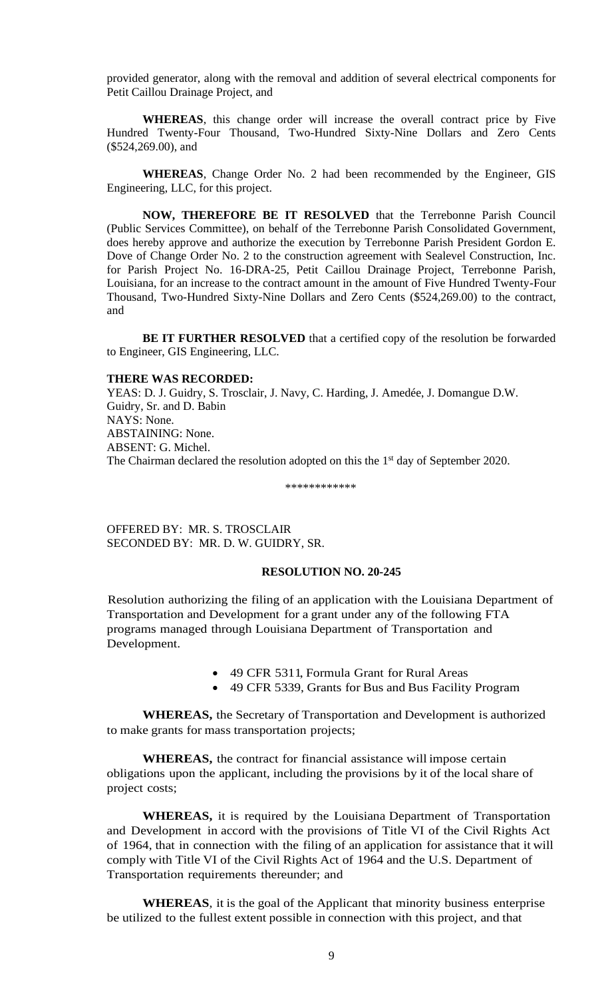provided generator, along with the removal and addition of several electrical components for Petit Caillou Drainage Project, and

**WHEREAS**, this change order will increase the overall contract price by Five Hundred Twenty-Four Thousand, Two-Hundred Sixty-Nine Dollars and Zero Cents (\$524,269.00), and

**WHEREAS**, Change Order No. 2 had been recommended by the Engineer, GIS Engineering, LLC, for this project.

**NOW, THEREFORE BE IT RESOLVED** that the Terrebonne Parish Council (Public Services Committee), on behalf of the Terrebonne Parish Consolidated Government, does hereby approve and authorize the execution by Terrebonne Parish President Gordon E. Dove of Change Order No. 2 to the construction agreement with Sealevel Construction, Inc. for Parish Project No. 16-DRA-25, Petit Caillou Drainage Project, Terrebonne Parish, Louisiana, for an increase to the contract amount in the amount of Five Hundred Twenty-Four Thousand, Two-Hundred Sixty-Nine Dollars and Zero Cents (\$524,269.00) to the contract, and

**BE IT FURTHER RESOLVED** that a certified copy of the resolution be forwarded to Engineer, GIS Engineering, LLC.

### **THERE WAS RECORDED:**

YEAS: D. J. Guidry, S. Trosclair, J. Navy, C. Harding, J. Amedée, J. Domangue D.W. Guidry, Sr. and D. Babin NAYS: None. ABSTAINING: None. ABSENT: G. Michel. The Chairman declared the resolution adopted on this the 1<sup>st</sup> day of September 2020.

\*\*\*\*\*\*\*\*\*\*\*\*

OFFERED BY: MR. S. TROSCLAIR SECONDED BY: MR. D. W. GUIDRY, SR.

## **RESOLUTION NO. 20-245**

Resolution authorizing the filing of an application with the Louisiana Department of Transportation and Development for a grant under any of the following FTA programs managed through Louisiana Department of Transportation and Development.

- 49 CFR 5311, Formula Grant for Rural Areas
- 49 CFR 5339, Grants for Bus and Bus Facility Program

**WHEREAS,** the Secretary of Transportation and Development is authorized to make grants for mass transportation projects;

**WHEREAS,** the contract for financial assistance will impose certain obligations upon the applicant, including the provisions by it of the local share of project costs;

**WHEREAS,** it is required by the Louisiana Department of Transportation and Development in accord with the provisions of Title VI of the Civil Rights Act of 1964, that in connection with the filing of an application for assistance that it will comply with Title VI of the Civil Rights Act of 1964 and the U.S. Department of Transportation requirements thereunder; and

**WHEREAS**, it is the goal of the Applicant that minority business enterprise be utilized to the fullest extent possible in connection with this project, and that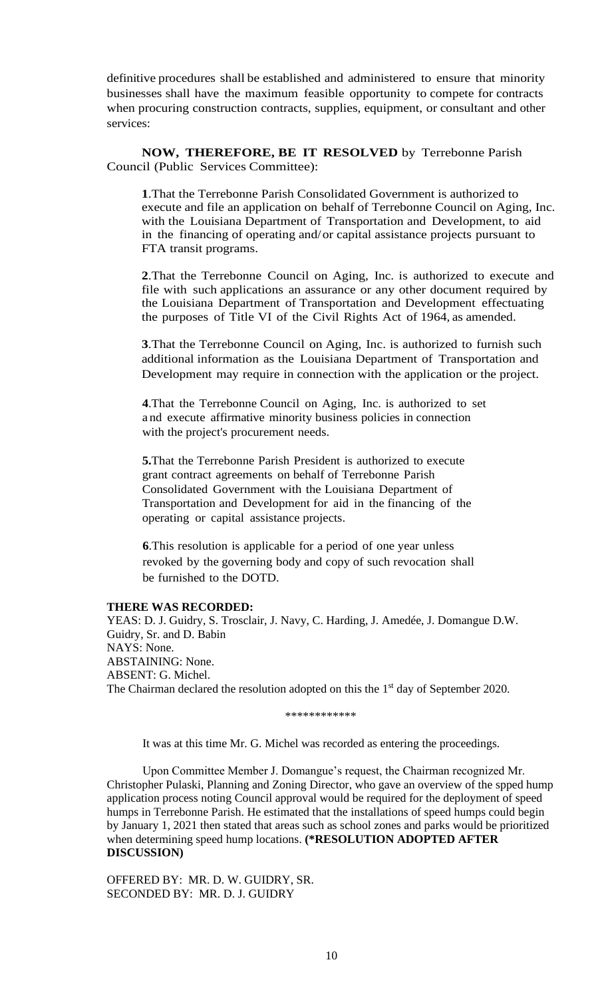definitive procedures shall be established and administered to ensure that minority businesses shall have the maximum feasible opportunity to compete for contracts when procuring construction contracts, supplies, equipment, or consultant and other services:

**NOW, THEREFORE, BE IT RESOLVED** by Terrebonne Parish Council (Public Services Committee):

**1**.That the Terrebonne Parish Consolidated Government is authorized to execute and file an application on behalf of Terrebonne Council on Aging, Inc. with the Louisiana Department of Transportation and Development, to aid in the financing of operating and/or capital assistance projects pursuant to FTA transit programs.

**2**.That the Terrebonne Council on Aging, Inc. is authorized to execute and file with such applications an assurance or any other document required by the Louisiana Department of Transportation and Development effectuating the purposes of Title VI of the Civil Rights Act of 1964, as amended.

**3**.That the Terrebonne Council on Aging, Inc. is authorized to furnish such additional information as the Louisiana Department of Transportation and Development may require in connection with the application or the project.

**4**.That the Terrebonne Council on Aging, Inc. is authorized to set a nd execute affirmative minority business policies in connection with the project's procurement needs.

**5.**That the Terrebonne Parish President is authorized to execute grant contract agreements on behalf of Terrebonne Parish Consolidated Government with the Louisiana Department of Transportation and Development for aid in the financing of the operating or capital assistance projects.

**6**.This resolution is applicable for a period of one year unless revoked by the governing body and copy of such revocation shall be furnished to the DOTD.

# **THERE WAS RECORDED:**

YEAS: D. J. Guidry, S. Trosclair, J. Navy, C. Harding, J. Amedée, J. Domangue D.W. Guidry, Sr. and D. Babin NAYS: None. ABSTAINING: None. ABSENT: G. Michel. The Chairman declared the resolution adopted on this the 1<sup>st</sup> day of September 2020.

```
************
```
It was at this time Mr. G. Michel was recorded as entering the proceedings.

Upon Committee Member J. Domangue's request, the Chairman recognized Mr. Christopher Pulaski, Planning and Zoning Director, who gave an overview of the spped hump application process noting Council approval would be required for the deployment of speed humps in Terrebonne Parish. He estimated that the installations of speed humps could begin by January 1, 2021 then stated that areas such as school zones and parks would be prioritized when determining speed hump locations. **(\*RESOLUTION ADOPTED AFTER DISCUSSION)**

OFFERED BY: MR. D. W. GUIDRY, SR. SECONDED BY: MR. D. J. GUIDRY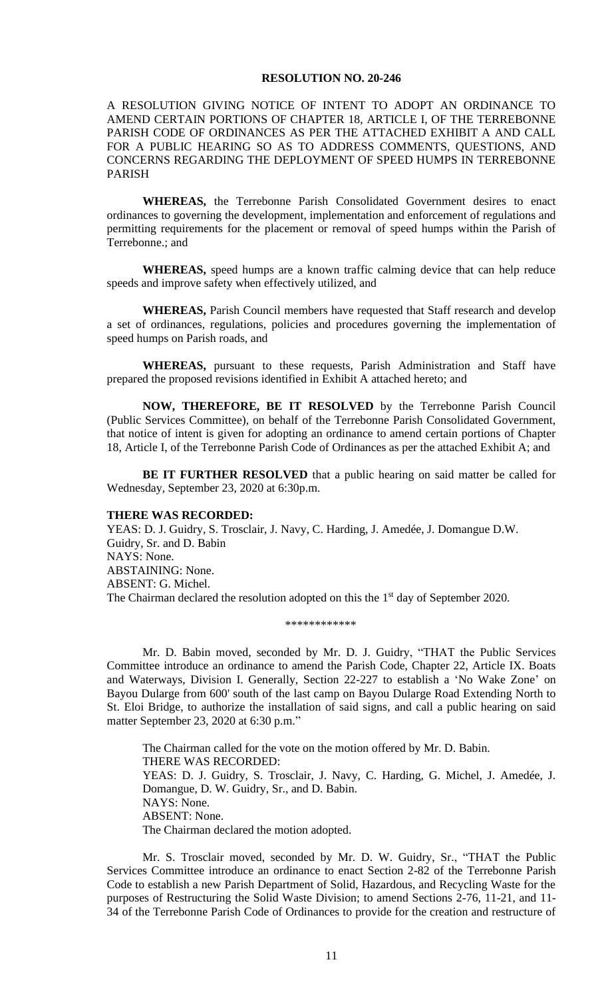### **RESOLUTION NO. 20-246**

A RESOLUTION GIVING NOTICE OF INTENT TO ADOPT AN ORDINANCE TO AMEND CERTAIN PORTIONS OF CHAPTER 18, ARTICLE I, OF THE TERREBONNE PARISH CODE OF ORDINANCES AS PER THE ATTACHED EXHIBIT A AND CALL FOR A PUBLIC HEARING SO AS TO ADDRESS COMMENTS, QUESTIONS, AND CONCERNS REGARDING THE DEPLOYMENT OF SPEED HUMPS IN TERREBONNE PARISH

**WHEREAS,** the Terrebonne Parish Consolidated Government desires to enact ordinances to governing the development, implementation and enforcement of regulations and permitting requirements for the placement or removal of speed humps within the Parish of Terrebonne.; and

**WHEREAS,** speed humps are a known traffic calming device that can help reduce speeds and improve safety when effectively utilized, and

**WHEREAS,** Parish Council members have requested that Staff research and develop a set of ordinances, regulations, policies and procedures governing the implementation of speed humps on Parish roads, and

**WHEREAS,** pursuant to these requests, Parish Administration and Staff have prepared the proposed revisions identified in Exhibit A attached hereto; and

**NOW, THEREFORE, BE IT RESOLVED** by the Terrebonne Parish Council (Public Services Committee), on behalf of the Terrebonne Parish Consolidated Government, that notice of intent is given for adopting an ordinance to amend certain portions of Chapter 18, Article I, of the Terrebonne Parish Code of Ordinances as per the attached Exhibit A; and

**BE IT FURTHER RESOLVED** that a public hearing on said matter be called for Wednesday, September 23, 2020 at 6:30p.m.

### **THERE WAS RECORDED:**

YEAS: D. J. Guidry, S. Trosclair, J. Navy, C. Harding, J. Amedée, J. Domangue D.W. Guidry, Sr. and D. Babin NAYS: None. ABSTAINING: None. ABSENT: G. Michel. The Chairman declared the resolution adopted on this the 1<sup>st</sup> day of September 2020.

\*\*\*\*\*\*\*\*\*\*\*\*

Mr. D. Babin moved, seconded by Mr. D. J. Guidry, "THAT the Public Services Committee introduce an ordinance to amend the Parish Code, Chapter 22, Article IX. Boats and Waterways, Division I. Generally, Section 22-227 to establish a 'No Wake Zone' on Bayou Dularge from 600' south of the last camp on Bayou Dularge Road Extending North to St. Eloi Bridge, to authorize the installation of said signs, and call a public hearing on said matter September 23, 2020 at 6:30 p.m."

The Chairman called for the vote on the motion offered by Mr. D. Babin. THERE WAS RECORDED: YEAS: D. J. Guidry, S. Trosclair, J. Navy, C. Harding, G. Michel, J. Amedée, J. Domangue, D. W. Guidry, Sr., and D. Babin. NAYS: None. ABSENT: None. The Chairman declared the motion adopted.

Mr. S. Trosclair moved, seconded by Mr. D. W. Guidry, Sr., "THAT the Public Services Committee introduce an ordinance to enact Section 2-82 of the Terrebonne Parish Code to establish a new Parish Department of Solid, Hazardous, and Recycling Waste for the purposes of Restructuring the Solid Waste Division; to amend Sections 2-76, 11-21, and 11- 34 of the Terrebonne Parish Code of Ordinances to provide for the creation and restructure of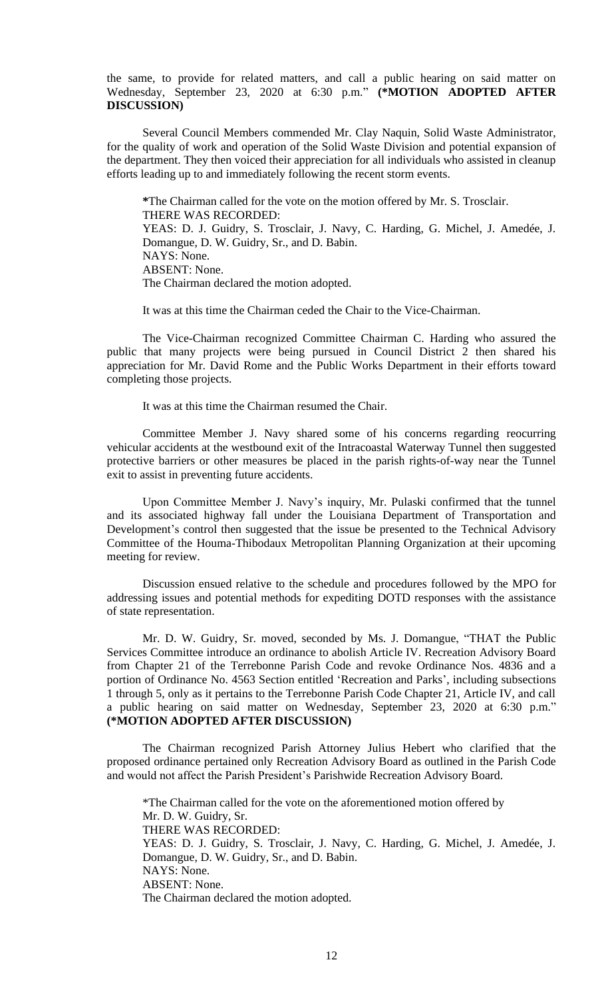the same, to provide for related matters, and call a public hearing on said matter on Wednesday, September 23, 2020 at 6:30 p.m." **(\*MOTION ADOPTED AFTER DISCUSSION)**

Several Council Members commended Mr. Clay Naquin, Solid Waste Administrator, for the quality of work and operation of the Solid Waste Division and potential expansion of the department. They then voiced their appreciation for all individuals who assisted in cleanup efforts leading up to and immediately following the recent storm events.

**\***The Chairman called for the vote on the motion offered by Mr. S. Trosclair. THERE WAS RECORDED: YEAS: D. J. Guidry, S. Trosclair, J. Navy, C. Harding, G. Michel, J. Amedée, J. Domangue, D. W. Guidry, Sr., and D. Babin. NAYS: None. ABSENT: None. The Chairman declared the motion adopted.

It was at this time the Chairman ceded the Chair to the Vice-Chairman.

The Vice-Chairman recognized Committee Chairman C. Harding who assured the public that many projects were being pursued in Council District 2 then shared his appreciation for Mr. David Rome and the Public Works Department in their efforts toward completing those projects.

It was at this time the Chairman resumed the Chair.

Committee Member J. Navy shared some of his concerns regarding reocurring vehicular accidents at the westbound exit of the Intracoastal Waterway Tunnel then suggested protective barriers or other measures be placed in the parish rights-of-way near the Tunnel exit to assist in preventing future accidents.

Upon Committee Member J. Navy's inquiry, Mr. Pulaski confirmed that the tunnel and its associated highway fall under the Louisiana Department of Transportation and Development's control then suggested that the issue be presented to the Technical Advisory Committee of the Houma-Thibodaux Metropolitan Planning Organization at their upcoming meeting for review.

Discussion ensued relative to the schedule and procedures followed by the MPO for addressing issues and potential methods for expediting DOTD responses with the assistance of state representation.

Mr. D. W. Guidry, Sr. moved, seconded by Ms. J. Domangue, "THAT the Public Services Committee introduce an ordinance to abolish Article IV. Recreation Advisory Board from Chapter 21 of the Terrebonne Parish Code and revoke Ordinance Nos. 4836 and a portion of Ordinance No. 4563 Section entitled 'Recreation and Parks', including subsections 1 through 5, only as it pertains to the Terrebonne Parish Code Chapter 21, Article IV, and call a public hearing on said matter on Wednesday, September 23, 2020 at 6:30 p.m." **(\*MOTION ADOPTED AFTER DISCUSSION)**

The Chairman recognized Parish Attorney Julius Hebert who clarified that the proposed ordinance pertained only Recreation Advisory Board as outlined in the Parish Code and would not affect the Parish President's Parishwide Recreation Advisory Board.

\*The Chairman called for the vote on the aforementioned motion offered by Mr. D. W. Guidry, Sr. THERE WAS RECORDED: YEAS: D. J. Guidry, S. Trosclair, J. Navy, C. Harding, G. Michel, J. Amedée, J. Domangue, D. W. Guidry, Sr., and D. Babin. NAYS: None. ABSENT: None. The Chairman declared the motion adopted.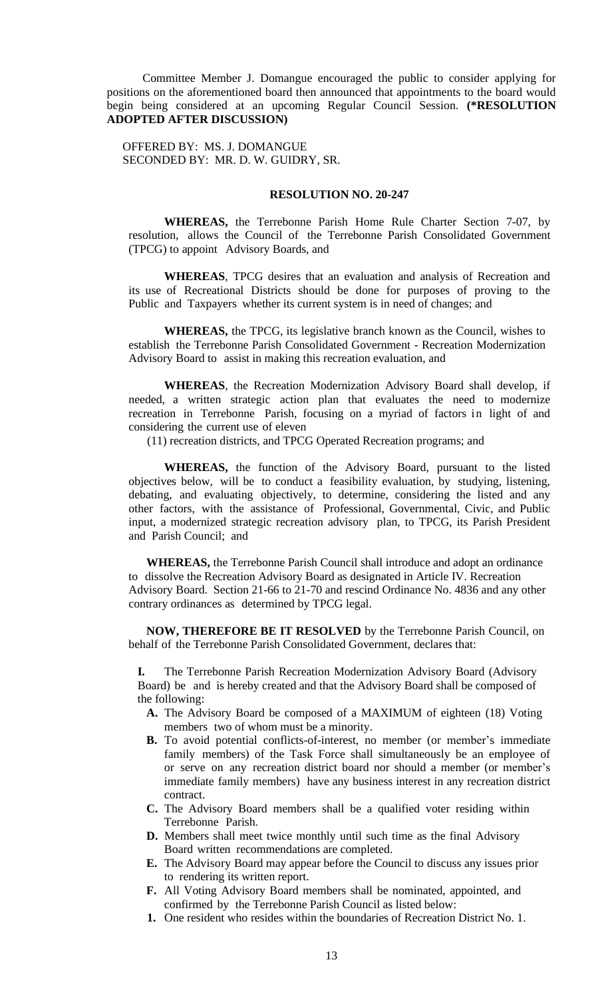Committee Member J. Domangue encouraged the public to consider applying for positions on the aforementioned board then announced that appointments to the board would begin being considered at an upcoming Regular Council Session. **(\*RESOLUTION ADOPTED AFTER DISCUSSION)**

OFFERED BY: MS. J. DOMANGUE SECONDED BY: MR. D. W. GUIDRY, SR.

# **RESOLUTION NO. 20-247**

**WHEREAS,** the Terrebonne Parish Home Rule Charter Section 7-07, by resolution, allows the Council of the Terrebonne Parish Consolidated Government (TPCG) to appoint Advisory Boards, and

**WHEREAS**, TPCG desires that an evaluation and analysis of Recreation and its use of Recreational Districts should be done for purposes of proving to the Public and Taxpayers whether its current system is in need of changes; and

**WHEREAS,** the TPCG, its legislative branch known as the Council, wishes to establish the Terrebonne Parish Consolidated Government - Recreation Modernization Advisory Board to assist in making this recreation evaluation, and

**WHEREAS**, the Recreation Modernization Advisory Board shall develop, if needed, a written strategic action plan that evaluates the need to modernize recreation in Terrebonne Parish, focusing on a myriad of factors in light of and considering the current use of eleven

(11) recreation districts, and TPCG Operated Recreation programs; and

**WHEREAS,** the function of the Advisory Board, pursuant to the listed objectives below, will be to conduct a feasibility evaluation, by studying, listening, debating, and evaluating objectively, to determine, considering the listed and any other factors, with the assistance of Professional, Governmental, Civic, and Public input, a modernized strategic recreation advisory plan, to TPCG, its Parish President and Parish Council; and

**WHEREAS,** the Terrebonne Parish Council shall introduce and adopt an ordinance to dissolve the Recreation Advisory Board as designated in Article IV. Recreation Advisory Board. Section 21-66 to 21-70 and rescind Ordinance No. 4836 and any other contrary ordinances as determined by TPCG legal.

**NOW, THEREFORE BE IT RESOLVED** by the Terrebonne Parish Council, on behalf of the Terrebonne Parish Consolidated Government, declares that:

**I.** The Terrebonne Parish Recreation Modernization Advisory Board (Advisory Board) be and is hereby created and that the Advisory Board shall be composed of the following:

- **A.** The Advisory Board be composed of a MAXIMUM of eighteen (18) Voting members two of whom must be a minority.
- **B.** To avoid potential conflicts-of-interest, no member (or member's immediate family members) of the Task Force shall simultaneously be an employee of or serve on any recreation district board nor should a member (or member's immediate family members) have any business interest in any recreation district contract.
- **C.** The Advisory Board members shall be a qualified voter residing within Terrebonne Parish.
- **D.** Members shall meet twice monthly until such time as the final Advisory Board written recommendations are completed.
- **E.** The Advisory Board may appear before the Council to discuss any issues prior to rendering its written report.
- **F.** All Voting Advisory Board members shall be nominated, appointed, and confirmed by the Terrebonne Parish Council as listed below:
- **1.** One resident who resides within the boundaries of Recreation District No. 1.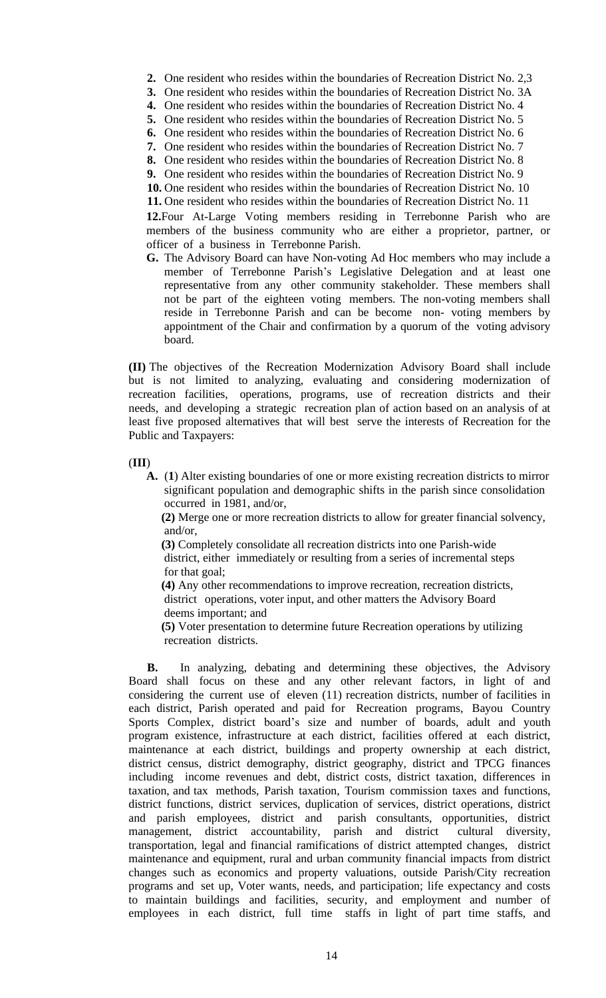- **2.** One resident who resides within the boundaries of Recreation District No. 2,3
- **3.** One resident who resides within the boundaries of Recreation District No. 3A
- **4.** One resident who resides within the boundaries of Recreation District No. 4
- **5.** One resident who resides within the boundaries of Recreation District No. 5
- **6.** One resident who resides within the boundaries of Recreation District No. 6
- **7.** One resident who resides within the boundaries of Recreation District No. 7
- **8.** One resident who resides within the boundaries of Recreation District No. 8
- **9.** One resident who resides within the boundaries of Recreation District No. 9
- **10.** One resident who resides within the boundaries of Recreation District No. 10 **11.** One resident who resides within the boundaries of Recreation District No. 11

**12.**Four At-Large Voting members residing in Terrebonne Parish who are members of the business community who are either a proprietor, partner, or

officer of a business in Terrebonne Parish. **G.** The Advisory Board can have Non-voting Ad Hoc members who may include a

member of Terrebonne Parish's Legislative Delegation and at least one representative from any other community stakeholder. These members shall not be part of the eighteen voting members. The non-voting members shall reside in Terrebonne Parish and can be become non- voting members by appointment of the Chair and confirmation by a quorum of the voting advisory board.

**(II)** The objectives of the Recreation Modernization Advisory Board shall include but is not limited to analyzing, evaluating and considering modernization of recreation facilities, operations, programs, use of recreation districts and their needs, and developing a strategic recreation plan of action based on an analysis of at least five proposed alternatives that will best serve the interests of Recreation for the Public and Taxpayers:

# (**III**)

**A.** (**1**) Alter existing boundaries of one or more existing recreation districts to mirror significant population and demographic shifts in the parish since consolidation occurred in 1981, and/or,

**(2)** Merge one or more recreation districts to allow for greater financial solvency, and/or,

**(3)** Completely consolidate all recreation districts into one Parish-wide district, either immediately or resulting from a series of incremental steps for that goal;

**(4)** Any other recommendations to improve recreation, recreation districts, district operations, voter input, and other matters the Advisory Board deems important; and

**(5)** Voter presentation to determine future Recreation operations by utilizing recreation districts.

**B.** In analyzing, debating and determining these objectives, the Advisory Board shall focus on these and any other relevant factors, in light of and considering the current use of eleven (11) recreation districts, number of facilities in each district, Parish operated and paid for Recreation programs, Bayou Country Sports Complex, district board's size and number of boards, adult and youth program existence, infrastructure at each district, facilities offered at each district, maintenance at each district, buildings and property ownership at each district, district census, district demography, district geography, district and TPCG finances including income revenues and debt, district costs, district taxation, differences in taxation, and tax methods, Parish taxation, Tourism commission taxes and functions, district functions, district services, duplication of services, district operations, district and parish employees, district and parish consultants, opportunities, district management, district accountability, parish and district cultural diversity, transportation, legal and financial ramifications of district attempted changes, district maintenance and equipment, rural and urban community financial impacts from district changes such as economics and property valuations, outside Parish/City recreation programs and set up, Voter wants, needs, and participation; life expectancy and costs to maintain buildings and facilities, security, and employment and number of employees in each district, full time staffs in light of part time staffs, and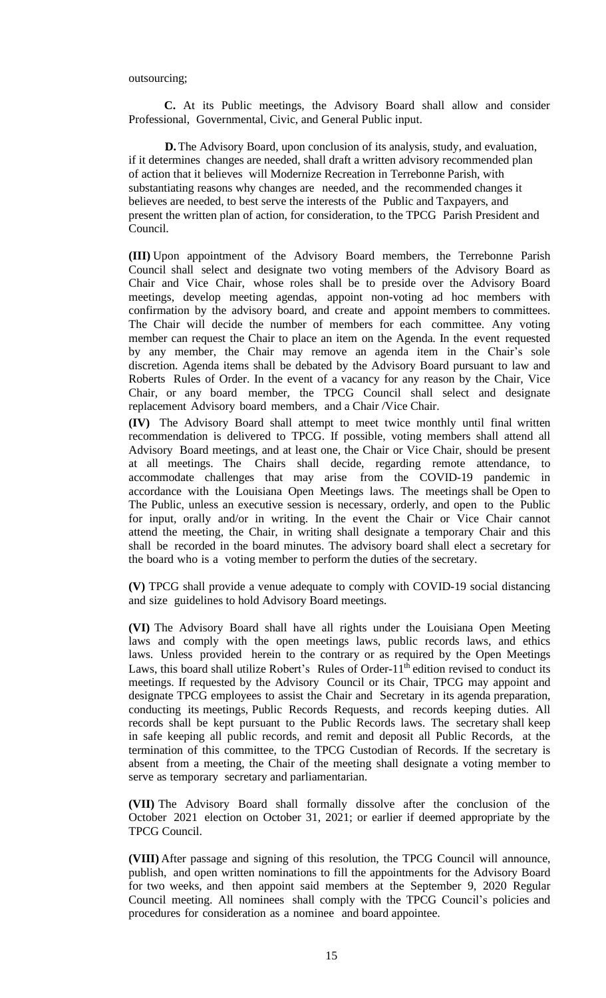### outsourcing;

**C.** At its Public meetings, the Advisory Board shall allow and consider Professional, Governmental, Civic, and General Public input.

**D.**The Advisory Board, upon conclusion of its analysis, study, and evaluation, if it determines changes are needed, shall draft a written advisory recommended plan of action that it believes will Modernize Recreation in Terrebonne Parish, with substantiating reasons why changes are needed, and the recommended changes it believes are needed, to best serve the interests of the Public and Taxpayers, and present the written plan of action, for consideration, to the TPCG Parish President and Council.

**(III)** Upon appointment of the Advisory Board members, the Terrebonne Parish Council shall select and designate two voting members of the Advisory Board as Chair and Vice Chair, whose roles shall be to preside over the Advisory Board meetings, develop meeting agendas, appoint non-voting ad hoc members with confirmation by the advisory board, and create and appoint members to committees. The Chair will decide the number of members for each committee. Any voting member can request the Chair to place an item on the Agenda. In the event requested by any member, the Chair may remove an agenda item in the Chair's sole discretion. Agenda items shall be debated by the Advisory Board pursuant to law and Roberts Rules of Order. In the event of a vacancy for any reason by the Chair, Vice Chair, or any board member, the TPCG Council shall select and designate replacement Advisory board members, and a Chair /Vice Chair.

**(IV)** The Advisory Board shall attempt to meet twice monthly until final written recommendation is delivered to TPCG. If possible, voting members shall attend all Advisory Board meetings, and at least one, the Chair or Vice Chair, should be present at all meetings. The Chairs shall decide, regarding remote attendance, to accommodate challenges that may arise from the COVID-19 pandemic in accordance with the Louisiana Open Meetings laws. The meetings shall be Open to The Public, unless an executive session is necessary, orderly, and open to the Public for input, orally and/or in writing. In the event the Chair or Vice Chair cannot attend the meeting, the Chair, in writing shall designate a temporary Chair and this shall be recorded in the board minutes. The advisory board shall elect a secretary for the board who is a voting member to perform the duties of the secretary.

**(V)** TPCG shall provide a venue adequate to comply with COVID-19 social distancing and size guidelines to hold Advisory Board meetings.

**(VI)** The Advisory Board shall have all rights under the Louisiana Open Meeting laws and comply with the open meetings laws, public records laws, and ethics laws. Unless provided herein to the contrary or as required by the Open Meetings Laws, this board shall utilize Robert's Rules of Order- $11<sup>th</sup>$  edition revised to conduct its meetings. If requested by the Advisory Council or its Chair, TPCG may appoint and designate TPCG employees to assist the Chair and Secretary in its agenda preparation, conducting its meetings, Public Records Requests, and records keeping duties. All records shall be kept pursuant to the Public Records laws. The secretary shall keep in safe keeping all public records, and remit and deposit all Public Records, at the termination of this committee, to the TPCG Custodian of Records. If the secretary is absent from a meeting, the Chair of the meeting shall designate a voting member to serve as temporary secretary and parliamentarian.

**(VII)** The Advisory Board shall formally dissolve after the conclusion of the October 2021 election on October 31, 2021; or earlier if deemed appropriate by the TPCG Council.

**(VIII)** After passage and signing of this resolution, the TPCG Council will announce, publish, and open written nominations to fill the appointments for the Advisory Board for two weeks, and then appoint said members at the September 9, 2020 Regular Council meeting. All nominees shall comply with the TPCG Council's policies and procedures for consideration as a nominee and board appointee.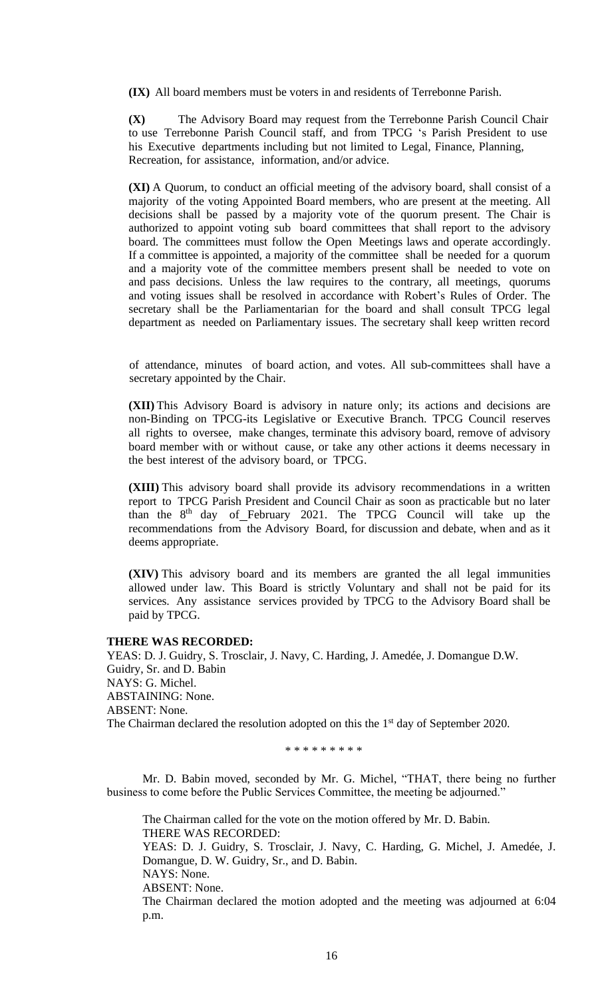**(IX)** All board members must be voters in and residents of Terrebonne Parish.

**(X)** The Advisory Board may request from the Terrebonne Parish Council Chair to use Terrebonne Parish Council staff, and from TPCG 's Parish President to use his Executive departments including but not limited to Legal, Finance, Planning, Recreation, for assistance, information, and/or advice.

**(XI)** A Quorum, to conduct an official meeting of the advisory board, shall consist of a majority of the voting Appointed Board members, who are present at the meeting. All decisions shall be passed by a majority vote of the quorum present. The Chair is authorized to appoint voting sub board committees that shall report to the advisory board. The committees must follow the Open Meetings laws and operate accordingly. If a committee is appointed, a majority of the committee shall be needed for a quorum and a majority vote of the committee members present shall be needed to vote on and pass decisions. Unless the law requires to the contrary, all meetings, quorums and voting issues shall be resolved in accordance with Robert's Rules of Order. The secretary shall be the Parliamentarian for the board and shall consult TPCG legal department as needed on Parliamentary issues. The secretary shall keep written record

of attendance, minutes of board action, and votes. All sub-committees shall have a secretary appointed by the Chair.

**(XII)** This Advisory Board is advisory in nature only; its actions and decisions are non-Binding on TPCG-its Legislative or Executive Branch. TPCG Council reserves all rights to oversee, make changes, terminate this advisory board, remove of advisory board member with or without cause, or take any other actions it deems necessary in the best interest of the advisory board, or TPCG.

**(XIII)** This advisory board shall provide its advisory recommendations in a written report to TPCG Parish President and Council Chair as soon as practicable but no later than the  $8<sup>th</sup>$  day of February 2021. The TPCG Council will take up the recommendations from the Advisory Board, for discussion and debate, when and as it deems appropriate.

**(XIV)** This advisory board and its members are granted the all legal immunities allowed under law. This Board is strictly Voluntary and shall not be paid for its services. Any assistance services provided by TPCG to the Advisory Board shall be paid by TPCG.

# **THERE WAS RECORDED:**

YEAS: D. J. Guidry, S. Trosclair, J. Navy, C. Harding, J. Amedée, J. Domangue D.W. Guidry, Sr. and D. Babin NAYS: G. Michel. ABSTAINING: None. ABSENT: None. The Chairman declared the resolution adopted on this the 1<sup>st</sup> day of September 2020.

\* \* \* \* \* \* \* \* \*

Mr. D. Babin moved, seconded by Mr. G. Michel, "THAT, there being no further business to come before the Public Services Committee, the meeting be adjourned."

The Chairman called for the vote on the motion offered by Mr. D. Babin. THERE WAS RECORDED:

YEAS: D. J. Guidry, S. Trosclair, J. Navy, C. Harding, G. Michel, J. Amedée, J. Domangue, D. W. Guidry, Sr., and D. Babin.

NAYS: None.

ABSENT: None.

The Chairman declared the motion adopted and the meeting was adjourned at 6:04 p.m.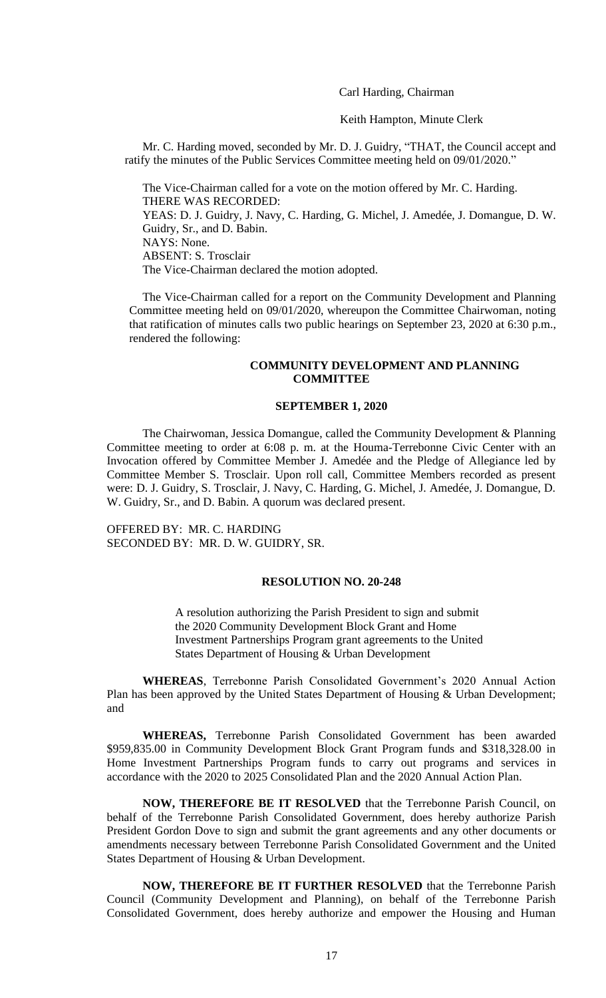Carl Harding, Chairman

Keith Hampton, Minute Clerk

Mr. C. Harding moved, seconded by Mr. D. J. Guidry, "THAT, the Council accept and ratify the minutes of the Public Services Committee meeting held on 09/01/2020."

The Vice-Chairman called for a vote on the motion offered by Mr. C. Harding. THERE WAS RECORDED: YEAS: D. J. Guidry, J. Navy, C. Harding, G. Michel, J. Amedée, J. Domangue, D. W. Guidry, Sr., and D. Babin. NAYS: None. ABSENT: S. Trosclair The Vice-Chairman declared the motion adopted.

The Vice-Chairman called for a report on the Community Development and Planning Committee meeting held on 09/01/2020, whereupon the Committee Chairwoman, noting that ratification of minutes calls two public hearings on September 23, 2020 at 6:30 p.m., rendered the following:

# **COMMUNITY DEVELOPMENT AND PLANNING COMMITTEE**

### **SEPTEMBER 1, 2020**

The Chairwoman, Jessica Domangue, called the Community Development & Planning Committee meeting to order at 6:08 p. m. at the Houma-Terrebonne Civic Center with an Invocation offered by Committee Member J. Amedée and the Pledge of Allegiance led by Committee Member S. Trosclair. Upon roll call, Committee Members recorded as present were: D. J. Guidry, S. Trosclair, J. Navy, C. Harding, G. Michel, J. Amedée, J. Domangue, D. W. Guidry, Sr., and D. Babin. A quorum was declared present.

OFFERED BY: MR. C. HARDING SECONDED BY: MR. D. W. GUIDRY, SR.

### **RESOLUTION NO. 20-248**

 A resolution authorizing the Parish President to sign and submit the 2020 Community Development Block Grant and Home Investment Partnerships Program grant agreements to the United States Department of Housing & Urban Development

**WHEREAS**, Terrebonne Parish Consolidated Government's 2020 Annual Action Plan has been approved by the United States Department of Housing & Urban Development; and

**WHEREAS,** Terrebonne Parish Consolidated Government has been awarded \$959,835.00 in Community Development Block Grant Program funds and \$318,328.00 in Home Investment Partnerships Program funds to carry out programs and services in accordance with the 2020 to 2025 Consolidated Plan and the 2020 Annual Action Plan.

**NOW, THEREFORE BE IT RESOLVED** that the Terrebonne Parish Council, on behalf of the Terrebonne Parish Consolidated Government, does hereby authorize Parish President Gordon Dove to sign and submit the grant agreements and any other documents or amendments necessary between Terrebonne Parish Consolidated Government and the United States Department of Housing & Urban Development.

**NOW, THEREFORE BE IT FURTHER RESOLVED** that the Terrebonne Parish Council (Community Development and Planning), on behalf of the Terrebonne Parish Consolidated Government, does hereby authorize and empower the Housing and Human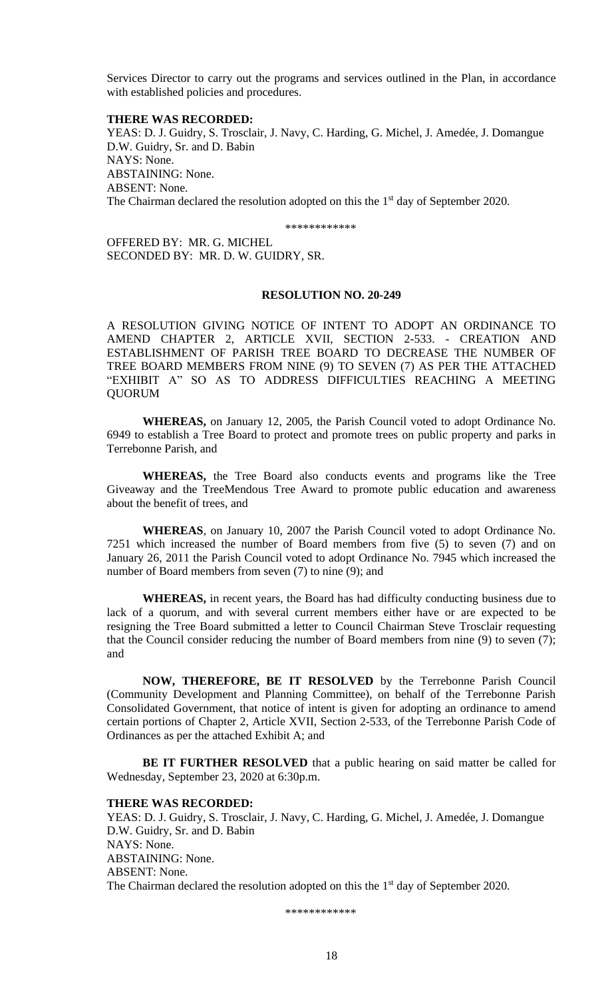Services Director to carry out the programs and services outlined in the Plan, in accordance with established policies and procedures.

#### **THERE WAS RECORDED:**

YEAS: D. J. Guidry, S. Trosclair, J. Navy, C. Harding, G. Michel, J. Amedée, J. Domangue D.W. Guidry, Sr. and D. Babin NAYS: None. ABSTAINING: None. ABSENT: None. The Chairman declared the resolution adopted on this the 1<sup>st</sup> day of September 2020.

\*\*\*\*\*\*\*\*\*\*\*\*

OFFERED BY: MR. G. MICHEL SECONDED BY: MR. D. W. GUIDRY, SR.

### **RESOLUTION NO. 20-249**

A RESOLUTION GIVING NOTICE OF INTENT TO ADOPT AN ORDINANCE TO AMEND CHAPTER 2, ARTICLE XVII, SECTION 2-533. - CREATION AND ESTABLISHMENT OF PARISH TREE BOARD TO DECREASE THE NUMBER OF TREE BOARD MEMBERS FROM NINE (9) TO SEVEN (7) AS PER THE ATTACHED "EXHIBIT A" SO AS TO ADDRESS DIFFICULTIES REACHING A MEETING QUORUM

**WHEREAS,** on January 12, 2005, the Parish Council voted to adopt Ordinance No. 6949 to establish a Tree Board to protect and promote trees on public property and parks in Terrebonne Parish, and

**WHEREAS,** the Tree Board also conducts events and programs like the Tree Giveaway and the TreeMendous Tree Award to promote public education and awareness about the benefit of trees, and

**WHEREAS**, on January 10, 2007 the Parish Council voted to adopt Ordinance No. 7251 which increased the number of Board members from five (5) to seven (7) and on January 26, 2011 the Parish Council voted to adopt Ordinance No. 7945 which increased the number of Board members from seven (7) to nine (9); and

**WHEREAS,** in recent years, the Board has had difficulty conducting business due to lack of a quorum, and with several current members either have or are expected to be resigning the Tree Board submitted a letter to Council Chairman Steve Trosclair requesting that the Council consider reducing the number of Board members from nine (9) to seven (7); and

**NOW, THEREFORE, BE IT RESOLVED** by the Terrebonne Parish Council (Community Development and Planning Committee), on behalf of the Terrebonne Parish Consolidated Government, that notice of intent is given for adopting an ordinance to amend certain portions of Chapter 2, Article XVII, Section 2-533, of the Terrebonne Parish Code of Ordinances as per the attached Exhibit A; and

**BE IT FURTHER RESOLVED** that a public hearing on said matter be called for Wednesday, September 23, 2020 at 6:30p.m.

#### **THERE WAS RECORDED:**

YEAS: D. J. Guidry, S. Trosclair, J. Navy, C. Harding, G. Michel, J. Amedée, J. Domangue D.W. Guidry, Sr. and D. Babin NAYS: None. ABSTAINING: None. ABSENT: None. The Chairman declared the resolution adopted on this the  $1<sup>st</sup>$  day of September 2020.

\*\*\*\*\*\*\*\*\*\*\*\*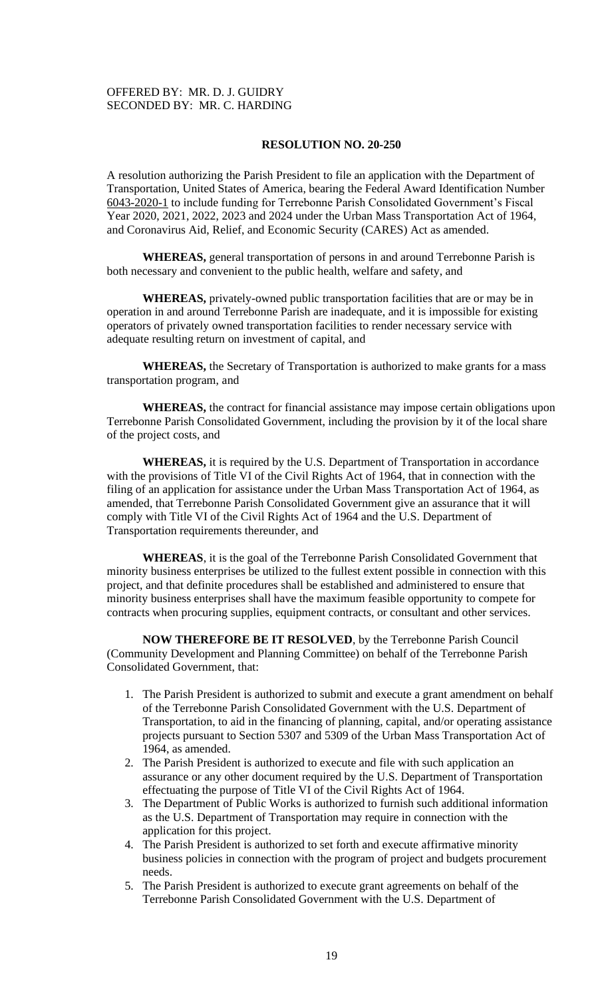# OFFERED BY: MR. D. J. GUIDRY SECONDED BY: MR. C. HARDING

# **RESOLUTION NO. 20-250**

A resolution authorizing the Parish President to file an application with the Department of Transportation, United States of America, bearing the Federal Award Identification Number 6043-2020-1 to include funding for Terrebonne Parish Consolidated Government's Fiscal Year 2020, 2021, 2022, 2023 and 2024 under the Urban Mass Transportation Act of 1964, and Coronavirus Aid, Relief, and Economic Security (CARES) Act as amended.

**WHEREAS,** general transportation of persons in and around Terrebonne Parish is both necessary and convenient to the public health, welfare and safety, and

**WHEREAS,** privately-owned public transportation facilities that are or may be in operation in and around Terrebonne Parish are inadequate, and it is impossible for existing operators of privately owned transportation facilities to render necessary service with adequate resulting return on investment of capital, and

**WHEREAS,** the Secretary of Transportation is authorized to make grants for a mass transportation program, and

**WHEREAS,** the contract for financial assistance may impose certain obligations upon Terrebonne Parish Consolidated Government, including the provision by it of the local share of the project costs, and

**WHEREAS,** it is required by the U.S. Department of Transportation in accordance with the provisions of Title VI of the Civil Rights Act of 1964, that in connection with the filing of an application for assistance under the Urban Mass Transportation Act of 1964, as amended, that Terrebonne Parish Consolidated Government give an assurance that it will comply with Title VI of the Civil Rights Act of 1964 and the U.S. Department of Transportation requirements thereunder, and

**WHEREAS**, it is the goal of the Terrebonne Parish Consolidated Government that minority business enterprises be utilized to the fullest extent possible in connection with this project, and that definite procedures shall be established and administered to ensure that minority business enterprises shall have the maximum feasible opportunity to compete for contracts when procuring supplies, equipment contracts, or consultant and other services.

**NOW THEREFORE BE IT RESOLVED**, by the Terrebonne Parish Council (Community Development and Planning Committee) on behalf of the Terrebonne Parish Consolidated Government, that:

- 1. The Parish President is authorized to submit and execute a grant amendment on behalf of the Terrebonne Parish Consolidated Government with the U.S. Department of Transportation, to aid in the financing of planning, capital, and/or operating assistance projects pursuant to Section 5307 and 5309 of the Urban Mass Transportation Act of 1964, as amended.
- 2. The Parish President is authorized to execute and file with such application an assurance or any other document required by the U.S. Department of Transportation effectuating the purpose of Title VI of the Civil Rights Act of 1964.
- 3. The Department of Public Works is authorized to furnish such additional information as the U.S. Department of Transportation may require in connection with the application for this project.
- 4. The Parish President is authorized to set forth and execute affirmative minority business policies in connection with the program of project and budgets procurement needs.
- 5. The Parish President is authorized to execute grant agreements on behalf of the Terrebonne Parish Consolidated Government with the U.S. Department of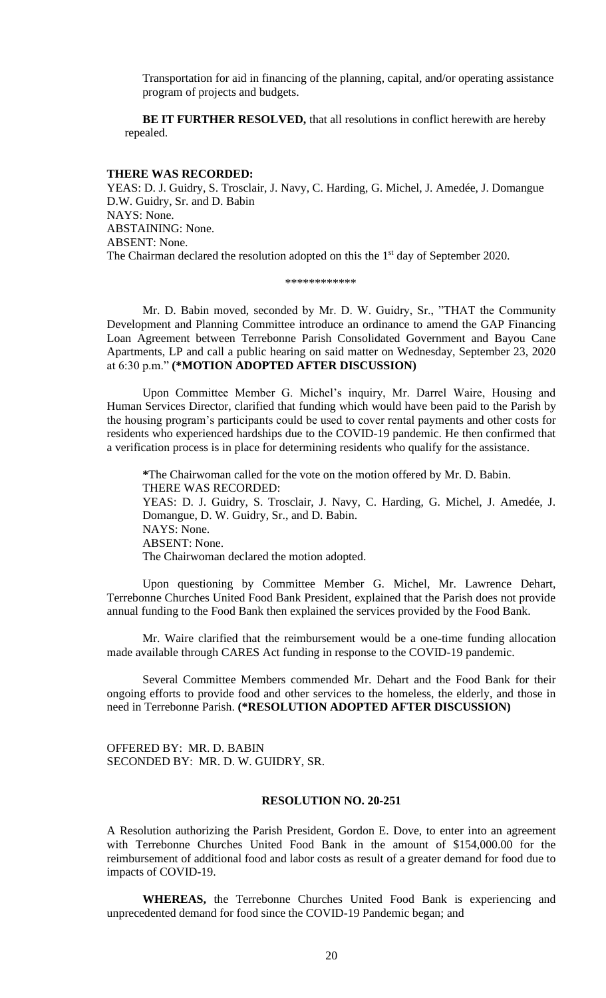Transportation for aid in financing of the planning, capital, and/or operating assistance program of projects and budgets.

**BE IT FURTHER RESOLVED,** that all resolutions in conflict herewith are hereby repealed.

### **THERE WAS RECORDED:**

YEAS: D. J. Guidry, S. Trosclair, J. Navy, C. Harding, G. Michel, J. Amedée, J. Domangue D.W. Guidry, Sr. and D. Babin NAYS: None. ABSTAINING: None. ABSENT: None. The Chairman declared the resolution adopted on this the 1<sup>st</sup> day of September 2020.

\*\*\*\*\*\*\*\*\*\*\*\*

Mr. D. Babin moved, seconded by Mr. D. W. Guidry, Sr., "THAT the Community Development and Planning Committee introduce an ordinance to amend the GAP Financing Loan Agreement between Terrebonne Parish Consolidated Government and Bayou Cane Apartments, LP and call a public hearing on said matter on Wednesday, September 23, 2020 at 6:30 p.m." **(\*MOTION ADOPTED AFTER DISCUSSION)**

Upon Committee Member G. Michel's inquiry, Mr. Darrel Waire, Housing and Human Services Director, clarified that funding which would have been paid to the Parish by the housing program's participants could be used to cover rental payments and other costs for residents who experienced hardships due to the COVID-19 pandemic. He then confirmed that a verification process is in place for determining residents who qualify for the assistance.

**\***The Chairwoman called for the vote on the motion offered by Mr. D. Babin. THERE WAS RECORDED: YEAS: D. J. Guidry, S. Trosclair, J. Navy, C. Harding, G. Michel, J. Amedée, J. Domangue, D. W. Guidry, Sr., and D. Babin. NAYS: None. ABSENT: None. The Chairwoman declared the motion adopted.

Upon questioning by Committee Member G. Michel, Mr. Lawrence Dehart, Terrebonne Churches United Food Bank President, explained that the Parish does not provide annual funding to the Food Bank then explained the services provided by the Food Bank.

Mr. Waire clarified that the reimbursement would be a one-time funding allocation made available through CARES Act funding in response to the COVID-19 pandemic.

Several Committee Members commended Mr. Dehart and the Food Bank for their ongoing efforts to provide food and other services to the homeless, the elderly, and those in need in Terrebonne Parish. **(\*RESOLUTION ADOPTED AFTER DISCUSSION)**

OFFERED BY: MR. D. BABIN SECONDED BY: MR. D. W. GUIDRY, SR.

# **RESOLUTION NO. 20-251**

A Resolution authorizing the Parish President, Gordon E. Dove, to enter into an agreement with Terrebonne Churches United Food Bank in the amount of \$154,000.00 for the reimbursement of additional food and labor costs as result of a greater demand for food due to impacts of COVID-19.

**WHEREAS,** the Terrebonne Churches United Food Bank is experiencing and unprecedented demand for food since the COVID-19 Pandemic began; and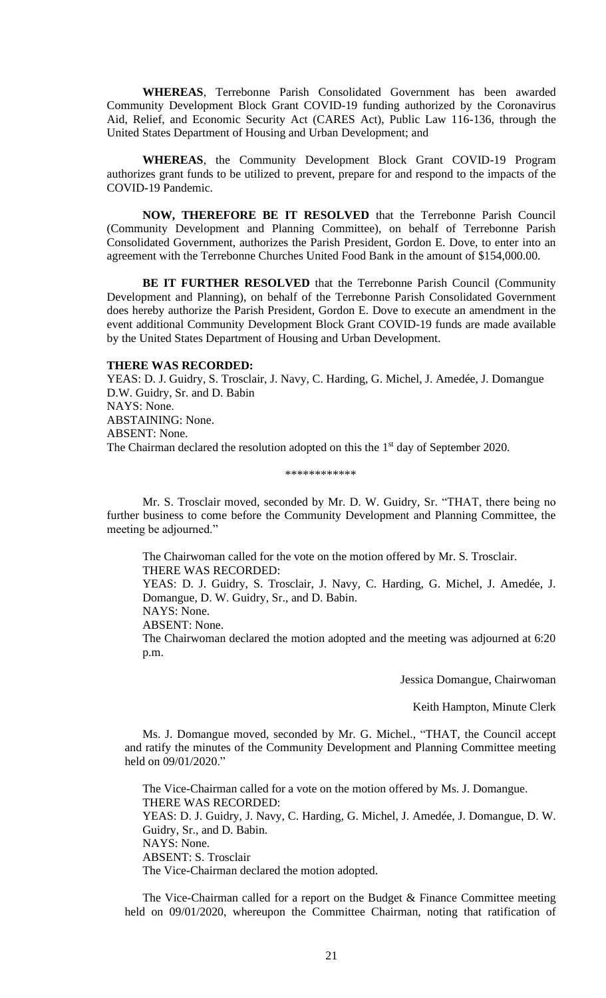**WHEREAS**, Terrebonne Parish Consolidated Government has been awarded Community Development Block Grant COVID-19 funding authorized by the Coronavirus Aid, Relief, and Economic Security Act (CARES Act), Public Law 116-136, through the United States Department of Housing and Urban Development; and

**WHEREAS**, the Community Development Block Grant COVID-19 Program authorizes grant funds to be utilized to prevent, prepare for and respond to the impacts of the COVID-19 Pandemic.

**NOW, THEREFORE BE IT RESOLVED** that the Terrebonne Parish Council (Community Development and Planning Committee), on behalf of Terrebonne Parish Consolidated Government, authorizes the Parish President, Gordon E. Dove, to enter into an agreement with the Terrebonne Churches United Food Bank in the amount of \$154,000.00.

**BE IT FURTHER RESOLVED** that the Terrebonne Parish Council (Community Development and Planning), on behalf of the Terrebonne Parish Consolidated Government does hereby authorize the Parish President, Gordon E. Dove to execute an amendment in the event additional Community Development Block Grant COVID-19 funds are made available by the United States Department of Housing and Urban Development.

### **THERE WAS RECORDED:**

YEAS: D. J. Guidry, S. Trosclair, J. Navy, C. Harding, G. Michel, J. Amedée, J. Domangue D.W. Guidry, Sr. and D. Babin NAYS: None. ABSTAINING: None. ABSENT: None. The Chairman declared the resolution adopted on this the  $1<sup>st</sup>$  day of September 2020.

#### \*\*\*\*\*\*\*\*\*\*\*\*

Mr. S. Trosclair moved, seconded by Mr. D. W. Guidry, Sr. "THAT, there being no further business to come before the Community Development and Planning Committee, the meeting be adjourned."

The Chairwoman called for the vote on the motion offered by Mr. S. Trosclair. THERE WAS RECORDED:

YEAS: D. J. Guidry, S. Trosclair, J. Navy, C. Harding, G. Michel, J. Amedée, J. Domangue, D. W. Guidry, Sr., and D. Babin.

NAYS: None.

ABSENT: None.

The Chairwoman declared the motion adopted and the meeting was adjourned at 6:20 p.m.

Jessica Domangue, Chairwoman

Keith Hampton, Minute Clerk

Ms. J. Domangue moved, seconded by Mr. G. Michel., "THAT, the Council accept and ratify the minutes of the Community Development and Planning Committee meeting held on 09/01/2020."

The Vice-Chairman called for a vote on the motion offered by Ms. J. Domangue. THERE WAS RECORDED: YEAS: D. J. Guidry, J. Navy, C. Harding, G. Michel, J. Amedée, J. Domangue, D. W. Guidry, Sr., and D. Babin. NAYS: None. ABSENT: S. Trosclair The Vice-Chairman declared the motion adopted.

The Vice-Chairman called for a report on the Budget & Finance Committee meeting held on 09/01/2020, whereupon the Committee Chairman, noting that ratification of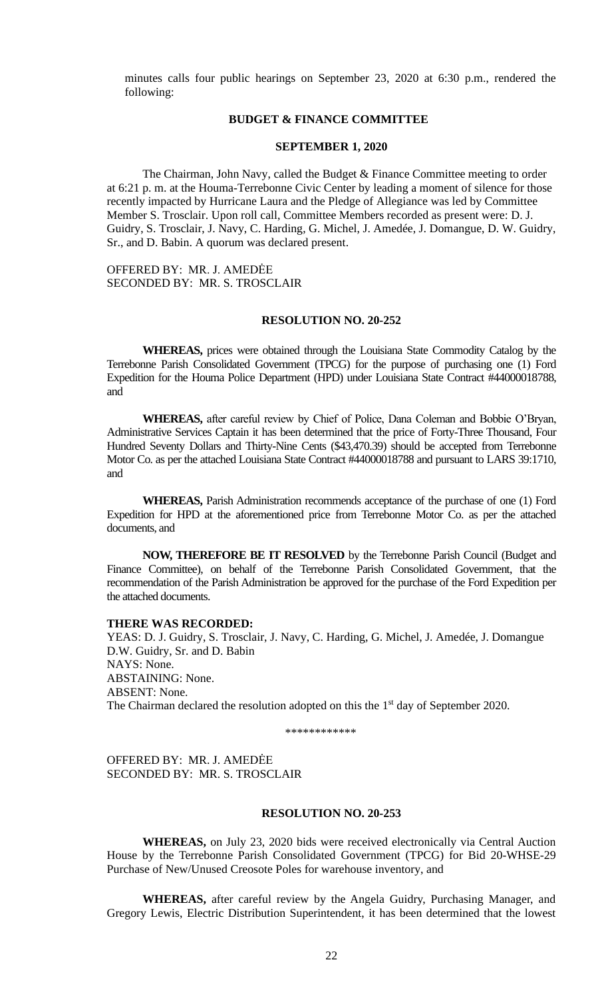minutes calls four public hearings on September 23, 2020 at 6:30 p.m., rendered the following:

# **BUDGET & FINANCE COMMITTEE**

### **SEPTEMBER 1, 2020**

The Chairman, John Navy, called the Budget & Finance Committee meeting to order at 6:21 p. m. at the Houma-Terrebonne Civic Center by leading a moment of silence for those recently impacted by Hurricane Laura and the Pledge of Allegiance was led by Committee Member S. Trosclair. Upon roll call, Committee Members recorded as present were: D. J. Guidry, S. Trosclair, J. Navy, C. Harding, G. Michel, J. Amedée, J. Domangue, D. W. Guidry, Sr., and D. Babin. A quorum was declared present.

OFFERED BY: MR. J. AMEDĖE SECONDED BY: MR. S. TROSCLAIR

### **RESOLUTION NO. 20-252**

**WHEREAS,** prices were obtained through the Louisiana State Commodity Catalog by the Terrebonne Parish Consolidated Government (TPCG) for the purpose of purchasing one (1) Ford Expedition for the Houma Police Department (HPD) under Louisiana State Contract #44000018788, and

**WHEREAS,** after careful review by Chief of Police, Dana Coleman and Bobbie O'Bryan, Administrative Services Captain it has been determined that the price of Forty-Three Thousand, Four Hundred Seventy Dollars and Thirty-Nine Cents (\$43,470.39) should be accepted from Terrebonne Motor Co. as per the attached Louisiana State Contract #44000018788 and pursuant to LARS 39:1710, and

**WHEREAS,** Parish Administration recommends acceptance of the purchase of one (1) Ford Expedition for HPD at the aforementioned price from Terrebonne Motor Co. as per the attached documents, and

**NOW, THEREFORE BE IT RESOLVED** by the Terrebonne Parish Council (Budget and Finance Committee), on behalf of the Terrebonne Parish Consolidated Government, that the recommendation of the Parish Administration be approved for the purchase of the Ford Expedition per the attached documents.

### **THERE WAS RECORDED:**

YEAS: D. J. Guidry, S. Trosclair, J. Navy, C. Harding, G. Michel, J. Amedée, J. Domangue D.W. Guidry, Sr. and D. Babin NAYS: None. ABSTAINING: None. ABSENT: None. The Chairman declared the resolution adopted on this the  $1<sup>st</sup>$  day of September 2020.

\*\*\*\*\*\*\*\*\*\*\*\*\*\*\*\*\*

OFFERED BY: MR. J. AMEDĖE SECONDED BY: MR. S. TROSCLAIR

# **RESOLUTION NO. 20-253**

**WHEREAS,** on July 23, 2020 bids were received electronically via Central Auction House by the Terrebonne Parish Consolidated Government (TPCG) for Bid 20-WHSE-29 Purchase of New/Unused Creosote Poles for warehouse inventory, and

**WHEREAS,** after careful review by the Angela Guidry, Purchasing Manager, and Gregory Lewis, Electric Distribution Superintendent, it has been determined that the lowest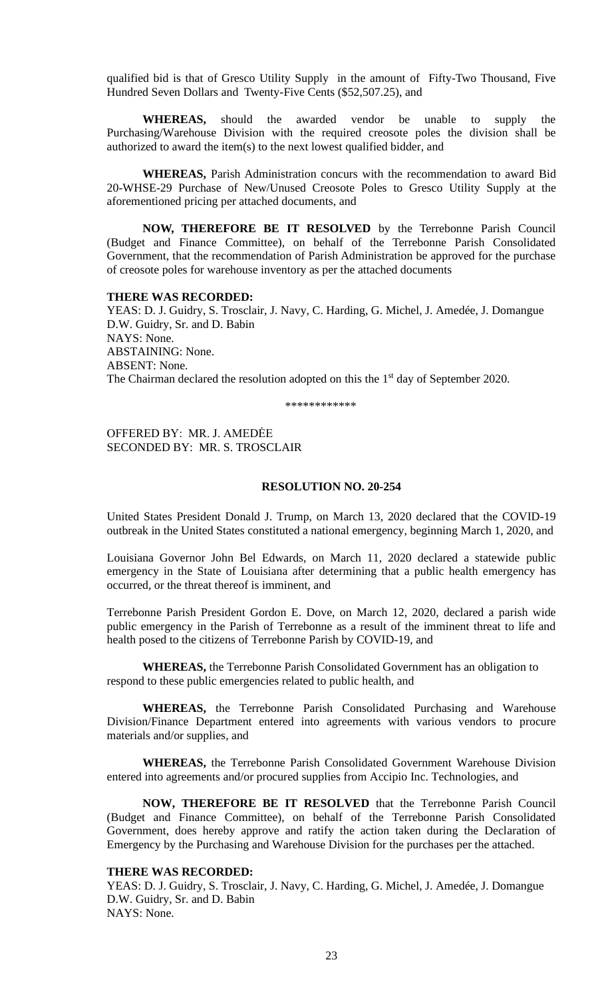qualified bid is that of Gresco Utility Supply in the amount of Fifty-Two Thousand, Five Hundred Seven Dollars and Twenty-Five Cents (\$52,507.25), and

**WHEREAS,** should the awarded vendor be unable to supply the Purchasing/Warehouse Division with the required creosote poles the division shall be authorized to award the item(s) to the next lowest qualified bidder, and

**WHEREAS,** Parish Administration concurs with the recommendation to award Bid 20-WHSE-29 Purchase of New/Unused Creosote Poles to Gresco Utility Supply at the aforementioned pricing per attached documents, and

**NOW, THEREFORE BE IT RESOLVED** by the Terrebonne Parish Council (Budget and Finance Committee), on behalf of the Terrebonne Parish Consolidated Government, that the recommendation of Parish Administration be approved for the purchase of creosote poles for warehouse inventory as per the attached documents

#### **THERE WAS RECORDED:**

YEAS: D. J. Guidry, S. Trosclair, J. Navy, C. Harding, G. Michel, J. Amedée, J. Domangue D.W. Guidry, Sr. and D. Babin NAYS: None. ABSTAINING: None. ABSENT: None. The Chairman declared the resolution adopted on this the  $1<sup>st</sup>$  day of September 2020.

\*\*\*\*\*\*\*\*\*\*\*\*

OFFERED BY: MR. J. AMEDĖE SECONDED BY: MR. S. TROSCLAIR

# **RESOLUTION NO. 20-254**

United States President Donald J. Trump, on March 13, 2020 declared that the COVID-19 outbreak in the United States constituted a national emergency, beginning March 1, 2020, and

Louisiana Governor John Bel Edwards, on March 11, 2020 declared a statewide public emergency in the State of Louisiana after determining that a public health emergency has occurred, or the threat thereof is imminent, and

Terrebonne Parish President Gordon E. Dove, on March 12, 2020, declared a parish wide public emergency in the Parish of Terrebonne as a result of the imminent threat to life and health posed to the citizens of Terrebonne Parish by COVID-19, and

**WHEREAS,** the Terrebonne Parish Consolidated Government has an obligation to respond to these public emergencies related to public health, and

**WHEREAS,** the Terrebonne Parish Consolidated Purchasing and Warehouse Division/Finance Department entered into agreements with various vendors to procure materials and/or supplies, and

**WHEREAS,** the Terrebonne Parish Consolidated Government Warehouse Division entered into agreements and/or procured supplies from Accipio Inc. Technologies, and

**NOW, THEREFORE BE IT RESOLVED** that the Terrebonne Parish Council (Budget and Finance Committee), on behalf of the Terrebonne Parish Consolidated Government, does hereby approve and ratify the action taken during the Declaration of Emergency by the Purchasing and Warehouse Division for the purchases per the attached.

# **THERE WAS RECORDED:**

YEAS: D. J. Guidry, S. Trosclair, J. Navy, C. Harding, G. Michel, J. Amedée, J. Domangue D.W. Guidry, Sr. and D. Babin NAYS: None.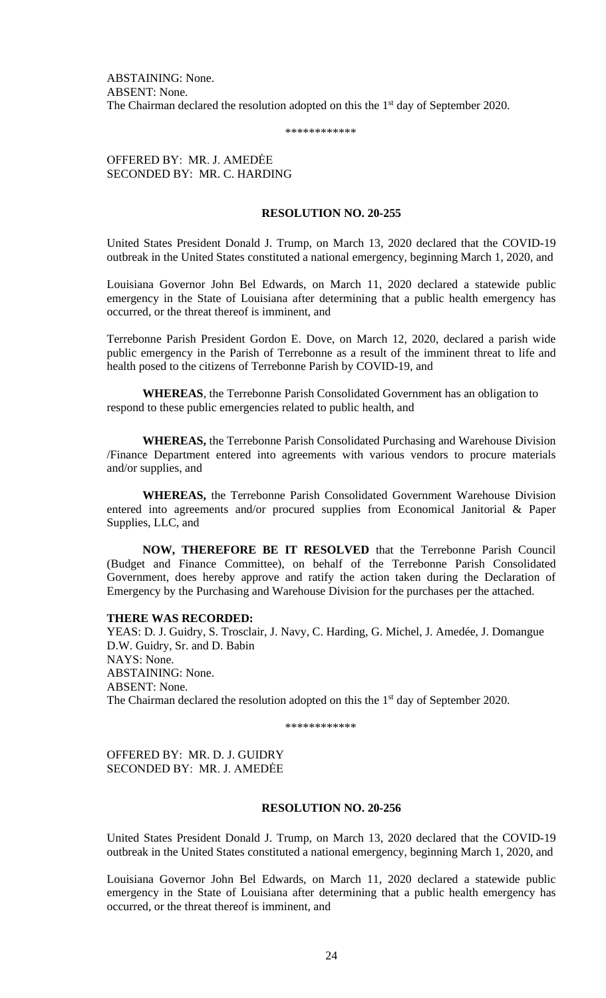ABSTAINING: None. ABSENT: None. The Chairman declared the resolution adopted on this the 1<sup>st</sup> day of September 2020.

\*\*\*\*\*\*\*\*\*\*\*\*

OFFERED BY: MR. J. AMEDĖE SECONDED BY: MR. C. HARDING

# **RESOLUTION NO. 20-255**

United States President Donald J. Trump, on March 13, 2020 declared that the COVID-19 outbreak in the United States constituted a national emergency, beginning March 1, 2020, and

Louisiana Governor John Bel Edwards, on March 11, 2020 declared a statewide public emergency in the State of Louisiana after determining that a public health emergency has occurred, or the threat thereof is imminent, and

Terrebonne Parish President Gordon E. Dove, on March 12, 2020, declared a parish wide public emergency in the Parish of Terrebonne as a result of the imminent threat to life and health posed to the citizens of Terrebonne Parish by COVID-19, and

**WHEREAS**, the Terrebonne Parish Consolidated Government has an obligation to respond to these public emergencies related to public health, and

**WHEREAS,** the Terrebonne Parish Consolidated Purchasing and Warehouse Division /Finance Department entered into agreements with various vendors to procure materials and/or supplies, and

**WHEREAS,** the Terrebonne Parish Consolidated Government Warehouse Division entered into agreements and/or procured supplies from Economical Janitorial & Paper Supplies, LLC, and

**NOW, THEREFORE BE IT RESOLVED** that the Terrebonne Parish Council (Budget and Finance Committee), on behalf of the Terrebonne Parish Consolidated Government, does hereby approve and ratify the action taken during the Declaration of Emergency by the Purchasing and Warehouse Division for the purchases per the attached.

#### **THERE WAS RECORDED:**

YEAS: D. J. Guidry, S. Trosclair, J. Navy, C. Harding, G. Michel, J. Amedée, J. Domangue D.W. Guidry, Sr. and D. Babin NAYS: None. ABSTAINING: None. ABSENT: None. The Chairman declared the resolution adopted on this the 1<sup>st</sup> day of September 2020.

\*\*\*\*\*\*\*\*\*\*\*\*

OFFERED BY: MR. D. J. GUIDRY SECONDED BY: MR. J. AMEDĖE

### **RESOLUTION NO. 20-256**

United States President Donald J. Trump, on March 13, 2020 declared that the COVID-19 outbreak in the United States constituted a national emergency, beginning March 1, 2020, and

Louisiana Governor John Bel Edwards, on March 11, 2020 declared a statewide public emergency in the State of Louisiana after determining that a public health emergency has occurred, or the threat thereof is imminent, and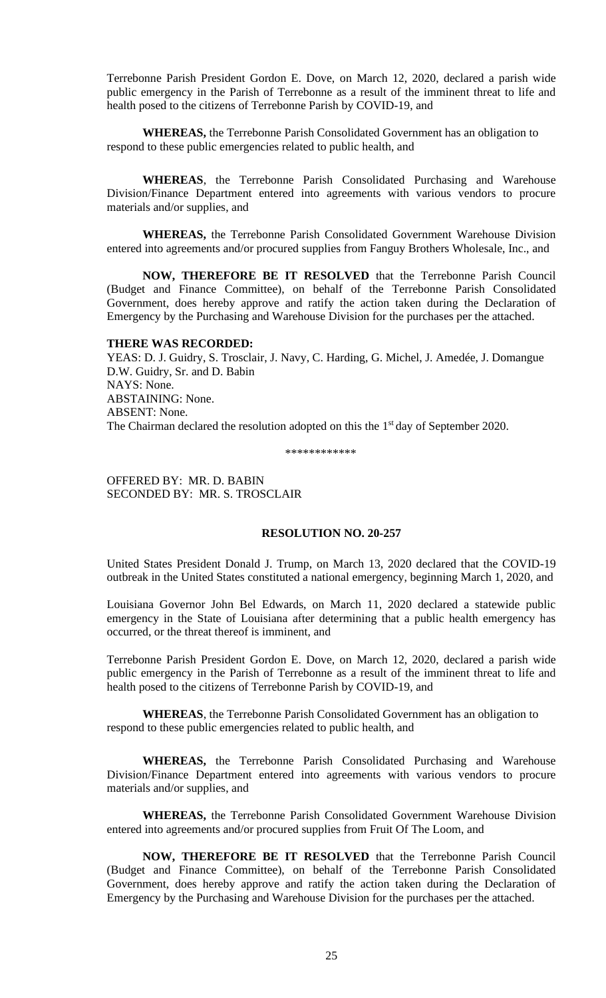Terrebonne Parish President Gordon E. Dove, on March 12, 2020, declared a parish wide public emergency in the Parish of Terrebonne as a result of the imminent threat to life and health posed to the citizens of Terrebonne Parish by COVID-19, and

**WHEREAS,** the Terrebonne Parish Consolidated Government has an obligation to respond to these public emergencies related to public health, and

**WHEREAS**, the Terrebonne Parish Consolidated Purchasing and Warehouse Division/Finance Department entered into agreements with various vendors to procure materials and/or supplies, and

**WHEREAS,** the Terrebonne Parish Consolidated Government Warehouse Division entered into agreements and/or procured supplies from Fanguy Brothers Wholesale, Inc., and

**NOW, THEREFORE BE IT RESOLVED** that the Terrebonne Parish Council (Budget and Finance Committee), on behalf of the Terrebonne Parish Consolidated Government, does hereby approve and ratify the action taken during the Declaration of Emergency by the Purchasing and Warehouse Division for the purchases per the attached.

# **THERE WAS RECORDED:**

YEAS: D. J. Guidry, S. Trosclair, J. Navy, C. Harding, G. Michel, J. Amedée, J. Domangue D.W. Guidry, Sr. and D. Babin NAYS: None. ABSTAINING: None. ABSENT: None. The Chairman declared the resolution adopted on this the  $1<sup>st</sup>$  day of September 2020.

\*\*\*\*\*\*\*\*\*\*\*\*

OFFERED BY: MR. D. BABIN SECONDED BY: MR. S. TROSCLAIR

# **RESOLUTION NO. 20-257**

United States President Donald J. Trump, on March 13, 2020 declared that the COVID-19 outbreak in the United States constituted a national emergency, beginning March 1, 2020, and

Louisiana Governor John Bel Edwards, on March 11, 2020 declared a statewide public emergency in the State of Louisiana after determining that a public health emergency has occurred, or the threat thereof is imminent, and

Terrebonne Parish President Gordon E. Dove, on March 12, 2020, declared a parish wide public emergency in the Parish of Terrebonne as a result of the imminent threat to life and health posed to the citizens of Terrebonne Parish by COVID-19, and

**WHEREAS**, the Terrebonne Parish Consolidated Government has an obligation to respond to these public emergencies related to public health, and

**WHEREAS,** the Terrebonne Parish Consolidated Purchasing and Warehouse Division/Finance Department entered into agreements with various vendors to procure materials and/or supplies, and

**WHEREAS,** the Terrebonne Parish Consolidated Government Warehouse Division entered into agreements and/or procured supplies from Fruit Of The Loom, and

**NOW, THEREFORE BE IT RESOLVED** that the Terrebonne Parish Council (Budget and Finance Committee), on behalf of the Terrebonne Parish Consolidated Government, does hereby approve and ratify the action taken during the Declaration of Emergency by the Purchasing and Warehouse Division for the purchases per the attached.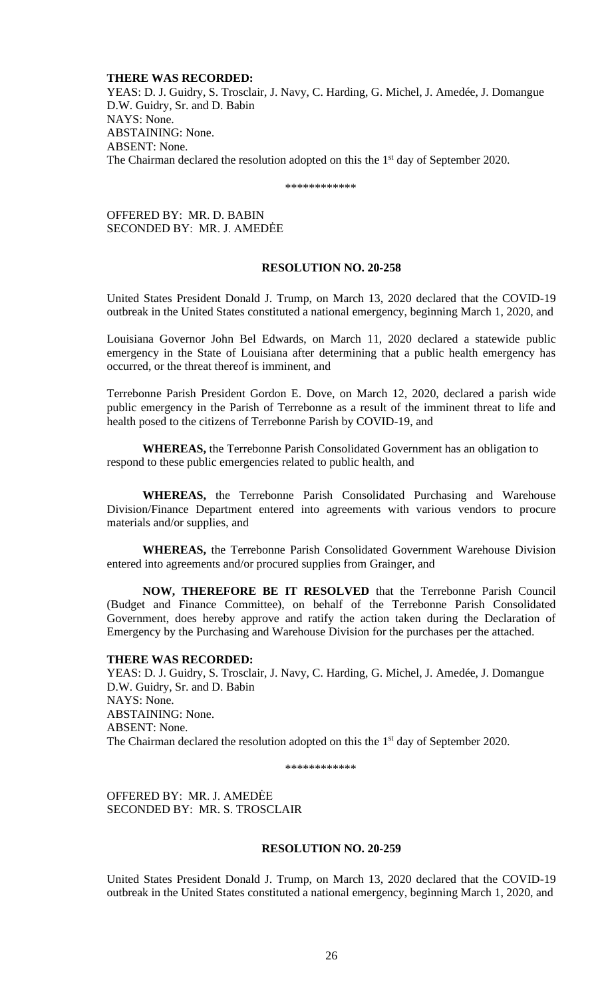### **THERE WAS RECORDED:**

YEAS: D. J. Guidry, S. Trosclair, J. Navy, C. Harding, G. Michel, J. Amedée, J. Domangue D.W. Guidry, Sr. and D. Babin NAYS: None. ABSTAINING: None. ABSENT: None. The Chairman declared the resolution adopted on this the  $1<sup>st</sup>$  day of September 2020.

\*\*\*\*\*\*\*\*\*\*\*\*

OFFERED BY: MR. D. BABIN SECONDED BY: MR. J. AMEDĖE

# **RESOLUTION NO. 20-258**

United States President Donald J. Trump, on March 13, 2020 declared that the COVID-19 outbreak in the United States constituted a national emergency, beginning March 1, 2020, and

Louisiana Governor John Bel Edwards, on March 11, 2020 declared a statewide public emergency in the State of Louisiana after determining that a public health emergency has occurred, or the threat thereof is imminent, and

Terrebonne Parish President Gordon E. Dove, on March 12, 2020, declared a parish wide public emergency in the Parish of Terrebonne as a result of the imminent threat to life and health posed to the citizens of Terrebonne Parish by COVID-19, and

**WHEREAS,** the Terrebonne Parish Consolidated Government has an obligation to respond to these public emergencies related to public health, and

**WHEREAS,** the Terrebonne Parish Consolidated Purchasing and Warehouse Division/Finance Department entered into agreements with various vendors to procure materials and/or supplies, and

**WHEREAS,** the Terrebonne Parish Consolidated Government Warehouse Division entered into agreements and/or procured supplies from Grainger, and

**NOW, THEREFORE BE IT RESOLVED** that the Terrebonne Parish Council (Budget and Finance Committee), on behalf of the Terrebonne Parish Consolidated Government, does hereby approve and ratify the action taken during the Declaration of Emergency by the Purchasing and Warehouse Division for the purchases per the attached.

# **THERE WAS RECORDED:**

YEAS: D. J. Guidry, S. Trosclair, J. Navy, C. Harding, G. Michel, J. Amedée, J. Domangue D.W. Guidry, Sr. and D. Babin NAYS: None. ABSTAINING: None. ABSENT: None. The Chairman declared the resolution adopted on this the  $1<sup>st</sup>$  day of September 2020.

\*\*\*\*\*\*\*\*\*\*\*\*

OFFERED BY: MR. J. AMEDĖE SECONDED BY: MR. S. TROSCLAIR

#### **RESOLUTION NO. 20-259**

United States President Donald J. Trump, on March 13, 2020 declared that the COVID-19 outbreak in the United States constituted a national emergency, beginning March 1, 2020, and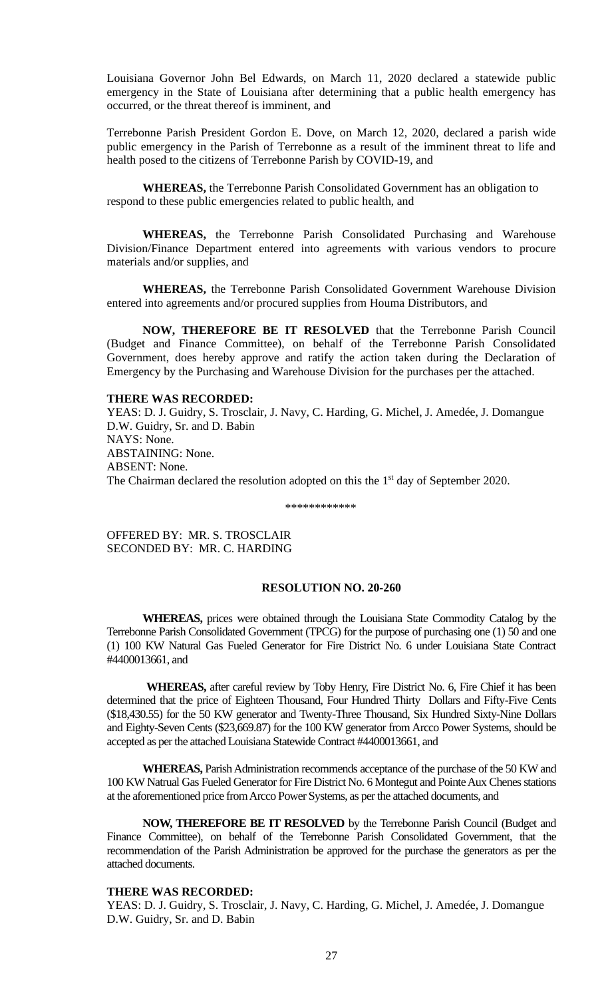Louisiana Governor John Bel Edwards, on March 11, 2020 declared a statewide public emergency in the State of Louisiana after determining that a public health emergency has occurred, or the threat thereof is imminent, and

Terrebonne Parish President Gordon E. Dove, on March 12, 2020, declared a parish wide public emergency in the Parish of Terrebonne as a result of the imminent threat to life and health posed to the citizens of Terrebonne Parish by COVID-19, and

**WHEREAS,** the Terrebonne Parish Consolidated Government has an obligation to respond to these public emergencies related to public health, and

**WHEREAS,** the Terrebonne Parish Consolidated Purchasing and Warehouse Division/Finance Department entered into agreements with various vendors to procure materials and/or supplies, and

**WHEREAS,** the Terrebonne Parish Consolidated Government Warehouse Division entered into agreements and/or procured supplies from Houma Distributors, and

**NOW, THEREFORE BE IT RESOLVED** that the Terrebonne Parish Council (Budget and Finance Committee), on behalf of the Terrebonne Parish Consolidated Government, does hereby approve and ratify the action taken during the Declaration of Emergency by the Purchasing and Warehouse Division for the purchases per the attached.

# **THERE WAS RECORDED:**

YEAS: D. J. Guidry, S. Trosclair, J. Navy, C. Harding, G. Michel, J. Amedée, J. Domangue D.W. Guidry, Sr. and D. Babin NAYS: None. ABSTAINING: None. ABSENT: None. The Chairman declared the resolution adopted on this the 1<sup>st</sup> day of September 2020.

\*\*\*\*\*\*\*\*\*\*\*\*

OFFERED BY: MR. S. TROSCLAIR SECONDED BY: MR. C. HARDING

# **RESOLUTION NO. 20-260**

**WHEREAS,** prices were obtained through the Louisiana State Commodity Catalog by the Terrebonne Parish Consolidated Government (TPCG) for the purpose of purchasing one (1) 50 and one (1) 100 KW Natural Gas Fueled Generator for Fire District No. 6 under Louisiana State Contract #4400013661, and

 **WHEREAS,** after careful review by Toby Henry, Fire District No. 6, Fire Chief it has been determined that the price of Eighteen Thousand, Four Hundred Thirty Dollars and Fifty-Five Cents (\$18,430.55) for the 50 KW generator and Twenty-Three Thousand, Six Hundred Sixty-Nine Dollars and Eighty-Seven Cents (\$23,669.87) for the 100 KW generator from Arcco Power Systems, should be accepted as per the attached Louisiana Statewide Contract #4400013661, and

**WHEREAS,** Parish Administration recommends acceptance of the purchase of the 50 KW and 100 KW Natrual Gas Fueled Generator for Fire District No. 6 Montegut and Pointe Aux Chenes stations at the aforementioned price from Arcco Power Systems, as per the attached documents, and

**NOW, THEREFORE BE IT RESOLVED** by the Terrebonne Parish Council (Budget and Finance Committee), on behalf of the Terrebonne Parish Consolidated Government, that the recommendation of the Parish Administration be approved for the purchase the generators as per the attached documents.

# **THERE WAS RECORDED:**

YEAS: D. J. Guidry, S. Trosclair, J. Navy, C. Harding, G. Michel, J. Amedée, J. Domangue D.W. Guidry, Sr. and D. Babin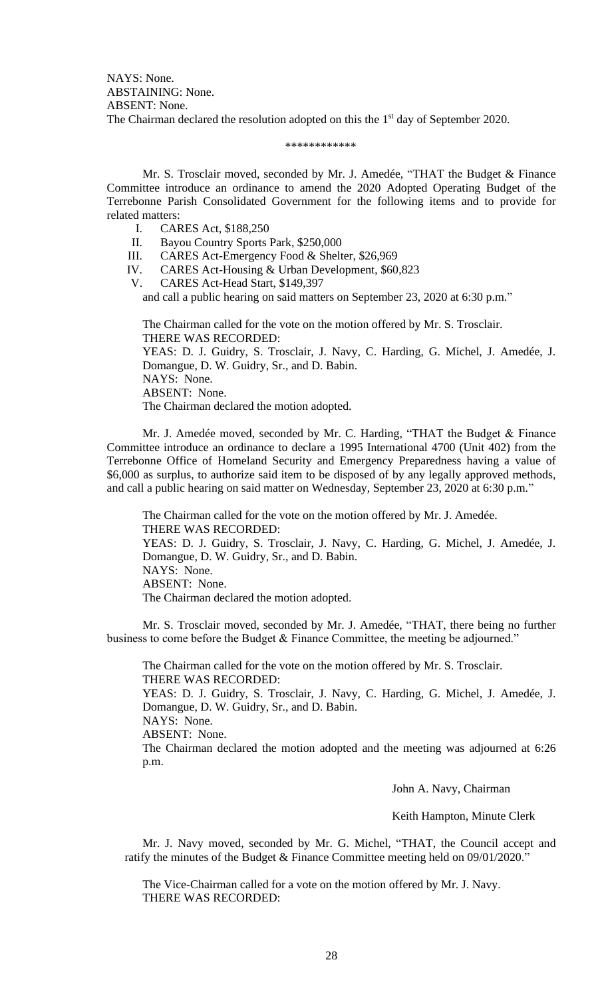NAYS: None. ABSTAINING: None. ABSENT: None. The Chairman declared the resolution adopted on this the 1<sup>st</sup> day of September 2020.

#### \*\*\*\*\*\*\*\*\*\*\*\*

Mr. S. Trosclair moved, seconded by Mr. J. Amedée, "THAT the Budget & Finance Committee introduce an ordinance to amend the 2020 Adopted Operating Budget of the Terrebonne Parish Consolidated Government for the following items and to provide for related matters:

- I. CARES Act, \$188,250
- II. Bayou Country Sports Park, \$250,000
- III. CARES Act-Emergency Food & Shelter, \$26,969
- IV. CARES Act-Housing & Urban Development, \$60,823
- V. CARES Act-Head Start, \$149,397

and call a public hearing on said matters on September 23, 2020 at 6:30 p.m."

The Chairman called for the vote on the motion offered by Mr. S. Trosclair. THERE WAS RECORDED: YEAS: D. J. Guidry, S. Trosclair, J. Navy, C. Harding, G. Michel, J. Amedée, J. Domangue, D. W. Guidry, Sr., and D. Babin. NAYS: None. ABSENT: None. The Chairman declared the motion adopted.

Mr. J. Amedée moved, seconded by Mr. C. Harding, "THAT the Budget & Finance Committee introduce an ordinance to declare a 1995 International 4700 (Unit 402) from the Terrebonne Office of Homeland Security and Emergency Preparedness having a value of \$6,000 as surplus, to authorize said item to be disposed of by any legally approved methods, and call a public hearing on said matter on Wednesday, September 23, 2020 at 6:30 p.m."

The Chairman called for the vote on the motion offered by Mr. J. Amedée. THERE WAS RECORDED: YEAS: D. J. Guidry, S. Trosclair, J. Navy, C. Harding, G. Michel, J. Amedée, J. Domangue, D. W. Guidry, Sr., and D. Babin. NAYS: None. ABSENT: None. The Chairman declared the motion adopted.

Mr. S. Trosclair moved, seconded by Mr. J. Amedée, "THAT, there being no further business to come before the Budget & Finance Committee, the meeting be adjourned."

The Chairman called for the vote on the motion offered by Mr. S. Trosclair. THERE WAS RECORDED: YEAS: D. J. Guidry, S. Trosclair, J. Navy, C. Harding, G. Michel, J. Amedée, J. Domangue, D. W. Guidry, Sr., and D. Babin. NAYS: None. ABSENT: None. The Chairman declared the motion adopted and the meeting was adjourned at 6:26 p.m.

John A. Navy, Chairman

Keith Hampton, Minute Clerk

Mr. J. Navy moved, seconded by Mr. G. Michel, "THAT, the Council accept and ratify the minutes of the Budget & Finance Committee meeting held on 09/01/2020."

The Vice-Chairman called for a vote on the motion offered by Mr. J. Navy. THERE WAS RECORDED: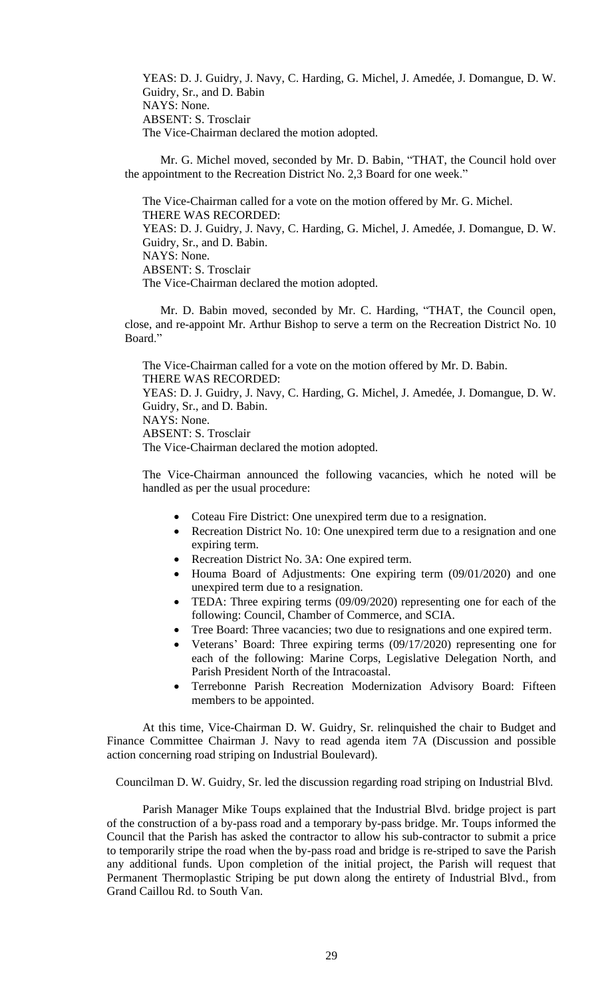YEAS: D. J. Guidry, J. Navy, C. Harding, G. Michel, J. Amedée, J. Domangue, D. W. Guidry, Sr., and D. Babin NAYS: None. ABSENT: S. Trosclair The Vice-Chairman declared the motion adopted.

Mr. G. Michel moved, seconded by Mr. D. Babin, "THAT, the Council hold over the appointment to the Recreation District No. 2,3 Board for one week."

The Vice-Chairman called for a vote on the motion offered by Mr. G. Michel. THERE WAS RECORDED: YEAS: D. J. Guidry, J. Navy, C. Harding, G. Michel, J. Amedée, J. Domangue, D. W. Guidry, Sr., and D. Babin. NAYS: None. ABSENT: S. Trosclair The Vice-Chairman declared the motion adopted.

Mr. D. Babin moved, seconded by Mr. C. Harding, "THAT, the Council open, close, and re-appoint Mr. Arthur Bishop to serve a term on the Recreation District No. 10 Board."

The Vice-Chairman called for a vote on the motion offered by Mr. D. Babin. THERE WAS RECORDED: YEAS: D. J. Guidry, J. Navy, C. Harding, G. Michel, J. Amedée, J. Domangue, D. W. Guidry, Sr., and D. Babin. NAYS: None. ABSENT: S. Trosclair The Vice-Chairman declared the motion adopted.

The Vice-Chairman announced the following vacancies, which he noted will be handled as per the usual procedure:

- Coteau Fire District: One unexpired term due to a resignation.
- Recreation District No. 10: One unexpired term due to a resignation and one expiring term.
- Recreation District No. 3A: One expired term.
- Houma Board of Adjustments: One expiring term (09/01/2020) and one unexpired term due to a resignation.
- TEDA: Three expiring terms (09/09/2020) representing one for each of the following: Council, Chamber of Commerce, and SCIA.
- Tree Board: Three vacancies; two due to resignations and one expired term.
- Veterans' Board: Three expiring terms (09/17/2020) representing one for each of the following: Marine Corps, Legislative Delegation North, and Parish President North of the Intracoastal.
- Terrebonne Parish Recreation Modernization Advisory Board: Fifteen members to be appointed.

At this time, Vice-Chairman D. W. Guidry, Sr. relinquished the chair to Budget and Finance Committee Chairman J. Navy to read agenda item 7A (Discussion and possible action concerning road striping on Industrial Boulevard).

Councilman D. W. Guidry, Sr. led the discussion regarding road striping on Industrial Blvd.

Parish Manager Mike Toups explained that the Industrial Blvd. bridge project is part of the construction of a by-pass road and a temporary by-pass bridge. Mr. Toups informed the Council that the Parish has asked the contractor to allow his sub-contractor to submit a price to temporarily stripe the road when the by-pass road and bridge is re-striped to save the Parish any additional funds. Upon completion of the initial project, the Parish will request that Permanent Thermoplastic Striping be put down along the entirety of Industrial Blvd., from Grand Caillou Rd. to South Van.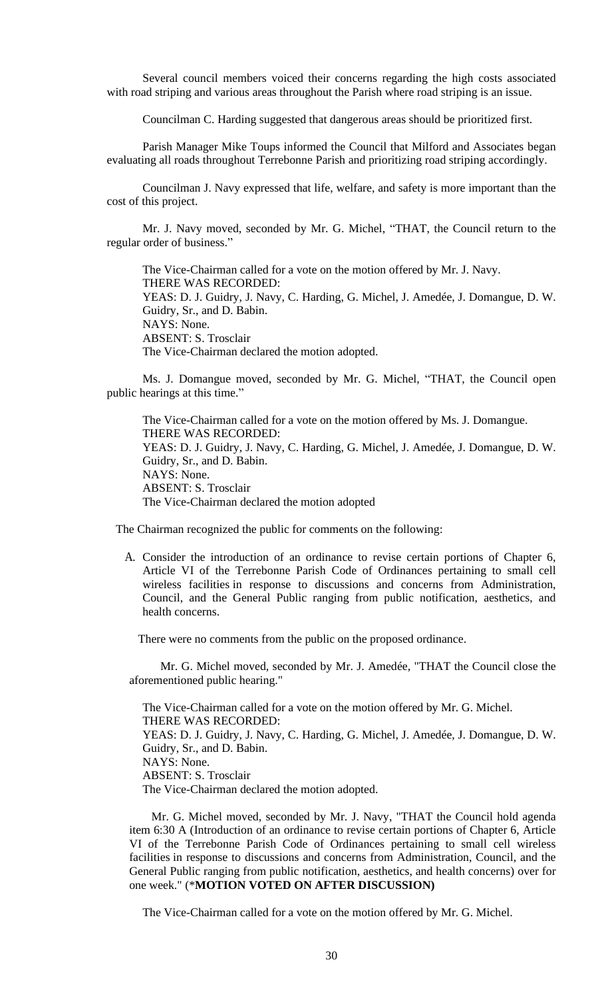Several council members voiced their concerns regarding the high costs associated with road striping and various areas throughout the Parish where road striping is an issue.

Councilman C. Harding suggested that dangerous areas should be prioritized first.

Parish Manager Mike Toups informed the Council that Milford and Associates began evaluating all roads throughout Terrebonne Parish and prioritizing road striping accordingly.

Councilman J. Navy expressed that life, welfare, and safety is more important than the cost of this project.

Mr. J. Navy moved, seconded by Mr. G. Michel, "THAT, the Council return to the regular order of business."

The Vice-Chairman called for a vote on the motion offered by Mr. J. Navy. THERE WAS RECORDED: YEAS: D. J. Guidry, J. Navy, C. Harding, G. Michel, J. Amedée, J. Domangue, D. W. Guidry, Sr., and D. Babin. NAYS: None. ABSENT: S. Trosclair The Vice-Chairman declared the motion adopted.

Ms. J. Domangue moved, seconded by Mr. G. Michel, "THAT, the Council open public hearings at this time."

The Vice-Chairman called for a vote on the motion offered by Ms. J. Domangue. THERE WAS RECORDED: YEAS: D. J. Guidry, J. Navy, C. Harding, G. Michel, J. Amedée, J. Domangue, D. W. Guidry, Sr., and D. Babin. NAYS: None. ABSENT: S. Trosclair The Vice-Chairman declared the motion adopted

The Chairman recognized the public for comments on the following:

A. Consider the introduction of an ordinance to revise certain portions of Chapter 6, Article VI of the Terrebonne Parish Code of Ordinances pertaining to small cell wireless facilities in response to discussions and concerns from Administration, Council, and the General Public ranging from public notification, aesthetics, and health concerns.

There were no comments from the public on the proposed ordinance.

Mr. G. Michel moved, seconded by Mr. J. Amedée, "THAT the Council close the aforementioned public hearing."

The Vice-Chairman called for a vote on the motion offered by Mr. G. Michel. THERE WAS RECORDED: YEAS: D. J. Guidry, J. Navy, C. Harding, G. Michel, J. Amedée, J. Domangue, D. W. Guidry, Sr., and D. Babin. NAYS: None. ABSENT: S. Trosclair The Vice-Chairman declared the motion adopted.

Mr. G. Michel moved, seconded by Mr. J. Navy, "THAT the Council hold agenda item 6:30 A (Introduction of an ordinance to revise certain portions of Chapter 6, Article VI of the Terrebonne Parish Code of Ordinances pertaining to small cell wireless facilities in response to discussions and concerns from Administration, Council, and the General Public ranging from public notification, aesthetics, and health concerns) over for one week." (\***MOTION VOTED ON AFTER DISCUSSION)**

The Vice-Chairman called for a vote on the motion offered by Mr. G. Michel.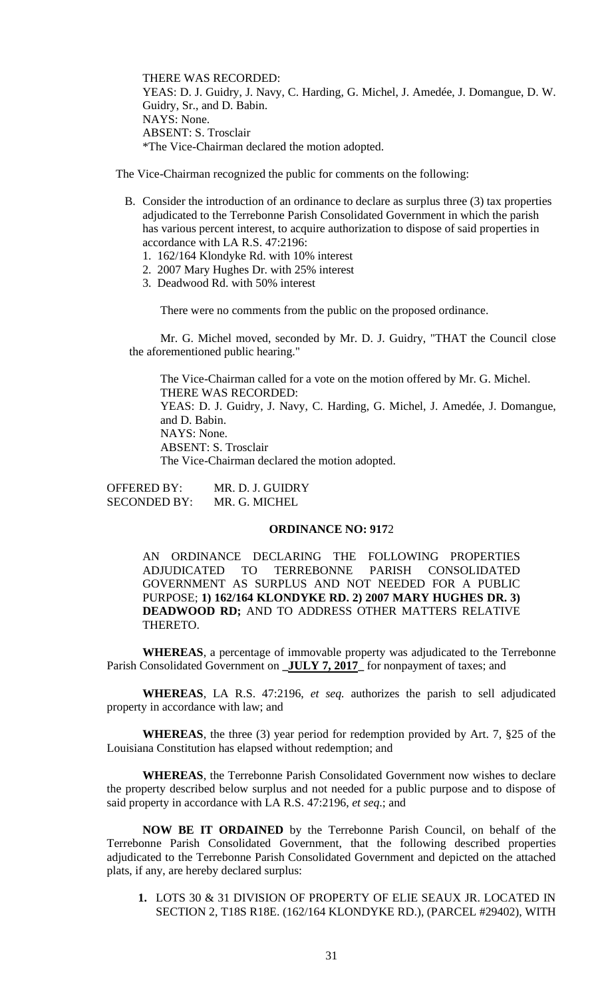THERE WAS RECORDED: YEAS: D. J. Guidry, J. Navy, C. Harding, G. Michel, J. Amedée, J. Domangue, D. W. Guidry, Sr., and D. Babin. NAYS: None. ABSENT: S. Trosclair \*The Vice-Chairman declared the motion adopted.

The Vice-Chairman recognized the public for comments on the following:

- B. Consider the introduction of an ordinance to declare as surplus three (3) tax properties adjudicated to the Terrebonne Parish Consolidated Government in which the parish has various percent interest, to acquire authorization to dispose of said properties in accordance with LA R.S. 47:2196:
	- 1. 162/164 Klondyke Rd. with 10% interest
	- 2. 2007 Mary Hughes Dr. with 25% interest
	- 3. Deadwood Rd. with 50% interest

There were no comments from the public on the proposed ordinance.

Mr. G. Michel moved, seconded by Mr. D. J. Guidry, "THAT the Council close the aforementioned public hearing."

The Vice-Chairman called for a vote on the motion offered by Mr. G. Michel. THERE WAS RECORDED: YEAS: D. J. Guidry, J. Navy, C. Harding, G. Michel, J. Amedée, J. Domangue, and D. Babin. NAYS: None. ABSENT: S. Trosclair The Vice-Chairman declared the motion adopted.

OFFERED BY: MR. D. J. GUIDRY SECONDED BY: MR. G. MICHEL

# **ORDINANCE NO: 917**2

AN ORDINANCE DECLARING THE FOLLOWING PROPERTIES ADJUDICATED TO TERREBONNE PARISH CONSOLIDATED GOVERNMENT AS SURPLUS AND NOT NEEDED FOR A PUBLIC PURPOSE; **1) 162/164 KLONDYKE RD. 2) 2007 MARY HUGHES DR. 3) DEADWOOD RD;** AND TO ADDRESS OTHER MATTERS RELATIVE THERETO.

**WHEREAS**, a percentage of immovable property was adjudicated to the Terrebonne Parish Consolidated Government on **\_JULY 7, 2017** for nonpayment of taxes; and

**WHEREAS**, LA R.S. 47:2196, *et seq.* authorizes the parish to sell adjudicated property in accordance with law; and

**WHEREAS**, the three (3) year period for redemption provided by Art. 7, §25 of the Louisiana Constitution has elapsed without redemption; and

**WHEREAS**, the Terrebonne Parish Consolidated Government now wishes to declare the property described below surplus and not needed for a public purpose and to dispose of said property in accordance with LA R.S. 47:2196, *et seq*.; and

**NOW BE IT ORDAINED** by the Terrebonne Parish Council, on behalf of the Terrebonne Parish Consolidated Government, that the following described properties adjudicated to the Terrebonne Parish Consolidated Government and depicted on the attached plats, if any, are hereby declared surplus:

**1.** LOTS 30 & 31 DIVISION OF PROPERTY OF ELIE SEAUX JR. LOCATED IN SECTION 2, T18S R18E. (162/164 KLONDYKE RD.), (PARCEL #29402), WITH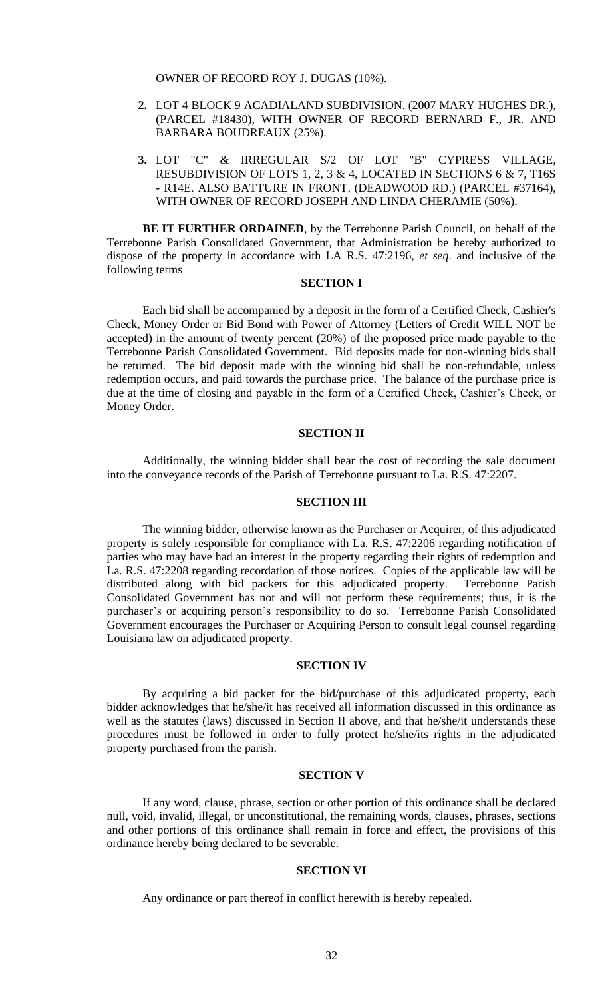OWNER OF RECORD ROY J. DUGAS (10%).

- **2.** LOT 4 BLOCK 9 ACADIALAND SUBDIVISION. (2007 MARY HUGHES DR.), (PARCEL #18430), WITH OWNER OF RECORD BERNARD F., JR. AND BARBARA BOUDREAUX (25%).
- **3.** LOT "C" & IRREGULAR S/2 OF LOT "B" CYPRESS VILLAGE, RESUBDIVISION OF LOTS 1, 2, 3 & 4, LOCATED IN SECTIONS 6 & 7, T16S - R14E. ALSO BATTURE IN FRONT. (DEADWOOD RD.) (PARCEL #37164), WITH OWNER OF RECORD JOSEPH AND LINDA CHERAMIE (50%).

**BE IT FURTHER ORDAINED**, by the Terrebonne Parish Council, on behalf of the Terrebonne Parish Consolidated Government, that Administration be hereby authorized to dispose of the property in accordance with LA R.S. 47:2196, *et seq*. and inclusive of the following terms

# **SECTION I**

Each bid shall be accompanied by a deposit in the form of a Certified Check, Cashier's Check, Money Order or Bid Bond with Power of Attorney (Letters of Credit WILL NOT be accepted) in the amount of twenty percent (20%) of the proposed price made payable to the Terrebonne Parish Consolidated Government. Bid deposits made for non-winning bids shall be returned. The bid deposit made with the winning bid shall be non-refundable, unless redemption occurs, and paid towards the purchase price. The balance of the purchase price is due at the time of closing and payable in the form of a Certified Check, Cashier's Check, or Money Order.

# **SECTION II**

Additionally, the winning bidder shall bear the cost of recording the sale document into the conveyance records of the Parish of Terrebonne pursuant to La. R.S. 47:2207.

# **SECTION III**

The winning bidder, otherwise known as the Purchaser or Acquirer, of this adjudicated property is solely responsible for compliance with La. R.S. 47:2206 regarding notification of parties who may have had an interest in the property regarding their rights of redemption and La. R.S. 47:2208 regarding recordation of those notices. Copies of the applicable law will be distributed along with bid packets for this adjudicated property. Terrebonne Parish Consolidated Government has not and will not perform these requirements; thus, it is the purchaser's or acquiring person's responsibility to do so. Terrebonne Parish Consolidated Government encourages the Purchaser or Acquiring Person to consult legal counsel regarding Louisiana law on adjudicated property.

## **SECTION IV**

By acquiring a bid packet for the bid/purchase of this adjudicated property, each bidder acknowledges that he/she/it has received all information discussed in this ordinance as well as the statutes (laws) discussed in Section II above, and that he/she/it understands these procedures must be followed in order to fully protect he/she/its rights in the adjudicated property purchased from the parish.

### **SECTION V**

If any word, clause, phrase, section or other portion of this ordinance shall be declared null, void, invalid, illegal, or unconstitutional, the remaining words, clauses, phrases, sections and other portions of this ordinance shall remain in force and effect, the provisions of this ordinance hereby being declared to be severable.

### **SECTION VI**

Any ordinance or part thereof in conflict herewith is hereby repealed.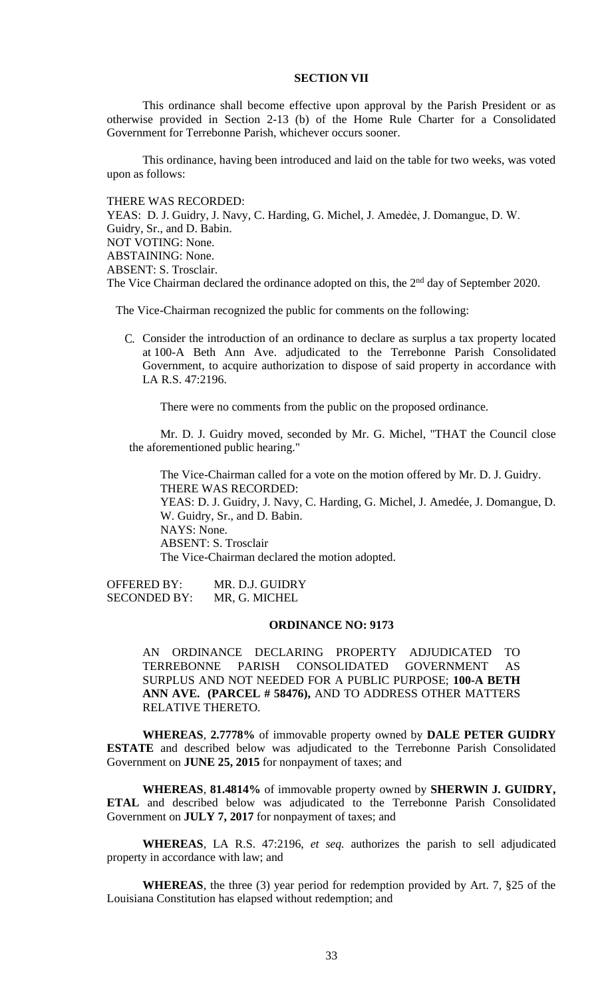# **SECTION VII**

This ordinance shall become effective upon approval by the Parish President or as otherwise provided in Section 2-13 (b) of the Home Rule Charter for a Consolidated Government for Terrebonne Parish, whichever occurs sooner.

This ordinance, having been introduced and laid on the table for two weeks, was voted upon as follows:

THERE WAS RECORDED: YEAS: D. J. Guidry, J. Navy, C. Harding, G. Michel, J. Amedée, J. Domangue, D. W. Guidry, Sr., and D. Babin. NOT VOTING: None. ABSTAINING: None. ABSENT: S. Trosclair. The Vice Chairman declared the ordinance adopted on this, the 2<sup>nd</sup> day of September 2020.

The Vice-Chairman recognized the public for comments on the following:

C. Consider the introduction of an ordinance to declare as surplus a tax property located at 100-A Beth Ann Ave. adjudicated to the Terrebonne Parish Consolidated Government, to acquire authorization to dispose of said property in accordance with LA R.S. 47:2196.

There were no comments from the public on the proposed ordinance.

Mr. D. J. Guidry moved, seconded by Mr. G. Michel, "THAT the Council close the aforementioned public hearing."

The Vice-Chairman called for a vote on the motion offered by Mr. D. J. Guidry. THERE WAS RECORDED: YEAS: D. J. Guidry, J. Navy, C. Harding, G. Michel, J. Amedée, J. Domangue, D. W. Guidry, Sr., and D. Babin. NAYS: None. ABSENT: S. Trosclair The Vice-Chairman declared the motion adopted.

OFFERED BY: MR. D.J. GUIDRY SECONDED BY: MR, G. MICHEL

# **ORDINANCE NO: 9173**

AN ORDINANCE DECLARING PROPERTY ADJUDICATED TO TERREBONNE PARISH CONSOLIDATED GOVERNMENT AS SURPLUS AND NOT NEEDED FOR A PUBLIC PURPOSE; **100-A BETH ANN AVE. (PARCEL # 58476),** AND TO ADDRESS OTHER MATTERS RELATIVE THERETO.

**WHEREAS**, **2.7778%** of immovable property owned by **DALE PETER GUIDRY ESTATE** and described below was adjudicated to the Terrebonne Parish Consolidated Government on **JUNE 25, 2015** for nonpayment of taxes; and

**WHEREAS**, **81.4814%** of immovable property owned by **SHERWIN J. GUIDRY, ETAL** and described below was adjudicated to the Terrebonne Parish Consolidated Government on **JULY 7, 2017** for nonpayment of taxes; and

**WHEREAS**, LA R.S. 47:2196, *et seq.* authorizes the parish to sell adjudicated property in accordance with law; and

**WHEREAS**, the three (3) year period for redemption provided by Art. 7, §25 of the Louisiana Constitution has elapsed without redemption; and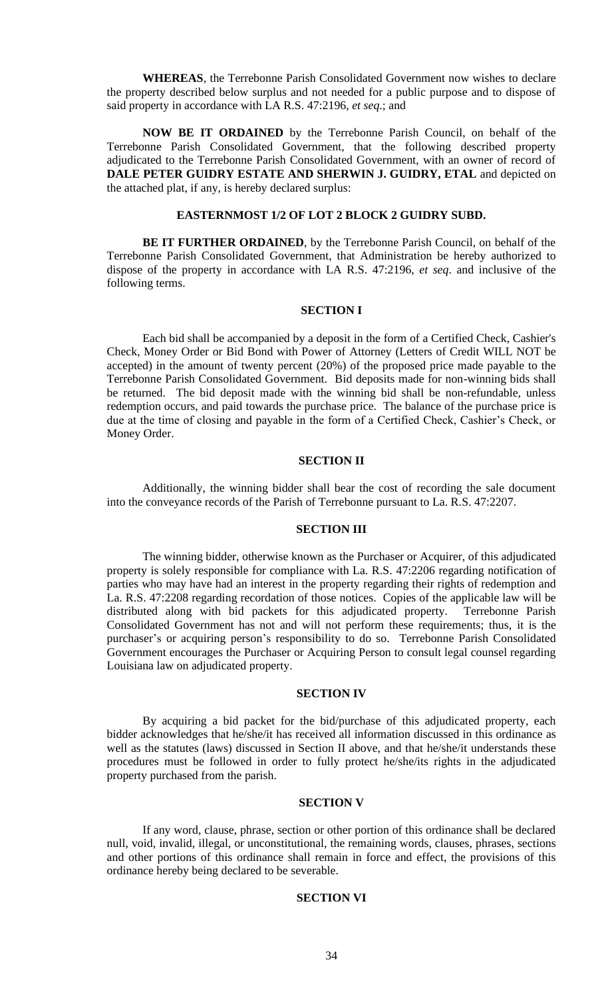**WHEREAS**, the Terrebonne Parish Consolidated Government now wishes to declare the property described below surplus and not needed for a public purpose and to dispose of said property in accordance with LA R.S. 47:2196, *et seq*.; and

**NOW BE IT ORDAINED** by the Terrebonne Parish Council, on behalf of the Terrebonne Parish Consolidated Government, that the following described property adjudicated to the Terrebonne Parish Consolidated Government, with an owner of record of **DALE PETER GUIDRY ESTATE AND SHERWIN J. GUIDRY, ETAL** and depicted on the attached plat, if any, is hereby declared surplus:

# **EASTERNMOST 1/2 OF LOT 2 BLOCK 2 GUIDRY SUBD.**

**BE IT FURTHER ORDAINED**, by the Terrebonne Parish Council, on behalf of the Terrebonne Parish Consolidated Government, that Administration be hereby authorized to dispose of the property in accordance with LA R.S. 47:2196, *et seq*. and inclusive of the following terms.

### **SECTION I**

Each bid shall be accompanied by a deposit in the form of a Certified Check, Cashier's Check, Money Order or Bid Bond with Power of Attorney (Letters of Credit WILL NOT be accepted) in the amount of twenty percent (20%) of the proposed price made payable to the Terrebonne Parish Consolidated Government. Bid deposits made for non-winning bids shall be returned. The bid deposit made with the winning bid shall be non-refundable, unless redemption occurs, and paid towards the purchase price. The balance of the purchase price is due at the time of closing and payable in the form of a Certified Check, Cashier's Check, or Money Order.

# **SECTION II**

Additionally, the winning bidder shall bear the cost of recording the sale document into the conveyance records of the Parish of Terrebonne pursuant to La. R.S. 47:2207.

### **SECTION III**

The winning bidder, otherwise known as the Purchaser or Acquirer, of this adjudicated property is solely responsible for compliance with La. R.S. 47:2206 regarding notification of parties who may have had an interest in the property regarding their rights of redemption and La. R.S. 47:2208 regarding recordation of those notices. Copies of the applicable law will be distributed along with bid packets for this adjudicated property. Terrebonne Parish Consolidated Government has not and will not perform these requirements; thus, it is the purchaser's or acquiring person's responsibility to do so. Terrebonne Parish Consolidated Government encourages the Purchaser or Acquiring Person to consult legal counsel regarding Louisiana law on adjudicated property.

#### **SECTION IV**

By acquiring a bid packet for the bid/purchase of this adjudicated property, each bidder acknowledges that he/she/it has received all information discussed in this ordinance as well as the statutes (laws) discussed in Section II above, and that he/she/it understands these procedures must be followed in order to fully protect he/she/its rights in the adjudicated property purchased from the parish.

#### **SECTION V**

If any word, clause, phrase, section or other portion of this ordinance shall be declared null, void, invalid, illegal, or unconstitutional, the remaining words, clauses, phrases, sections and other portions of this ordinance shall remain in force and effect, the provisions of this ordinance hereby being declared to be severable.

# **SECTION VI**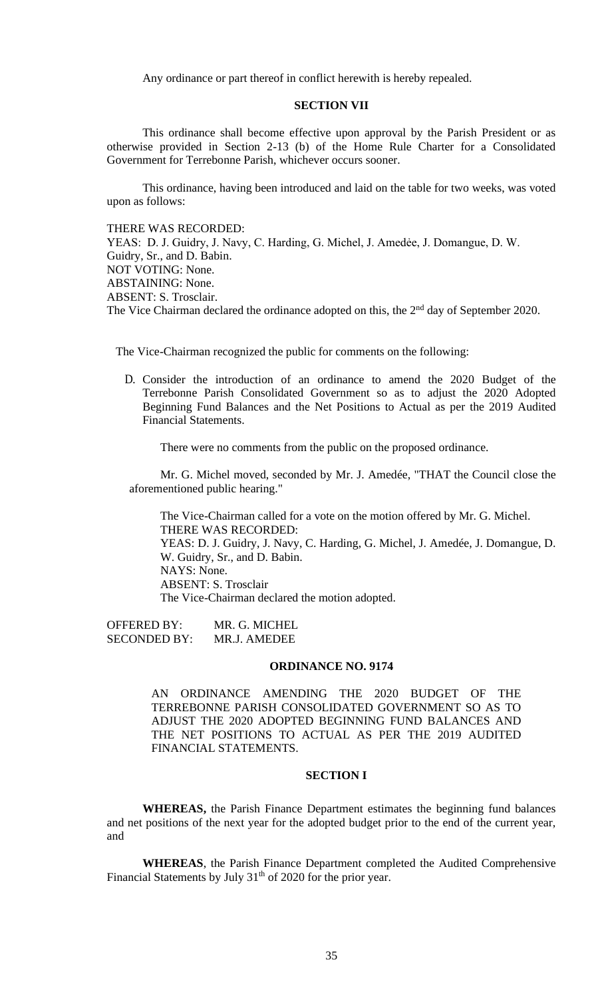Any ordinance or part thereof in conflict herewith is hereby repealed.

# **SECTION VII**

This ordinance shall become effective upon approval by the Parish President or as otherwise provided in Section 2-13 (b) of the Home Rule Charter for a Consolidated Government for Terrebonne Parish, whichever occurs sooner.

This ordinance, having been introduced and laid on the table for two weeks, was voted upon as follows:

THERE WAS RECORDED:

YEAS: D. J. Guidry, J. Navy, C. Harding, G. Michel, J. Amedée, J. Domangue, D. W. Guidry, Sr., and D. Babin. NOT VOTING: None. ABSTAINING: None. ABSENT: S. Trosclair. The Vice Chairman declared the ordinance adopted on this, the 2<sup>nd</sup> day of September 2020.

The Vice-Chairman recognized the public for comments on the following:

D. Consider the introduction of an ordinance to amend the 2020 Budget of the Terrebonne Parish Consolidated Government so as to adjust the 2020 Adopted Beginning Fund Balances and the Net Positions to Actual as per the 2019 Audited Financial Statements.

There were no comments from the public on the proposed ordinance.

Mr. G. Michel moved, seconded by Mr. J. Amedée, "THAT the Council close the aforementioned public hearing."

The Vice-Chairman called for a vote on the motion offered by Mr. G. Michel. THERE WAS RECORDED: YEAS: D. J. Guidry, J. Navy, C. Harding, G. Michel, J. Amedée, J. Domangue, D. W. Guidry, Sr., and D. Babin. NAYS: None. ABSENT: S. Trosclair The Vice-Chairman declared the motion adopted.

OFFERED BY: MR. G. MICHEL SECONDED BY: MR.J. AMEDEE

### **ORDINANCE NO. 9174**

AN ORDINANCE AMENDING THE 2020 BUDGET OF THE TERREBONNE PARISH CONSOLIDATED GOVERNMENT SO AS TO ADJUST THE 2020 ADOPTED BEGINNING FUND BALANCES AND THE NET POSITIONS TO ACTUAL AS PER THE 2019 AUDITED FINANCIAL STATEMENTS.

# **SECTION I**

**WHEREAS,** the Parish Finance Department estimates the beginning fund balances and net positions of the next year for the adopted budget prior to the end of the current year, and

**WHEREAS**, the Parish Finance Department completed the Audited Comprehensive Financial Statements by July  $31<sup>th</sup>$  of 2020 for the prior year.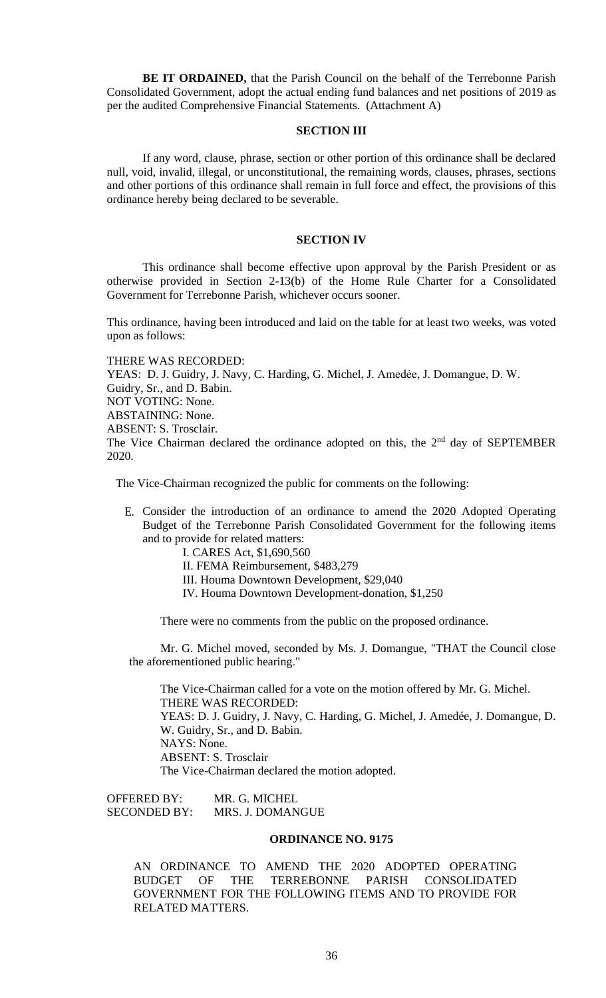**BE IT ORDAINED,** that the Parish Council on the behalf of the Terrebonne Parish Consolidated Government, adopt the actual ending fund balances and net positions of 2019 as per the audited Comprehensive Financial Statements. (Attachment A)

# **SECTION III**

If any word, clause, phrase, section or other portion of this ordinance shall be declared null, void, invalid, illegal, or unconstitutional, the remaining words, clauses, phrases, sections and other portions of this ordinance shall remain in full force and effect, the provisions of this ordinance hereby being declared to be severable.

# **SECTION IV**

This ordinance shall become effective upon approval by the Parish President or as otherwise provided in Section 2-13(b) of the Home Rule Charter for a Consolidated Government for Terrebonne Parish, whichever occurs sooner.

This ordinance, having been introduced and laid on the table for at least two weeks, was voted upon as follows:

THERE WAS RECORDED: YEAS: D. J. Guidry, J. Navy, C. Harding, G. Michel, J. Amedée, J. Domangue, D. W. Guidry, Sr., and D. Babin. NOT VOTING: None. ABSTAINING: None. ABSENT: S. Trosclair. The Vice Chairman declared the ordinance adopted on this, the  $2<sup>nd</sup>$  day of SEPTEMBER 2020.

The Vice-Chairman recognized the public for comments on the following:

E. Consider the introduction of an ordinance to amend the 2020 Adopted Operating Budget of the Terrebonne Parish Consolidated Government for the following items and to provide for related matters:

I. CARES Act, \$1,690,560 II. FEMA Reimbursement, \$483,279

III. Houma Downtown Development, \$29,040

IV. Houma Downtown Development-donation, \$1,250

There were no comments from the public on the proposed ordinance.

Mr. G. Michel moved, seconded by Ms. J. Domangue, "THAT the Council close the aforementioned public hearing."

The Vice-Chairman called for a vote on the motion offered by Mr. G. Michel. THERE WAS RECORDED: YEAS: D. J. Guidry, J. Navy, C. Harding, G. Michel, J. Amedée, J. Domangue, D. W. Guidry, Sr., and D. Babin. NAYS: None. ABSENT: S. Trosclair The Vice-Chairman declared the motion adopted.

OFFERED BY: MR. G. MICHEL SECONDED BY: MRS. J. DOMANGUE

# **ORDINANCE NO. 9175**

AN ORDINANCE TO AMEND THE 2020 ADOPTED OPERATING BUDGET OF THE TERREBONNE PARISH CONSOLIDATED GOVERNMENT FOR THE FOLLOWING ITEMS AND TO PROVIDE FOR RELATED MATTERS.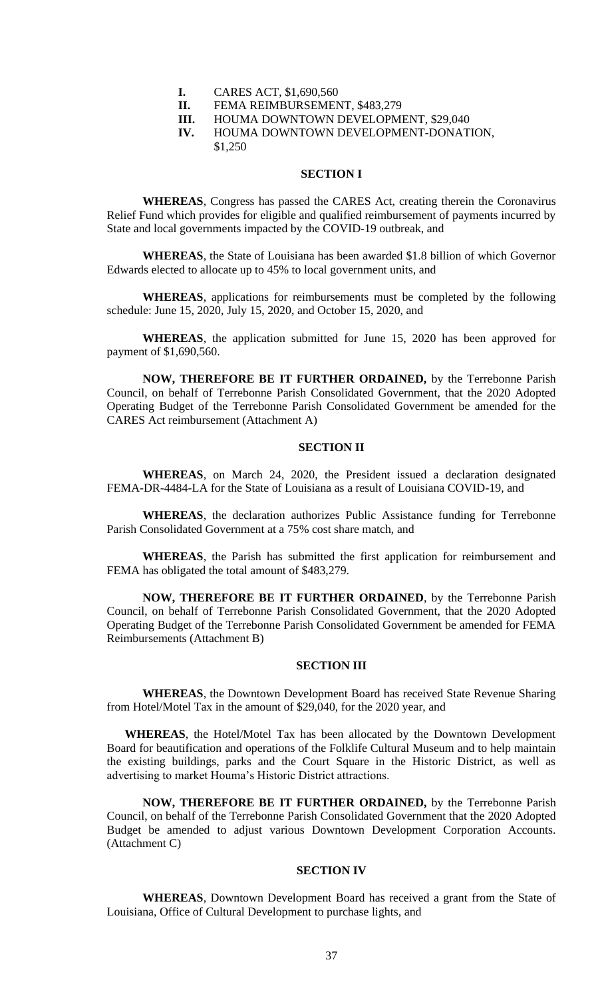**I.** CARES ACT, \$1,690,560

**II.** FEMA REIMBURSEMENT, \$483,279

**III.** HOUMA DOWNTOWN DEVELOPMENT, \$29,040

**IV.** HOUMA DOWNTOWN DEVELOPMENT-DONATION, \$1,250

### **SECTION I**

**WHEREAS**, Congress has passed the CARES Act, creating therein the Coronavirus Relief Fund which provides for eligible and qualified reimbursement of payments incurred by State and local governments impacted by the COVID-19 outbreak, and

**WHEREAS**, the State of Louisiana has been awarded \$1.8 billion of which Governor Edwards elected to allocate up to 45% to local government units, and

**WHEREAS**, applications for reimbursements must be completed by the following schedule: June 15, 2020, July 15, 2020, and October 15, 2020, and

**WHEREAS**, the application submitted for June 15, 2020 has been approved for payment of \$1,690,560.

**NOW, THEREFORE BE IT FURTHER ORDAINED,** by the Terrebonne Parish Council, on behalf of Terrebonne Parish Consolidated Government, that the 2020 Adopted Operating Budget of the Terrebonne Parish Consolidated Government be amended for the CARES Act reimbursement (Attachment A)

# **SECTION II**

**WHEREAS**, on March 24, 2020, the President issued a declaration designated FEMA-DR-4484-LA for the State of Louisiana as a result of Louisiana COVID-19, and

**WHEREAS**, the declaration authorizes Public Assistance funding for Terrebonne Parish Consolidated Government at a 75% cost share match, and

**WHEREAS**, the Parish has submitted the first application for reimbursement and FEMA has obligated the total amount of \$483,279.

**NOW, THEREFORE BE IT FURTHER ORDAINED**, by the Terrebonne Parish Council, on behalf of Terrebonne Parish Consolidated Government, that the 2020 Adopted Operating Budget of the Terrebonne Parish Consolidated Government be amended for FEMA Reimbursements (Attachment B)

#### **SECTION III**

**WHEREAS**, the Downtown Development Board has received State Revenue Sharing from Hotel/Motel Tax in the amount of \$29,040, for the 2020 year, and

**WHEREAS**, the Hotel/Motel Tax has been allocated by the Downtown Development Board for beautification and operations of the Folklife Cultural Museum and to help maintain the existing buildings, parks and the Court Square in the Historic District, as well as advertising to market Houma's Historic District attractions.

**NOW, THEREFORE BE IT FURTHER ORDAINED,** by the Terrebonne Parish Council, on behalf of the Terrebonne Parish Consolidated Government that the 2020 Adopted Budget be amended to adjust various Downtown Development Corporation Accounts. (Attachment C)

### **SECTION IV**

**WHEREAS**, Downtown Development Board has received a grant from the State of Louisiana, Office of Cultural Development to purchase lights, and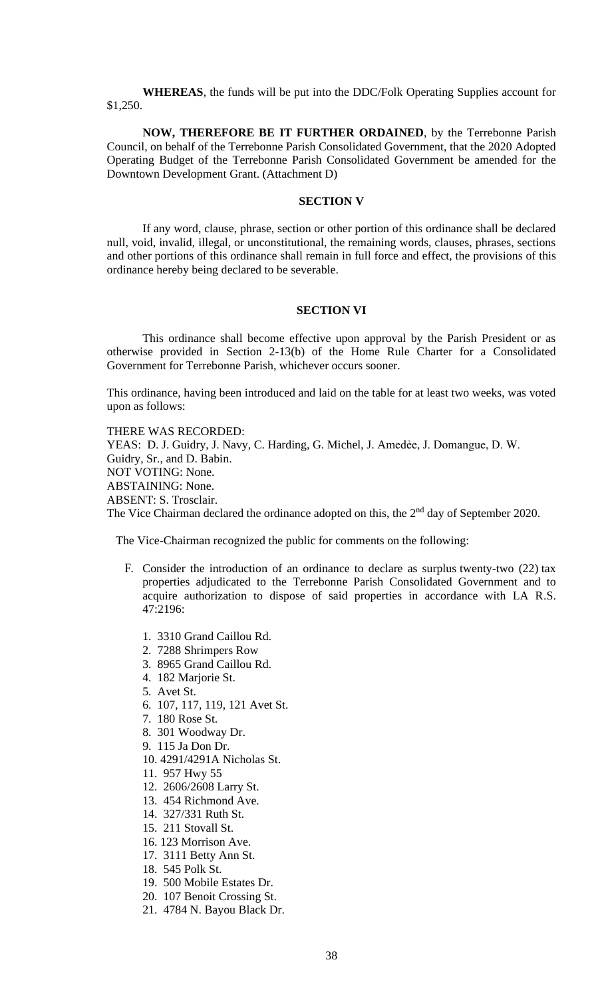**WHEREAS**, the funds will be put into the DDC/Folk Operating Supplies account for \$1,250.

**NOW, THEREFORE BE IT FURTHER ORDAINED**, by the Terrebonne Parish Council, on behalf of the Terrebonne Parish Consolidated Government, that the 2020 Adopted Operating Budget of the Terrebonne Parish Consolidated Government be amended for the Downtown Development Grant. (Attachment D)

### **SECTION V**

If any word, clause, phrase, section or other portion of this ordinance shall be declared null, void, invalid, illegal, or unconstitutional, the remaining words, clauses, phrases, sections and other portions of this ordinance shall remain in full force and effect, the provisions of this ordinance hereby being declared to be severable.

# **SECTION VI**

This ordinance shall become effective upon approval by the Parish President or as otherwise provided in Section 2-13(b) of the Home Rule Charter for a Consolidated Government for Terrebonne Parish, whichever occurs sooner.

This ordinance, having been introduced and laid on the table for at least two weeks, was voted upon as follows:

THERE WAS RECORDED:

YEAS: D. J. Guidry, J. Navy, C. Harding, G. Michel, J. Amedée, J. Domangue, D. W. Guidry, Sr., and D. Babin. NOT VOTING: None. ABSTAINING: None. ABSENT: S. Trosclair. The Vice Chairman declared the ordinance adopted on this, the  $2<sup>nd</sup>$  day of September 2020.

The Vice-Chairman recognized the public for comments on the following:

- F. Consider the introduction of an ordinance to declare as surplus twenty-two (22) tax properties adjudicated to the Terrebonne Parish Consolidated Government and to acquire authorization to dispose of said properties in accordance with LA R.S. 47:2196:
	- 1. 3310 Grand Caillou Rd.
	- 2. 7288 Shrimpers Row
	- 3. 8965 Grand Caillou Rd.
	- 4. 182 Marjorie St.
	- 5. Avet St.
	- 6. 107, 117, 119, 121 Avet St.
	- 7. 180 Rose St.
	- 8. 301 Woodway Dr.
	- 9. 115 Ja Don Dr.
	- 10. 4291/4291A Nicholas St.
	- 11. 957 Hwy 55
	- 12. 2606/2608 Larry St.
	- 13. 454 Richmond Ave.
	- 14. 327/331 Ruth St.
	- 15. 211 Stovall St.
	- 16. 123 Morrison Ave.
	- 17. 3111 Betty Ann St.
	- 18. 545 Polk St.
	- 19. 500 Mobile Estates Dr.
	- 20. 107 Benoit Crossing St.
	- 21. 4784 N. Bayou Black Dr.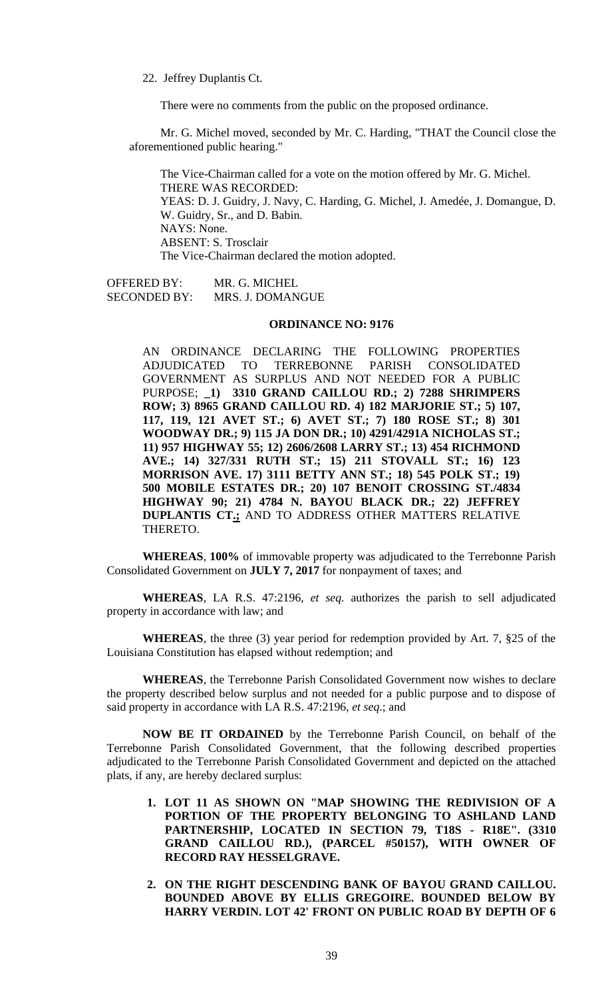22. Jeffrey Duplantis Ct.

There were no comments from the public on the proposed ordinance.

Mr. G. Michel moved, seconded by Mr. C. Harding, "THAT the Council close the aforementioned public hearing."

The Vice-Chairman called for a vote on the motion offered by Mr. G. Michel. THERE WAS RECORDED: YEAS: D. J. Guidry, J. Navy, C. Harding, G. Michel, J. Amedée, J. Domangue, D. W. Guidry, Sr., and D. Babin. NAYS: None. ABSENT: S. Trosclair The Vice-Chairman declared the motion adopted.

OFFERED BY: MR. G. MICHEL SECONDED BY: MRS. J. DOMANGUE

# **ORDINANCE NO: 9176**

AN ORDINANCE DECLARING THE FOLLOWING PROPERTIES ADJUDICATED TO TERREBONNE PARISH CONSOLIDATED GOVERNMENT AS SURPLUS AND NOT NEEDED FOR A PUBLIC PURPOSE; **\_1) 3310 GRAND CAILLOU RD.; 2) 7288 SHRIMPERS ROW; 3) 8965 GRAND CAILLOU RD. 4) 182 MARJORIE ST.; 5) 107, 117, 119, 121 AVET ST.; 6) AVET ST.; 7) 180 ROSE ST.; 8) 301 WOODWAY DR.; 9) 115 JA DON DR.; 10) 4291/4291A NICHOLAS ST.; 11) 957 HIGHWAY 55; 12) 2606/2608 LARRY ST.; 13) 454 RICHMOND AVE.; 14) 327/331 RUTH ST.; 15) 211 STOVALL ST.; 16) 123 MORRISON AVE. 17) 3111 BETTY ANN ST.; 18) 545 POLK ST.; 19) 500 MOBILE ESTATES DR.; 20) 107 BENOIT CROSSING ST./4834 HIGHWAY 90; 21) 4784 N. BAYOU BLACK DR.; 22) JEFFREY DUPLANTIS CT.;** AND TO ADDRESS OTHER MATTERS RELATIVE THERETO.

**WHEREAS**, **100%** of immovable property was adjudicated to the Terrebonne Parish Consolidated Government on **JULY 7, 2017** for nonpayment of taxes; and

**WHEREAS**, LA R.S. 47:2196, *et seq.* authorizes the parish to sell adjudicated property in accordance with law; and

**WHEREAS**, the three (3) year period for redemption provided by Art. 7, §25 of the Louisiana Constitution has elapsed without redemption; and

**WHEREAS**, the Terrebonne Parish Consolidated Government now wishes to declare the property described below surplus and not needed for a public purpose and to dispose of said property in accordance with LA R.S. 47:2196, *et seq*.; and

**NOW BE IT ORDAINED** by the Terrebonne Parish Council, on behalf of the Terrebonne Parish Consolidated Government, that the following described properties adjudicated to the Terrebonne Parish Consolidated Government and depicted on the attached plats, if any, are hereby declared surplus:

- **1. LOT 11 AS SHOWN ON "MAP SHOWING THE REDIVISION OF A PORTION OF THE PROPERTY BELONGING TO ASHLAND LAND PARTNERSHIP, LOCATED IN SECTION 79, T18S - R18E". (3310 GRAND CAILLOU RD.), (PARCEL #50157), WITH OWNER OF RECORD RAY HESSELGRAVE.**
- **2. ON THE RIGHT DESCENDING BANK OF BAYOU GRAND CAILLOU. BOUNDED ABOVE BY ELLIS GREGOIRE. BOUNDED BELOW BY HARRY VERDIN. LOT 42' FRONT ON PUBLIC ROAD BY DEPTH OF 6**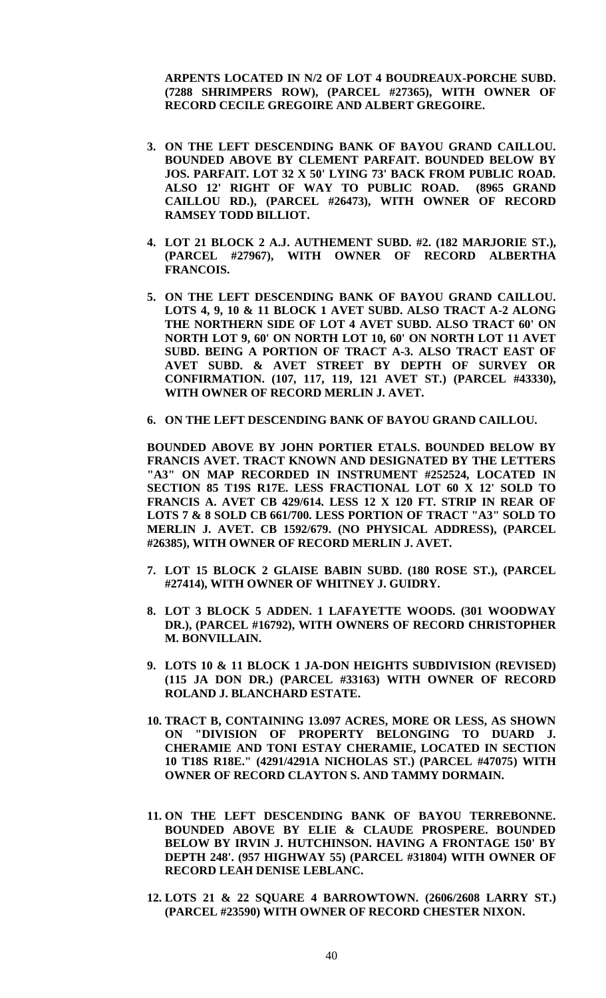**ARPENTS LOCATED IN N/2 OF LOT 4 BOUDREAUX-PORCHE SUBD. (7288 SHRIMPERS ROW), (PARCEL #27365), WITH OWNER OF RECORD CECILE GREGOIRE AND ALBERT GREGOIRE.**

- **3. ON THE LEFT DESCENDING BANK OF BAYOU GRAND CAILLOU. BOUNDED ABOVE BY CLEMENT PARFAIT. BOUNDED BELOW BY JOS. PARFAIT. LOT 32 X 50' LYING 73' BACK FROM PUBLIC ROAD. ALSO 12' RIGHT OF WAY TO PUBLIC ROAD. (8965 GRAND CAILLOU RD.), (PARCEL #26473), WITH OWNER OF RECORD RAMSEY TODD BILLIOT.**
- **4. LOT 21 BLOCK 2 A.J. AUTHEMENT SUBD. #2. (182 MARJORIE ST.), (PARCEL #27967), WITH OWNER OF RECORD ALBERTHA FRANCOIS.**
- **5. ON THE LEFT DESCENDING BANK OF BAYOU GRAND CAILLOU. LOTS 4, 9, 10 & 11 BLOCK 1 AVET SUBD. ALSO TRACT A-2 ALONG THE NORTHERN SIDE OF LOT 4 AVET SUBD. ALSO TRACT 60' ON NORTH LOT 9, 60' ON NORTH LOT 10, 60' ON NORTH LOT 11 AVET SUBD. BEING A PORTION OF TRACT A-3. ALSO TRACT EAST OF AVET SUBD. & AVET STREET BY DEPTH OF SURVEY OR CONFIRMATION. (107, 117, 119, 121 AVET ST.) (PARCEL #43330), WITH OWNER OF RECORD MERLIN J. AVET.**
- **6. ON THE LEFT DESCENDING BANK OF BAYOU GRAND CAILLOU.**

**BOUNDED ABOVE BY JOHN PORTIER ETALS. BOUNDED BELOW BY FRANCIS AVET. TRACT KNOWN AND DESIGNATED BY THE LETTERS "A3" ON MAP RECORDED IN INSTRUMENT #252524, LOCATED IN SECTION 85 T19S R17E. LESS FRACTIONAL LOT 60 X 12' SOLD TO FRANCIS A. AVET CB 429/614. LESS 12 X 120 FT. STRIP IN REAR OF LOTS 7 & 8 SOLD CB 661/700. LESS PORTION OF TRACT "A3" SOLD TO MERLIN J. AVET. CB 1592/679. (NO PHYSICAL ADDRESS), (PARCEL #26385), WITH OWNER OF RECORD MERLIN J. AVET.**

- **7. LOT 15 BLOCK 2 GLAISE BABIN SUBD. (180 ROSE ST.), (PARCEL #27414), WITH OWNER OF WHITNEY J. GUIDRY.**
- **8. LOT 3 BLOCK 5 ADDEN. 1 LAFAYETTE WOODS. (301 WOODWAY DR.), (PARCEL #16792), WITH OWNERS OF RECORD CHRISTOPHER M. BONVILLAIN.**
- **9. LOTS 10 & 11 BLOCK 1 JA-DON HEIGHTS SUBDIVISION (REVISED) (115 JA DON DR.) (PARCEL #33163) WITH OWNER OF RECORD ROLAND J. BLANCHARD ESTATE.**
- **10. TRACT B, CONTAINING 13.097 ACRES, MORE OR LESS, AS SHOWN ON "DIVISION OF PROPERTY BELONGING TO DUARD J. CHERAMIE AND TONI ESTAY CHERAMIE, LOCATED IN SECTION 10 T18S R18E." (4291/4291A NICHOLAS ST.) (PARCEL #47075) WITH OWNER OF RECORD CLAYTON S. AND TAMMY DORMAIN.**
- **11. ON THE LEFT DESCENDING BANK OF BAYOU TERREBONNE. BOUNDED ABOVE BY ELIE & CLAUDE PROSPERE. BOUNDED BELOW BY IRVIN J. HUTCHINSON. HAVING A FRONTAGE 150' BY DEPTH 248'. (957 HIGHWAY 55) (PARCEL #31804) WITH OWNER OF RECORD LEAH DENISE LEBLANC.**
- **12. LOTS 21 & 22 SQUARE 4 BARROWTOWN. (2606/2608 LARRY ST.) (PARCEL #23590) WITH OWNER OF RECORD CHESTER NIXON.**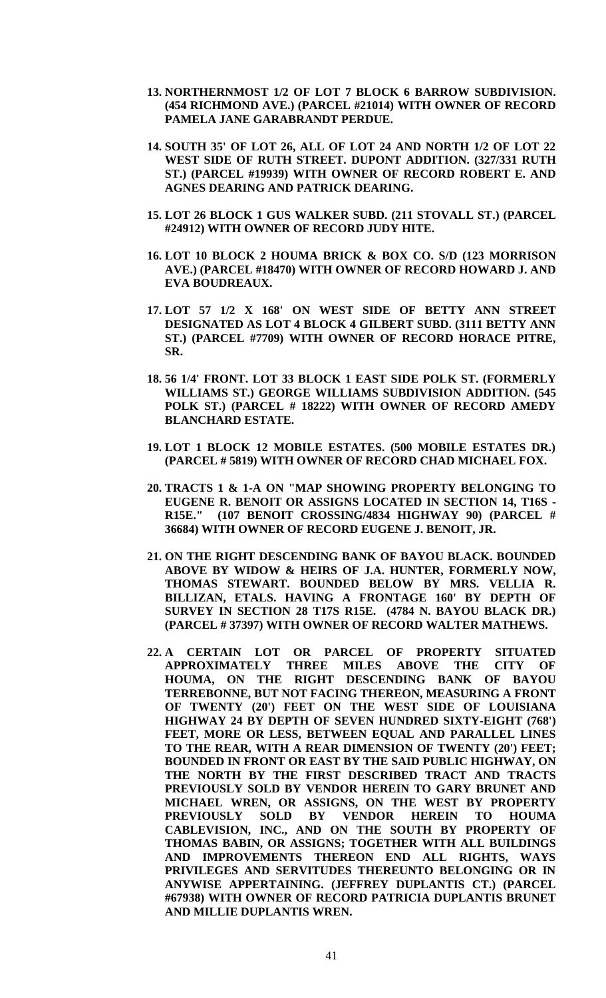- **13. NORTHERNMOST 1/2 OF LOT 7 BLOCK 6 BARROW SUBDIVISION. (454 RICHMOND AVE.) (PARCEL #21014) WITH OWNER OF RECORD PAMELA JANE GARABRANDT PERDUE.**
- **14. SOUTH 35' OF LOT 26, ALL OF LOT 24 AND NORTH 1/2 OF LOT 22 WEST SIDE OF RUTH STREET. DUPONT ADDITION. (327/331 RUTH ST.) (PARCEL #19939) WITH OWNER OF RECORD ROBERT E. AND AGNES DEARING AND PATRICK DEARING.**
- **15. LOT 26 BLOCK 1 GUS WALKER SUBD. (211 STOVALL ST.) (PARCEL #24912) WITH OWNER OF RECORD JUDY HITE.**
- **16. LOT 10 BLOCK 2 HOUMA BRICK & BOX CO. S/D (123 MORRISON AVE.) (PARCEL #18470) WITH OWNER OF RECORD HOWARD J. AND EVA BOUDREAUX.**
- **17. LOT 57 1/2 X 168' ON WEST SIDE OF BETTY ANN STREET DESIGNATED AS LOT 4 BLOCK 4 GILBERT SUBD. (3111 BETTY ANN ST.) (PARCEL #7709) WITH OWNER OF RECORD HORACE PITRE, SR.**
- **18. 56 1/4' FRONT. LOT 33 BLOCK 1 EAST SIDE POLK ST. (FORMERLY WILLIAMS ST.) GEORGE WILLIAMS SUBDIVISION ADDITION. (545 POLK ST.) (PARCEL # 18222) WITH OWNER OF RECORD AMEDY BLANCHARD ESTATE.**
- **19. LOT 1 BLOCK 12 MOBILE ESTATES. (500 MOBILE ESTATES DR.) (PARCEL # 5819) WITH OWNER OF RECORD CHAD MICHAEL FOX.**
- **20. TRACTS 1 & 1-A ON "MAP SHOWING PROPERTY BELONGING TO EUGENE R. BENOIT OR ASSIGNS LOCATED IN SECTION 14, T16S - R15E." (107 BENOIT CROSSING/4834 HIGHWAY 90) (PARCEL # 36684) WITH OWNER OF RECORD EUGENE J. BENOIT, JR.**
- **21. ON THE RIGHT DESCENDING BANK OF BAYOU BLACK. BOUNDED ABOVE BY WIDOW & HEIRS OF J.A. HUNTER, FORMERLY NOW, THOMAS STEWART. BOUNDED BELOW BY MRS. VELLIA R. BILLIZAN, ETALS. HAVING A FRONTAGE 160' BY DEPTH OF SURVEY IN SECTION 28 T17S R15E. (4784 N. BAYOU BLACK DR.) (PARCEL # 37397) WITH OWNER OF RECORD WALTER MATHEWS.**
- **22. A CERTAIN LOT OR PARCEL OF PROPERTY SITUATED APPROXIMATELY THREE MILES ABOVE THE CITY OF HOUMA, ON THE RIGHT DESCENDING BANK OF BAYOU TERREBONNE, BUT NOT FACING THEREON, MEASURING A FRONT OF TWENTY (20') FEET ON THE WEST SIDE OF LOUISIANA HIGHWAY 24 BY DEPTH OF SEVEN HUNDRED SIXTY-EIGHT (768') FEET, MORE OR LESS, BETWEEN EQUAL AND PARALLEL LINES TO THE REAR, WITH A REAR DIMENSION OF TWENTY (20') FEET; BOUNDED IN FRONT OR EAST BY THE SAID PUBLIC HIGHWAY, ON THE NORTH BY THE FIRST DESCRIBED TRACT AND TRACTS PREVIOUSLY SOLD BY VENDOR HEREIN TO GARY BRUNET AND MICHAEL WREN, OR ASSIGNS, ON THE WEST BY PROPERTY PREVIOUSLY SOLD BY VENDOR HEREIN TO HOUMA CABLEVISION, INC., AND ON THE SOUTH BY PROPERTY OF THOMAS BABIN, OR ASSIGNS; TOGETHER WITH ALL BUILDINGS AND IMPROVEMENTS THEREON END ALL RIGHTS, WAYS PRIVILEGES AND SERVITUDES THEREUNTO BELONGING OR IN ANYWISE APPERTAINING. (JEFFREY DUPLANTIS CT.) (PARCEL #67938) WITH OWNER OF RECORD PATRICIA DUPLANTIS BRUNET AND MILLIE DUPLANTIS WREN.**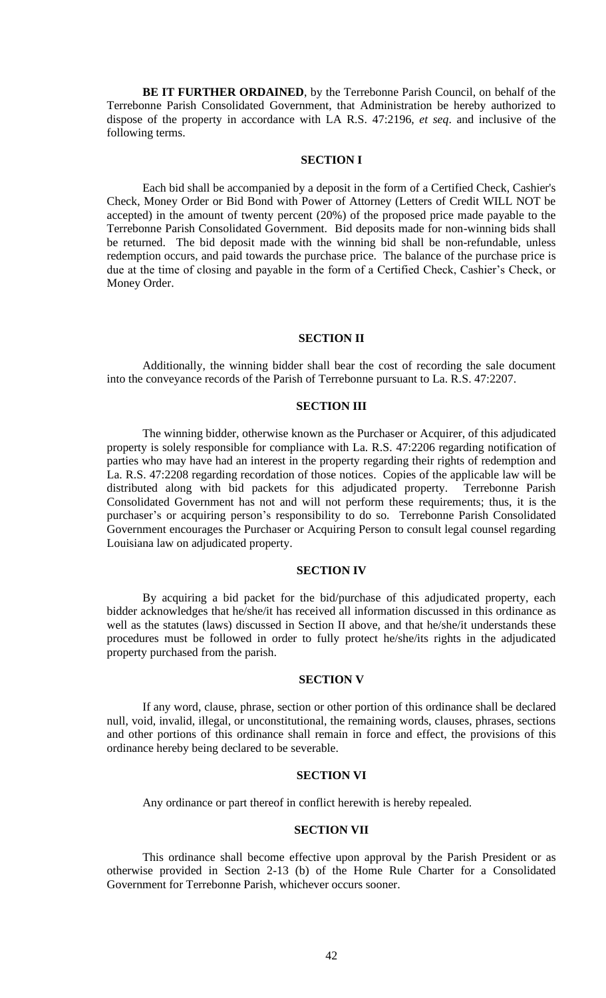**BE IT FURTHER ORDAINED**, by the Terrebonne Parish Council, on behalf of the Terrebonne Parish Consolidated Government, that Administration be hereby authorized to dispose of the property in accordance with LA R.S. 47:2196, *et seq*. and inclusive of the following terms.

# **SECTION I**

Each bid shall be accompanied by a deposit in the form of a Certified Check, Cashier's Check, Money Order or Bid Bond with Power of Attorney (Letters of Credit WILL NOT be accepted) in the amount of twenty percent (20%) of the proposed price made payable to the Terrebonne Parish Consolidated Government. Bid deposits made for non-winning bids shall be returned. The bid deposit made with the winning bid shall be non-refundable, unless redemption occurs, and paid towards the purchase price. The balance of the purchase price is due at the time of closing and payable in the form of a Certified Check, Cashier's Check, or Money Order.

#### **SECTION II**

Additionally, the winning bidder shall bear the cost of recording the sale document into the conveyance records of the Parish of Terrebonne pursuant to La. R.S. 47:2207.

# **SECTION III**

The winning bidder, otherwise known as the Purchaser or Acquirer, of this adjudicated property is solely responsible for compliance with La. R.S. 47:2206 regarding notification of parties who may have had an interest in the property regarding their rights of redemption and La. R.S. 47:2208 regarding recordation of those notices. Copies of the applicable law will be distributed along with bid packets for this adjudicated property. Terrebonne Parish Consolidated Government has not and will not perform these requirements; thus, it is the purchaser's or acquiring person's responsibility to do so. Terrebonne Parish Consolidated Government encourages the Purchaser or Acquiring Person to consult legal counsel regarding Louisiana law on adjudicated property.

### **SECTION IV**

By acquiring a bid packet for the bid/purchase of this adjudicated property, each bidder acknowledges that he/she/it has received all information discussed in this ordinance as well as the statutes (laws) discussed in Section II above, and that he/she/it understands these procedures must be followed in order to fully protect he/she/its rights in the adjudicated property purchased from the parish.

#### **SECTION V**

If any word, clause, phrase, section or other portion of this ordinance shall be declared null, void, invalid, illegal, or unconstitutional, the remaining words, clauses, phrases, sections and other portions of this ordinance shall remain in force and effect, the provisions of this ordinance hereby being declared to be severable.

#### **SECTION VI**

Any ordinance or part thereof in conflict herewith is hereby repealed.

# **SECTION VII**

This ordinance shall become effective upon approval by the Parish President or as otherwise provided in Section 2-13 (b) of the Home Rule Charter for a Consolidated Government for Terrebonne Parish, whichever occurs sooner.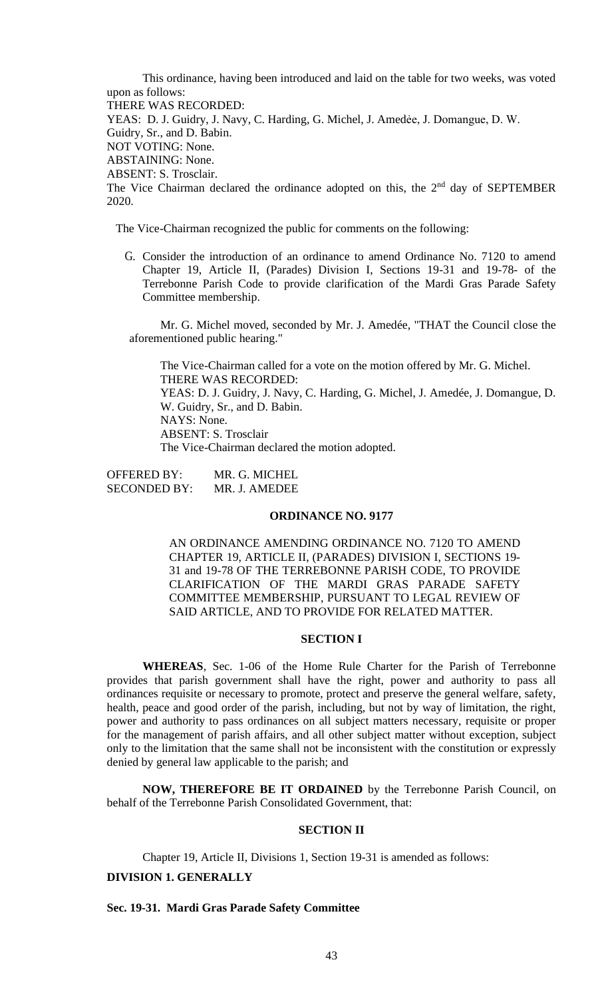This ordinance, having been introduced and laid on the table for two weeks, was voted upon as follows: THERE WAS RECORDED: YEAS: D. J. Guidry, J. Navy, C. Harding, G. Michel, J. Amedée, J. Domangue, D. W. Guidry, Sr., and D. Babin. NOT VOTING: None. ABSTAINING: None. ABSENT: S. Trosclair. The Vice Chairman declared the ordinance adopted on this, the  $2<sup>nd</sup>$  day of SEPTEMBER 2020.

The Vice-Chairman recognized the public for comments on the following:

G. Consider the introduction of an ordinance to amend Ordinance No. 7120 to amend Chapter 19, Article II, (Parades) Division I, Sections 19-31 and 19-78- of the Terrebonne Parish Code to provide clarification of the Mardi Gras Parade Safety Committee membership.

Mr. G. Michel moved, seconded by Mr. J. Amedée, "THAT the Council close the aforementioned public hearing."

The Vice-Chairman called for a vote on the motion offered by Mr. G. Michel. THERE WAS RECORDED: YEAS: D. J. Guidry, J. Navy, C. Harding, G. Michel, J. Amedée, J. Domangue, D. W. Guidry, Sr., and D. Babin. NAYS: None. ABSENT: S. Trosclair The Vice-Chairman declared the motion adopted.

OFFERED BY: MR. G. MICHEL SECONDED BY: MR. J. AMEDEE

### **ORDINANCE NO. 9177**

AN ORDINANCE AMENDING ORDINANCE NO. 7120 TO AMEND CHAPTER 19, ARTICLE II, (PARADES) DIVISION I, SECTIONS 19- 31 and 19-78 OF THE TERREBONNE PARISH CODE, TO PROVIDE CLARIFICATION OF THE MARDI GRAS PARADE SAFETY COMMITTEE MEMBERSHIP, PURSUANT TO LEGAL REVIEW OF SAID ARTICLE, AND TO PROVIDE FOR RELATED MATTER.

# **SECTION I**

**WHEREAS**, Sec. 1-06 of the Home Rule Charter for the Parish of Terrebonne provides that parish government shall have the right, power and authority to pass all ordinances requisite or necessary to promote, protect and preserve the general welfare, safety, health, peace and good order of the parish, including, but not by way of limitation, the right, power and authority to pass ordinances on all subject matters necessary, requisite or proper for the management of parish affairs, and all other subject matter without exception, subject only to the limitation that the same shall not be inconsistent with the constitution or expressly denied by general law applicable to the parish; and

**NOW, THEREFORE BE IT ORDAINED** by the Terrebonne Parish Council, on behalf of the Terrebonne Parish Consolidated Government, that:

# **SECTION II**

Chapter 19, Article II, Divisions 1, Section 19-31 is amended as follows:

# **DIVISION 1. GENERALLY**

# **Sec. 19-31. Mardi Gras Parade Safety Committee**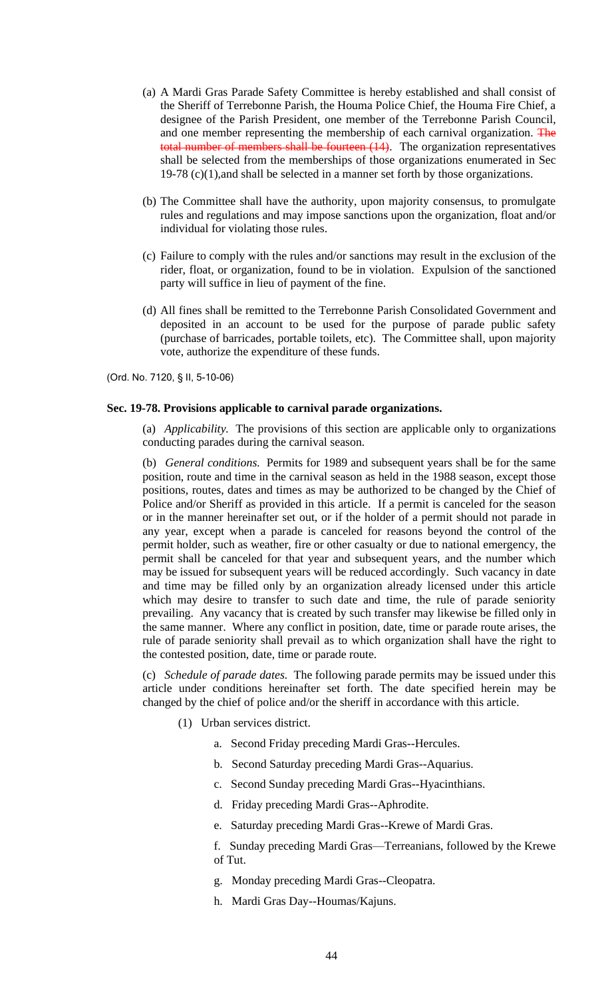- (a) A Mardi Gras Parade Safety Committee is hereby established and shall consist of the Sheriff of Terrebonne Parish, the Houma Police Chief, the Houma Fire Chief, a designee of the Parish President, one member of the Terrebonne Parish Council, and one member representing the membership of each carnival organization. The total number of members shall be fourteen  $(14)$ . The organization representatives shall be selected from the memberships of those organizations enumerated in Sec 19-78 (c)(1),and shall be selected in a manner set forth by those organizations.
- (b) The Committee shall have the authority, upon majority consensus, to promulgate rules and regulations and may impose sanctions upon the organization, float and/or individual for violating those rules.
- (c) Failure to comply with the rules and/or sanctions may result in the exclusion of the rider, float, or organization, found to be in violation. Expulsion of the sanctioned party will suffice in lieu of payment of the fine.
- (d) All fines shall be remitted to the Terrebonne Parish Consolidated Government and deposited in an account to be used for the purpose of parade public safety (purchase of barricades, portable toilets, etc). The Committee shall, upon majority vote, authorize the expenditure of these funds.

(Ord. No. 7120, § II, 5-10-06)

### **Sec. 19-78. Provisions applicable to carnival parade organizations.**

(a) *Applicability.* The provisions of this section are applicable only to organizations conducting parades during the carnival season.

(b) *General conditions.* Permits for 1989 and subsequent years shall be for the same position, route and time in the carnival season as held in the 1988 season, except those positions, routes, dates and times as may be authorized to be changed by the Chief of Police and/or Sheriff as provided in this article. If a permit is canceled for the season or in the manner hereinafter set out, or if the holder of a permit should not parade in any year, except when a parade is canceled for reasons beyond the control of the permit holder, such as weather, fire or other casualty or due to national emergency, the permit shall be canceled for that year and subsequent years, and the number which may be issued for subsequent years will be reduced accordingly. Such vacancy in date and time may be filled only by an organization already licensed under this article which may desire to transfer to such date and time, the rule of parade seniority prevailing. Any vacancy that is created by such transfer may likewise be filled only in the same manner. Where any conflict in position, date, time or parade route arises, the rule of parade seniority shall prevail as to which organization shall have the right to the contested position, date, time or parade route.

(c) *Schedule of parade dates.* The following parade permits may be issued under this article under conditions hereinafter set forth. The date specified herein may be changed by the chief of police and/or the sheriff in accordance with this article.

- (1) Urban services district.
	- a. Second Friday preceding Mardi Gras--Hercules.
	- b. Second Saturday preceding Mardi Gras--Aquarius.
	- c. Second Sunday preceding Mardi Gras--Hyacinthians.
	- d. Friday preceding Mardi Gras--Aphrodite.
	- e. Saturday preceding Mardi Gras--Krewe of Mardi Gras.
	- f. Sunday preceding Mardi Gras—Terreanians, followed by the Krewe of Tut.
	- g. Monday preceding Mardi Gras--Cleopatra.
	- h. Mardi Gras Day--Houmas/Kajuns.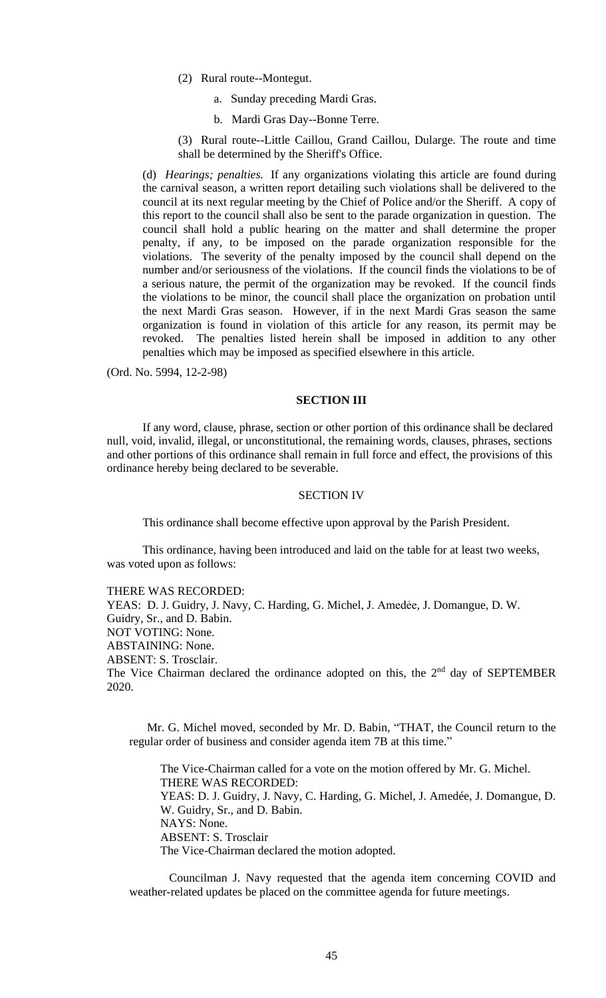- (2) Rural route--Montegut.
	- a. Sunday preceding Mardi Gras.
	- b. Mardi Gras Day--Bonne Terre.

(3) Rural route--Little Caillou, Grand Caillou, Dularge. The route and time shall be determined by the Sheriff's Office.

(d) *Hearings; penalties.* If any organizations violating this article are found during the carnival season, a written report detailing such violations shall be delivered to the council at its next regular meeting by the Chief of Police and/or the Sheriff. A copy of this report to the council shall also be sent to the parade organization in question. The council shall hold a public hearing on the matter and shall determine the proper penalty, if any, to be imposed on the parade organization responsible for the violations. The severity of the penalty imposed by the council shall depend on the number and/or seriousness of the violations. If the council finds the violations to be of a serious nature, the permit of the organization may be revoked. If the council finds the violations to be minor, the council shall place the organization on probation until the next Mardi Gras season. However, if in the next Mardi Gras season the same organization is found in violation of this article for any reason, its permit may be revoked. The penalties listed herein shall be imposed in addition to any other penalties which may be imposed as specified elsewhere in this article.

(Ord. No. 5994, 12-2-98)

# **SECTION III**

If any word, clause, phrase, section or other portion of this ordinance shall be declared null, void, invalid, illegal, or unconstitutional, the remaining words, clauses, phrases, sections and other portions of this ordinance shall remain in full force and effect, the provisions of this ordinance hereby being declared to be severable.

### SECTION IV

This ordinance shall become effective upon approval by the Parish President.

This ordinance, having been introduced and laid on the table for at least two weeks, was voted upon as follows:

THERE WAS RECORDED: YEAS: D. J. Guidry, J. Navy, C. Harding, G. Michel, J. Amedée, J. Domangue, D. W. Guidry, Sr., and D. Babin. NOT VOTING: None. ABSTAINING: None. ABSENT: S. Trosclair. The Vice Chairman declared the ordinance adopted on this, the  $2<sup>nd</sup>$  day of SEPTEMBER 2020.

Mr. G. Michel moved, seconded by Mr. D. Babin, "THAT, the Council return to the regular order of business and consider agenda item 7B at this time."

The Vice-Chairman called for a vote on the motion offered by Mr. G. Michel. THERE WAS RECORDED: YEAS: D. J. Guidry, J. Navy, C. Harding, G. Michel, J. Amedée, J. Domangue, D. W. Guidry, Sr., and D. Babin. NAYS: None. ABSENT: S. Trosclair The Vice-Chairman declared the motion adopted.

Councilman J. Navy requested that the agenda item concerning COVID and weather-related updates be placed on the committee agenda for future meetings.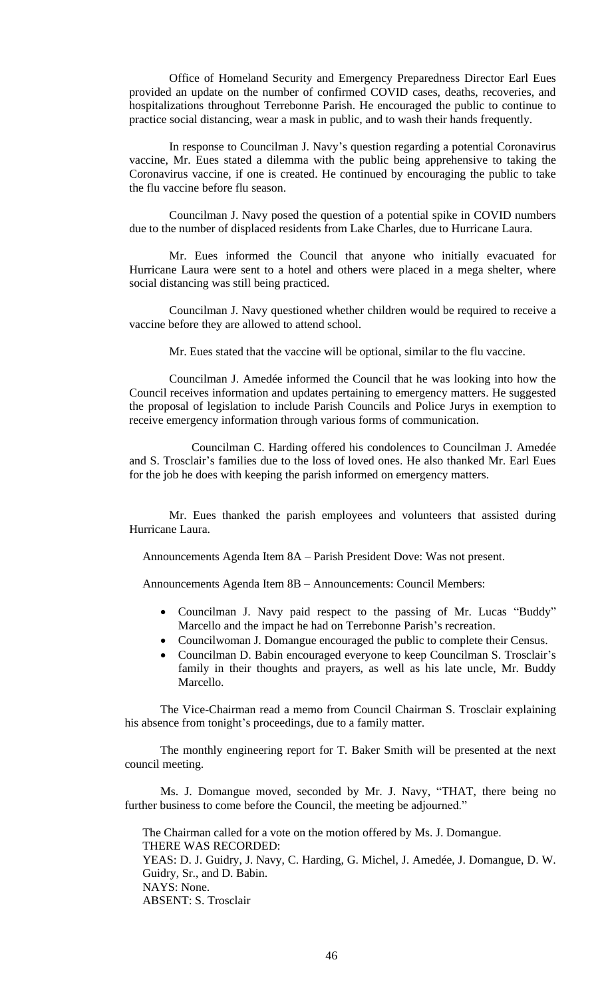Office of Homeland Security and Emergency Preparedness Director Earl Eues provided an update on the number of confirmed COVID cases, deaths, recoveries, and hospitalizations throughout Terrebonne Parish. He encouraged the public to continue to practice social distancing, wear a mask in public, and to wash their hands frequently.

In response to Councilman J. Navy's question regarding a potential Coronavirus vaccine, Mr. Eues stated a dilemma with the public being apprehensive to taking the Coronavirus vaccine, if one is created. He continued by encouraging the public to take the flu vaccine before flu season.

Councilman J. Navy posed the question of a potential spike in COVID numbers due to the number of displaced residents from Lake Charles, due to Hurricane Laura.

Mr. Eues informed the Council that anyone who initially evacuated for Hurricane Laura were sent to a hotel and others were placed in a mega shelter, where social distancing was still being practiced.

Councilman J. Navy questioned whether children would be required to receive a vaccine before they are allowed to attend school.

Mr. Eues stated that the vaccine will be optional, similar to the flu vaccine.

Councilman J. Amedée informed the Council that he was looking into how the Council receives information and updates pertaining to emergency matters. He suggested the proposal of legislation to include Parish Councils and Police Jurys in exemption to receive emergency information through various forms of communication.

Councilman C. Harding offered his condolences to Councilman J. Amedée and S. Trosclair's families due to the loss of loved ones. He also thanked Mr. Earl Eues for the job he does with keeping the parish informed on emergency matters.

Mr. Eues thanked the parish employees and volunteers that assisted during Hurricane Laura.

Announcements Agenda Item 8A – Parish President Dove: Was not present.

Announcements Agenda Item 8B – Announcements: Council Members:

- Councilman J. Navy paid respect to the passing of Mr. Lucas "Buddy" Marcello and the impact he had on Terrebonne Parish's recreation.
- Councilwoman J. Domangue encouraged the public to complete their Census.
- Councilman D. Babin encouraged everyone to keep Councilman S. Trosclair's family in their thoughts and prayers, as well as his late uncle, Mr. Buddy Marcello.

The Vice-Chairman read a memo from Council Chairman S. Trosclair explaining his absence from tonight's proceedings, due to a family matter.

The monthly engineering report for T. Baker Smith will be presented at the next council meeting.

Ms. J. Domangue moved, seconded by Mr. J. Navy, "THAT, there being no further business to come before the Council, the meeting be adjourned."

The Chairman called for a vote on the motion offered by Ms. J. Domangue. THERE WAS RECORDED: YEAS: D. J. Guidry, J. Navy, C. Harding, G. Michel, J. Amedée, J. Domangue, D. W. Guidry, Sr., and D. Babin. NAYS: None. ABSENT: S. Trosclair